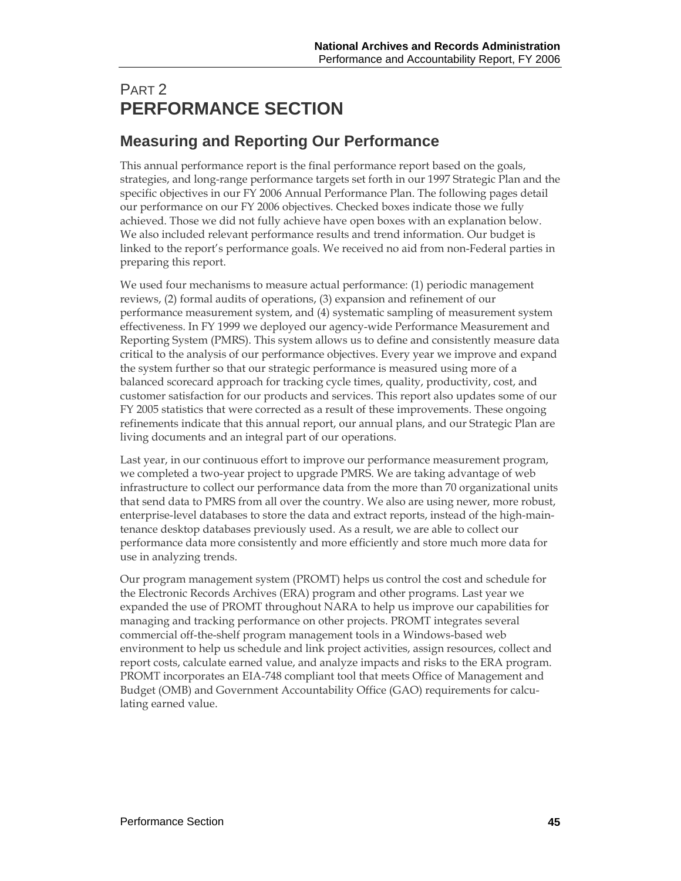# PART 2 **PERFORMANCE SECTION**

# **Measuring and Reporting Our Performance**

This annual performance report is the final performance report based on the goals, strategies, and long-range performance targets set forth in our 1997 Strategic Plan and the specific objectives in our FY 2006 Annual Performance Plan. The following pages detail our performance on our FY 2006 objectives. Checked boxes indicate those we fully achieved. Those we did not fully achieve have open boxes with an explanation below. We also included relevant performance results and trend information. Our budget is linked to the report's performance goals. We received no aid from non-Federal parties in preparing this report.

We used four mechanisms to measure actual performance: (1) periodic management reviews, (2) formal audits of operations, (3) expansion and refinement of our performance measurement system, and (4) systematic sampling of measurement system effectiveness. In FY 1999 we deployed our agency-wide Performance Measurement and Reporting System (PMRS). This system allows us to define and consistently measure data critical to the analysis of our performance objectives. Every year we improve and expand the system further so that our strategic performance is measured using more of a balanced scorecard approach for tracking cycle times, quality, productivity, cost, and customer satisfaction for our products and services. This report also updates some of our FY 2005 statistics that were corrected as a result of these improvements. These ongoing refinements indicate that this annual report, our annual plans, and our Strategic Plan are living documents and an integral part of our operations.

Last year, in our continuous effort to improve our performance measurement program, we completed a two-year project to upgrade PMRS. We are taking advantage of web infrastructure to collect our performance data from the more than 70 organizational units that send data to PMRS from all over the country. We also are using newer, more robust, enterprise-level databases to store the data and extract reports, instead of the high-maintenance desktop databases previously used. As a result, we are able to collect our performance data more consistently and more efficiently and store much more data for use in analyzing trends.

Our program management system (PROMT) helps us control the cost and schedule for the Electronic Records Archives (ERA) program and other programs. Last year we expanded the use of PROMT throughout NARA to help us improve our capabilities for managing and tracking performance on other projects. PROMT integrates several commercial off-the-shelf program management tools in a Windows-based web environment to help us schedule and link project activities, assign resources, collect and report costs, calculate earned value, and analyze impacts and risks to the ERA program. PROMT incorporates an EIA-748 compliant tool that meets Office of Management and Budget (OMB) and Government Accountability Office (GAO) requirements for calculating earned value.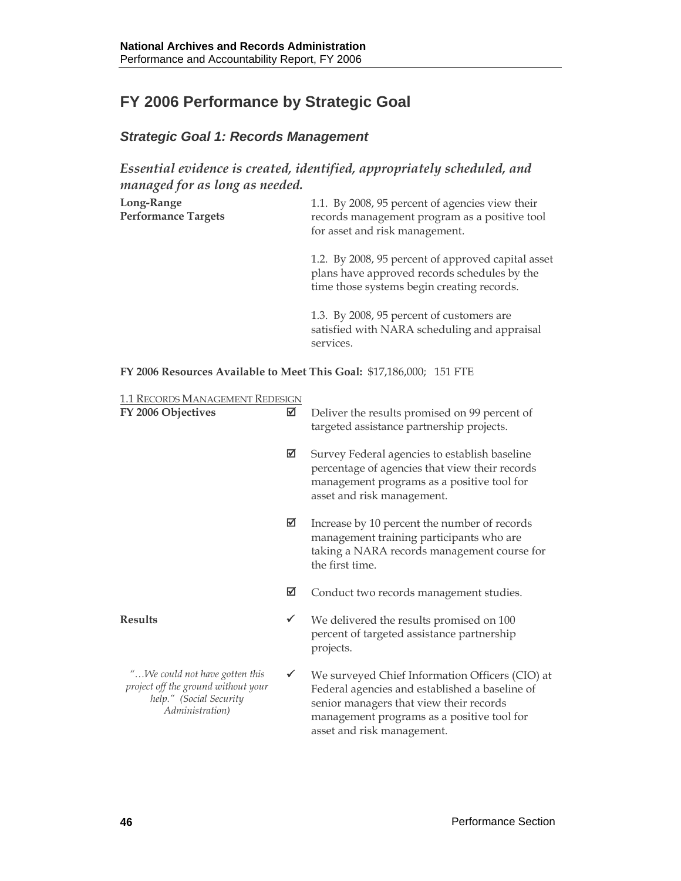# **FY 2006 Performance by Strategic Goal**

# *Strategic Goal 1: Records Management*

*Essential evidence is created, identified, appropriately scheduled, and managed for as long as needed.* 

| Long-Range<br><b>Performance Targets</b> | 1.1. By 2008, 95 percent of agencies view their<br>records management program as a positive tool<br>for asset and risk management.               |
|------------------------------------------|--------------------------------------------------------------------------------------------------------------------------------------------------|
|                                          | 1.2. By 2008, 95 percent of approved capital asset<br>plans have approved records schedules by the<br>time those systems begin creating records. |
|                                          | 1.3. By 2008, 95 percent of customers are<br>satisfied with NARA scheduling and appraisal<br>services.                                           |

**FY 2006 Resources Available to Meet This Goal:** \$17,186,000; 151 FTE

| <b>1.1 RECORDS MANAGEMENT REDESIGN</b> |  |
|----------------------------------------|--|
|                                        |  |

| FY 2006 Objectives                                                                                                  | ☑            | Deliver the results promised on 99 percent of<br>targeted assistance partnership projects.                                                                                                                               |
|---------------------------------------------------------------------------------------------------------------------|--------------|--------------------------------------------------------------------------------------------------------------------------------------------------------------------------------------------------------------------------|
|                                                                                                                     | ☑            | Survey Federal agencies to establish baseline<br>percentage of agencies that view their records<br>management programs as a positive tool for<br>asset and risk management.                                              |
|                                                                                                                     | ☑            | Increase by 10 percent the number of records<br>management training participants who are<br>taking a NARA records management course for<br>the first time.                                                               |
|                                                                                                                     | ☑            | Conduct two records management studies.                                                                                                                                                                                  |
| <b>Results</b>                                                                                                      | ✓            | We delivered the results promised on 100<br>percent of targeted assistance partnership<br>projects.                                                                                                                      |
| "We could not have gotten this<br>project off the ground without your<br>help." (Social Security<br>Administration) | $\checkmark$ | We surveyed Chief Information Officers (CIO) at<br>Federal agencies and established a baseline of<br>senior managers that view their records<br>management programs as a positive tool for<br>asset and risk management. |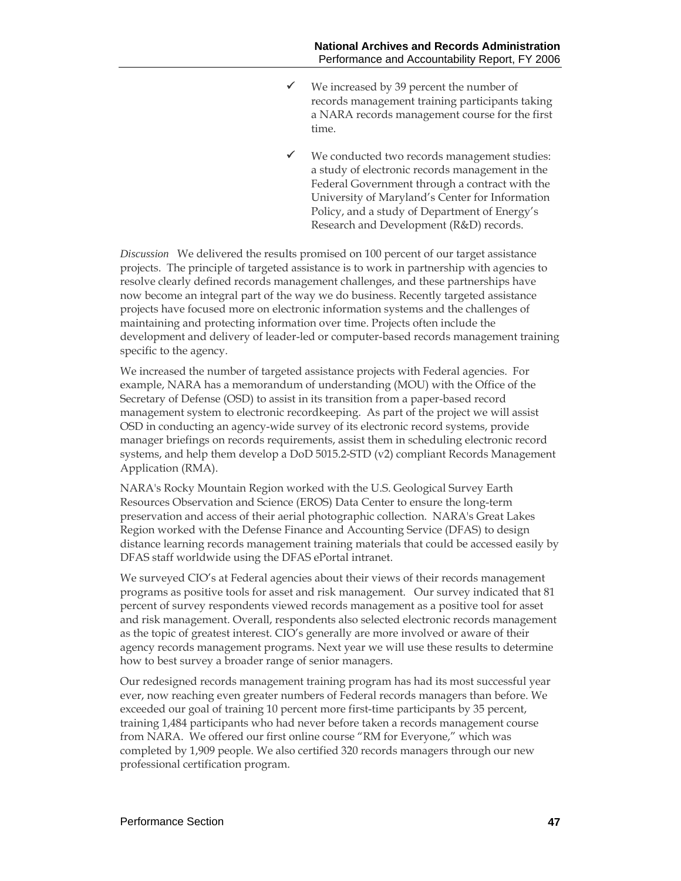- $\checkmark$  We increased by 39 percent the number of records management training participants taking a NARA records management course for the first time.
- We conducted two records management studies: a study of electronic records management in the Federal Government through a contract with the University of Maryland's Center for Information Policy, and a study of Department of Energy's Research and Development (R&D) records.

*Discussion* We delivered the results promised on 100 percent of our target assistance projects. The principle of targeted assistance is to work in partnership with agencies to resolve clearly defined records management challenges, and these partnerships have now become an integral part of the way we do business. Recently targeted assistance projects have focused more on electronic information systems and the challenges of maintaining and protecting information over time. Projects often include the development and delivery of leader-led or computer-based records management training specific to the agency.

We increased the number of targeted assistance projects with Federal agencies. For example, NARA has a memorandum of understanding (MOU) with the Office of the Secretary of Defense (OSD) to assist in its transition from a paper-based record management system to electronic recordkeeping. As part of the project we will assist OSD in conducting an agency-wide survey of its electronic record systems, provide manager briefings on records requirements, assist them in scheduling electronic record systems, and help them develop a DoD 5015.2-STD (v2) compliant Records Management Application (RMA).

NARA's Rocky Mountain Region worked with the U.S. Geological Survey Earth Resources Observation and Science (EROS) Data Center to ensure the long-term preservation and access of their aerial photographic collection. NARA's Great Lakes Region worked with the Defense Finance and Accounting Service (DFAS) to design distance learning records management training materials that could be accessed easily by DFAS staff worldwide using the DFAS ePortal intranet.

We surveyed CIO's at Federal agencies about their views of their records management programs as positive tools for asset and risk management. Our survey indicated that 81 percent of survey respondents viewed records management as a positive tool for asset and risk management. Overall, respondents also selected electronic records management as the topic of greatest interest. CIO's generally are more involved or aware of their agency records management programs. Next year we will use these results to determine how to best survey a broader range of senior managers.

Our redesigned records management training program has had its most successful year ever, now reaching even greater numbers of Federal records managers than before. We exceeded our goal of training 10 percent more first-time participants by 35 percent, training 1,484 participants who had never before taken a records management course from NARA. We offered our first online course "RM for Everyone," which was completed by 1,909 people. We also certified 320 records managers through our new professional certification program.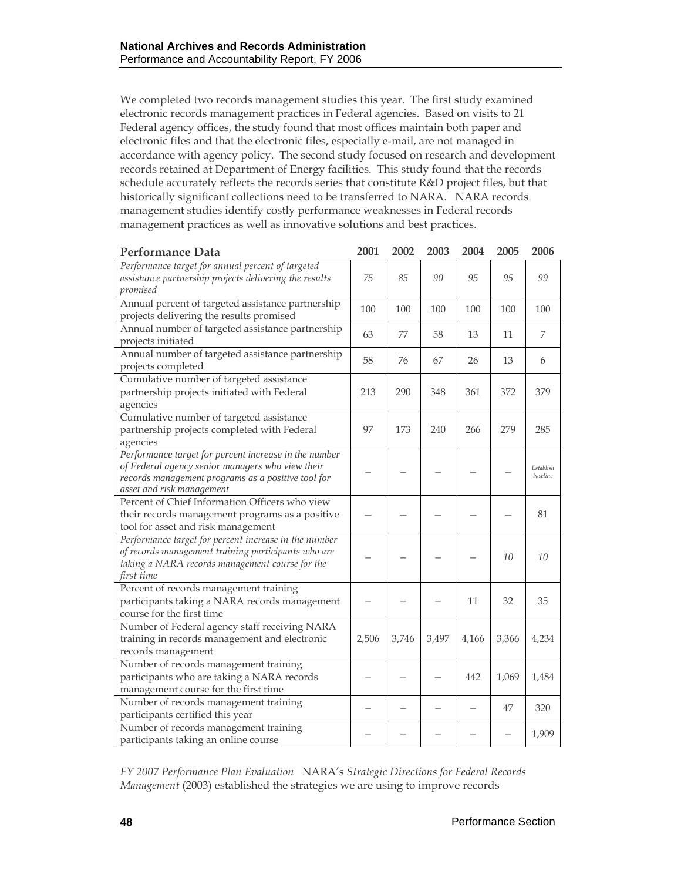We completed two records management studies this year. The first study examined electronic records management practices in Federal agencies. Based on visits to 21 Federal agency offices, the study found that most offices maintain both paper and electronic files and that the electronic files, especially e-mail, are not managed in accordance with agency policy. The second study focused on research and development records retained at Department of Energy facilities. This study found that the records schedule accurately reflects the records series that constitute R&D project files, but that historically significant collections need to be transferred to NARA. NARA records management studies identify costly performance weaknesses in Federal records management practices as well as innovative solutions and best practices.

| <b>Performance Data</b>                                                                                                                                                                      | 2001  | 2002  | 2003  | 2004  | 2005  | 2006                  |
|----------------------------------------------------------------------------------------------------------------------------------------------------------------------------------------------|-------|-------|-------|-------|-------|-----------------------|
| Performance target for annual percent of targeted<br>assistance partnership projects delivering the results<br>promised                                                                      | 75    | 85    | 90    | 95    | 95    | 99                    |
| Annual percent of targeted assistance partnership<br>projects delivering the results promised                                                                                                | 100   | 100   | 100   | 100   | 100   | 100                   |
| Annual number of targeted assistance partnership<br>projects initiated                                                                                                                       | 63    | 77    | 58    | 13    | 11    | 7                     |
| Annual number of targeted assistance partnership<br>projects completed                                                                                                                       | 58    | 76    | 67    | 26    | 13    | 6                     |
| Cumulative number of targeted assistance<br>partnership projects initiated with Federal<br>agencies                                                                                          | 213   | 290   | 348   | 361   | 372   | 379                   |
| Cumulative number of targeted assistance<br>partnership projects completed with Federal<br>agencies                                                                                          | 97    | 173   | 240   | 266   | 279   | 285                   |
| Performance target for percent increase in the number<br>of Federal agency senior managers who view their<br>records management programs as a positive tool for<br>asset and risk management |       |       |       |       |       | Establish<br>baseline |
| Percent of Chief Information Officers who view<br>their records management programs as a positive<br>tool for asset and risk management                                                      |       |       |       |       |       | 81                    |
| Performance target for percent increase in the number<br>of records management training participants who are<br>taking a NARA records management course for the<br>first time                |       |       |       |       | 10    | 10                    |
| Percent of records management training<br>participants taking a NARA records management<br>course for the first time                                                                         |       |       |       | 11    | 32    | 35                    |
| Number of Federal agency staff receiving NARA<br>training in records management and electronic<br>records management                                                                         | 2,506 | 3,746 | 3,497 | 4,166 | 3,366 | 4,234                 |
| Number of records management training<br>participants who are taking a NARA records<br>management course for the first time                                                                  |       |       |       | 442   | 1,069 | 1,484                 |
| Number of records management training<br>participants certified this year                                                                                                                    |       |       |       |       | 47    | 320                   |
| Number of records management training<br>participants taking an online course                                                                                                                |       |       |       |       |       | 1,909                 |

*FY 2007 Performance Plan Evaluation*NARA's *Strategic Directions for Federal Records Management* (2003) established the strategies we are using to improve records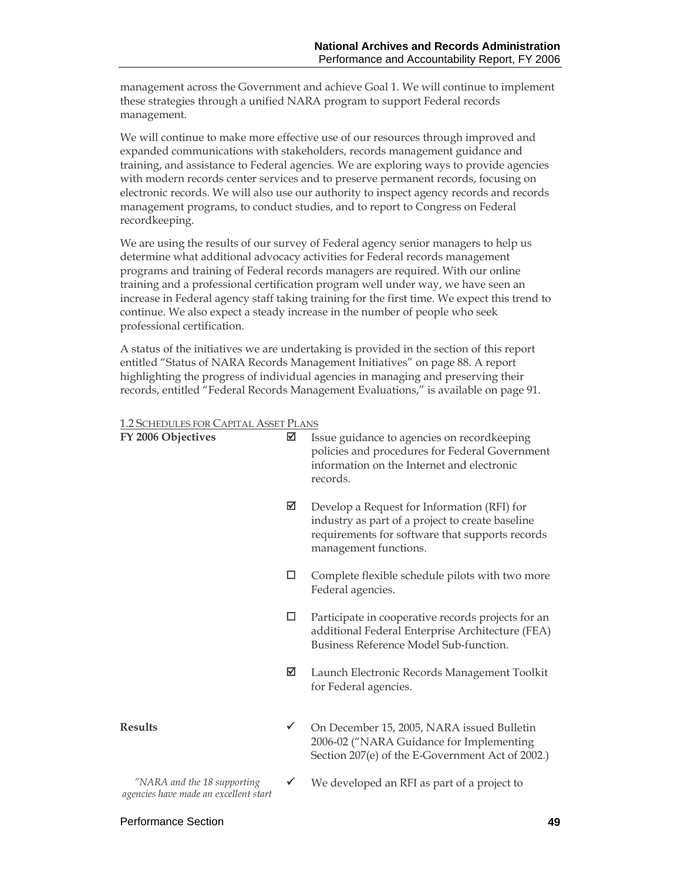management across the Government and achieve Goal 1. We will continue to implement these strategies through a unified NARA program to support Federal records management.

We will continue to make more effective use of our resources through improved and expanded communications with stakeholders, records management guidance and training, and assistance to Federal agencies. We are exploring ways to provide agencies with modern records center services and to preserve permanent records, focusing on electronic records. We will also use our authority to inspect agency records and records management programs, to conduct studies, and to report to Congress on Federal recordkeeping.

We are using the results of our survey of Federal agency senior managers to help us determine what additional advocacy activities for Federal records management programs and training of Federal records managers are required. With our online training and a professional certification program well under way, we have seen an increase in Federal agency staff taking training for the first time. We expect this trend to continue. We also expect a steady increase in the number of people who seek professional certification.

A status of the initiatives we are undertaking is provided in the section of this report entitled "Status of NARA Records Management Initiatives" on page 88. A report highlighting the progress of individual agencies in managing and preserving their records, entitled "Federal Records Management Evaluations," is available on page 91.

#### 1.2 SCHEDULES FOR CAPITAL ASSET PLANS

| FY 2006 Objectives                                                   | ☑            | Issue guidance to agencies on recordkeeping<br>policies and procedures for Federal Government<br>information on the Internet and electronic<br>records.                     |
|----------------------------------------------------------------------|--------------|-----------------------------------------------------------------------------------------------------------------------------------------------------------------------------|
|                                                                      | ☑            | Develop a Request for Information (RFI) for<br>industry as part of a project to create baseline<br>requirements for software that supports records<br>management functions. |
|                                                                      | □            | Complete flexible schedule pilots with two more<br>Federal agencies.                                                                                                        |
|                                                                      | □            | Participate in cooperative records projects for an<br>additional Federal Enterprise Architecture (FEA)<br>Business Reference Model Sub-function.                            |
|                                                                      | ☑            | Launch Electronic Records Management Toolkit<br>for Federal agencies.                                                                                                       |
| <b>Results</b>                                                       | $\checkmark$ | On December 15, 2005, NARA issued Bulletin<br>2006-02 ("NARA Guidance for Implementing<br>Section 207(e) of the E-Government Act of 2002.)                                  |
| "NARA and the 18 supporting<br>agencies have made an excellent start | ✓            | We developed an RFI as part of a project to                                                                                                                                 |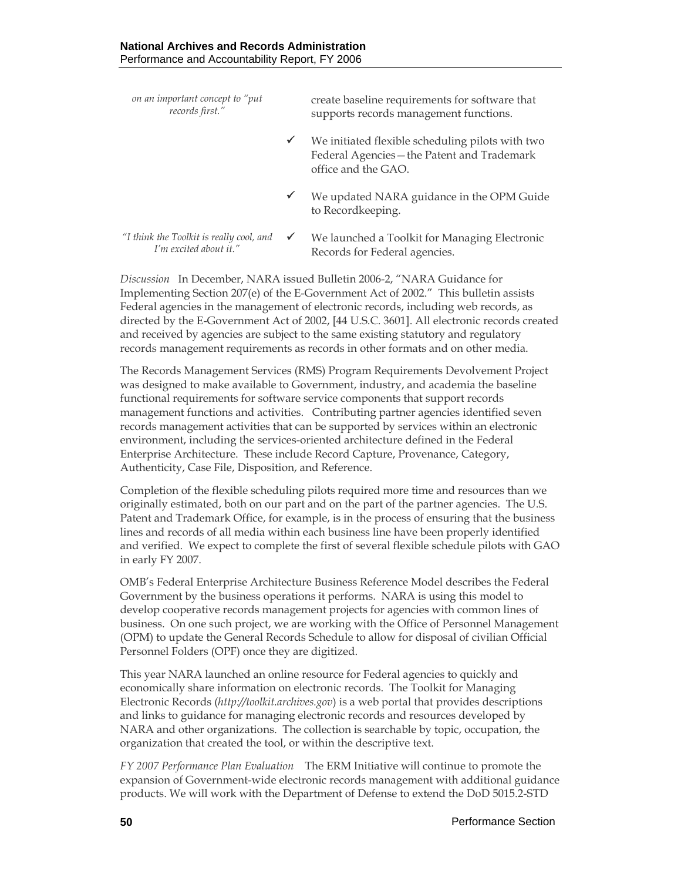*on an important concept to "put records first."* create baseline requirements for software that supports records management functions.  $\checkmark$  We initiated flexible scheduling pilots with two Federal Agencies—the Patent and Trademark office and the GAO.  $\checkmark$  We updated NARA guidance in the OPM Guide to Recordkeeping. *"I think the Toolkit is really cool, and I'm excited about it."*   $\checkmark$  We launched a Toolkit for Managing Electronic Records for Federal agencies.

*Discussion* In December, NARA issued Bulletin 2006-2, "NARA Guidance for Implementing Section 207(e) of the E-Government Act of 2002." This bulletin assists Federal agencies in the management of electronic records, including web records, as directed by the E-Government Act of 2002, [44 U.S.C. 3601]. All electronic records created and received by agencies are subject to the same existing statutory and regulatory records management requirements as records in other formats and on other media.

The Records Management Services (RMS) Program Requirements Devolvement Project was designed to make available to Government, industry, and academia the baseline functional requirements for software service components that support records management functions and activities. Contributing partner agencies identified seven records management activities that can be supported by services within an electronic environment, including the services-oriented architecture defined in the Federal Enterprise Architecture. These include Record Capture, Provenance, Category, Authenticity, Case File, Disposition, and Reference.

Completion of the flexible scheduling pilots required more time and resources than we originally estimated, both on our part and on the part of the partner agencies. The U.S. Patent and Trademark Office, for example, is in the process of ensuring that the business lines and records of all media within each business line have been properly identified and verified. We expect to complete the first of several flexible schedule pilots with GAO in early FY 2007.

OMB's Federal Enterprise Architecture Business Reference Model describes the Federal Government by the business operations it performs. NARA is using this model to develop cooperative records management projects for agencies with common lines of business. On one such project, we are working with the Office of Personnel Management (OPM) to update the General Records Schedule to allow for disposal of civilian Official Personnel Folders (OPF) once they are digitized.

This year NARA launched an online resource for Federal agencies to quickly and economically share information on electronic records. The Toolkit for Managing Electronic Records (*http://toolkit.archives.gov*) is a web portal that provides descriptions and links to guidance for managing electronic records and resources developed by NARA and other organizations. The collection is searchable by topic, occupation, the organization that created the tool, or within the descriptive text.

*FY 2007 Performance Plan Evaluation*The ERM Initiative will continue to promote the expansion of Government-wide electronic records management with additional guidance products. We will work with the Department of Defense to extend the DoD 5015.2-STD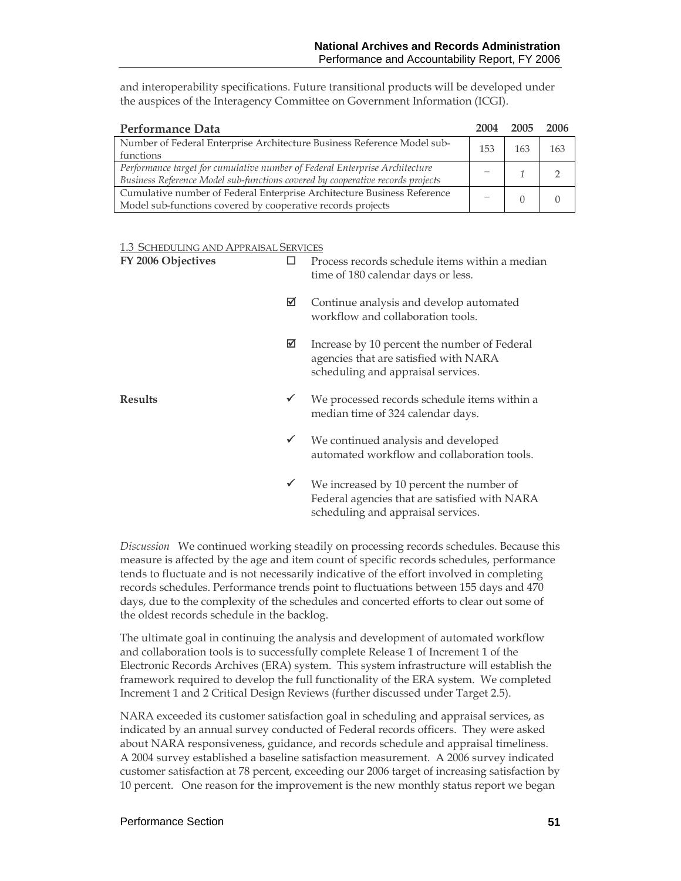and interoperability specifications. Future transitional products will be developed under the auspices of the Interagency Committee on Government Information (ICGI).

| Performance Data                                                               | 2004 | 2005 | 2006 |
|--------------------------------------------------------------------------------|------|------|------|
| Number of Federal Enterprise Architecture Business Reference Model sub-        | 153  | 163  | 163  |
| functions                                                                      |      |      |      |
| Performance target for cumulative number of Federal Enterprise Architecture    |      |      |      |
| Business Reference Model sub-functions covered by cooperative records projects |      |      |      |
| Cumulative number of Federal Enterprise Architecture Business Reference        |      |      |      |
| Model sub-functions covered by cooperative records projects                    |      |      |      |

#### 1.3 SCHEDULING AND APPRAISAL SERVICES

| FY 2006 Objectives |              | Process records schedule items within a median<br>time of 180 calendar days or less.                                            |  |  |
|--------------------|--------------|---------------------------------------------------------------------------------------------------------------------------------|--|--|
|                    | ☑            | Continue analysis and develop automated<br>workflow and collaboration tools.                                                    |  |  |
|                    | ⊠            | Increase by 10 percent the number of Federal<br>agencies that are satisfied with NARA<br>scheduling and appraisal services.     |  |  |
| <b>Results</b>     | $\checkmark$ | We processed records schedule items within a<br>median time of 324 calendar days.                                               |  |  |
|                    | $\checkmark$ | We continued analysis and developed<br>automated workflow and collaboration tools.                                              |  |  |
|                    | ✔            | We increased by 10 percent the number of<br>Federal agencies that are satisfied with NARA<br>scheduling and appraisal services. |  |  |

*Discussion* We continued working steadily on processing records schedules. Because this measure is affected by the age and item count of specific records schedules, performance tends to fluctuate and is not necessarily indicative of the effort involved in completing records schedules. Performance trends point to fluctuations between 155 days and 470 days, due to the complexity of the schedules and concerted efforts to clear out some of the oldest records schedule in the backlog.

The ultimate goal in continuing the analysis and development of automated workflow and collaboration tools is to successfully complete Release 1 of Increment 1 of the Electronic Records Archives (ERA) system. This system infrastructure will establish the framework required to develop the full functionality of the ERA system. We completed Increment 1 and 2 Critical Design Reviews (further discussed under Target 2.5).

NARA exceeded its customer satisfaction goal in scheduling and appraisal services, as indicated by an annual survey conducted of Federal records officers. They were asked about NARA responsiveness, guidance, and records schedule and appraisal timeliness. A 2004 survey established a baseline satisfaction measurement. A 2006 survey indicated customer satisfaction at 78 percent, exceeding our 2006 target of increasing satisfaction by 10 percent. One reason for the improvement is the new monthly status report we began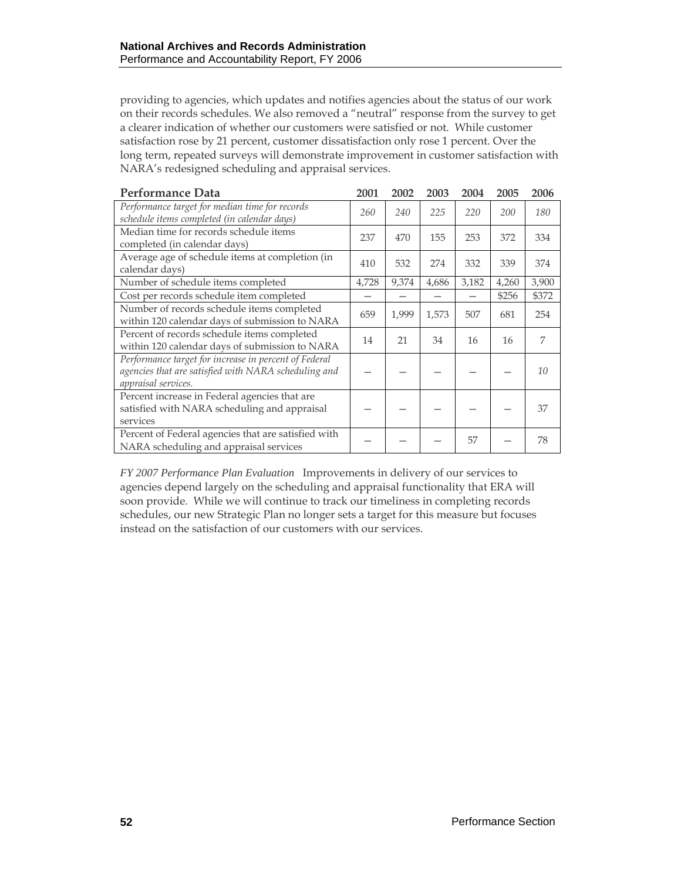providing to agencies, which updates and notifies agencies about the status of our work on their records schedules. We also removed a "neutral" response from the survey to get a clearer indication of whether our customers were satisfied or not. While customer satisfaction rose by 21 percent, customer dissatisfaction only rose 1 percent. Over the long term, repeated surveys will demonstrate improvement in customer satisfaction with NARA's redesigned scheduling and appraisal services.

| <b>Performance Data</b>                                                                                                              | 2001  | 2002  | 2003  | 2004  | 2005  | 2006  |
|--------------------------------------------------------------------------------------------------------------------------------------|-------|-------|-------|-------|-------|-------|
| Performance target for median time for records<br>schedule items completed (in calendar days)                                        | 260   | 240   | 225   | 220   | 200   | 180   |
| Median time for records schedule items<br>completed (in calendar days)                                                               | 237   | 470   | 155   | 253   | 372   | 334   |
| Average age of schedule items at completion (in<br>calendar days)                                                                    | 410   | 532   | 274   | 332   | 339   | 374   |
| Number of schedule items completed                                                                                                   | 4,728 | 9,374 | 4,686 | 3,182 | 4,260 | 3,900 |
| Cost per records schedule item completed                                                                                             |       |       |       |       | \$256 | \$372 |
| Number of records schedule items completed<br>within 120 calendar days of submission to NARA                                         | 659   | 1,999 | 1,573 | 507   | 681   | 254   |
| Percent of records schedule items completed<br>within 120 calendar days of submission to NARA                                        | 14    | 21    | 34    | 16    | 16    | 7     |
| Performance target for increase in percent of Federal<br>agencies that are satisfied with NARA scheduling and<br>appraisal services. |       |       |       |       |       | 10    |
| Percent increase in Federal agencies that are<br>satisfied with NARA scheduling and appraisal<br>services                            |       |       |       |       |       | 37    |
| Percent of Federal agencies that are satisfied with<br>NARA scheduling and appraisal services                                        |       |       |       | 57    |       | 78    |

*FY 2007 Performance Plan Evaluation*Improvements in delivery of our services to agencies depend largely on the scheduling and appraisal functionality that ERA will soon provide. While we will continue to track our timeliness in completing records schedules, our new Strategic Plan no longer sets a target for this measure but focuses instead on the satisfaction of our customers with our services.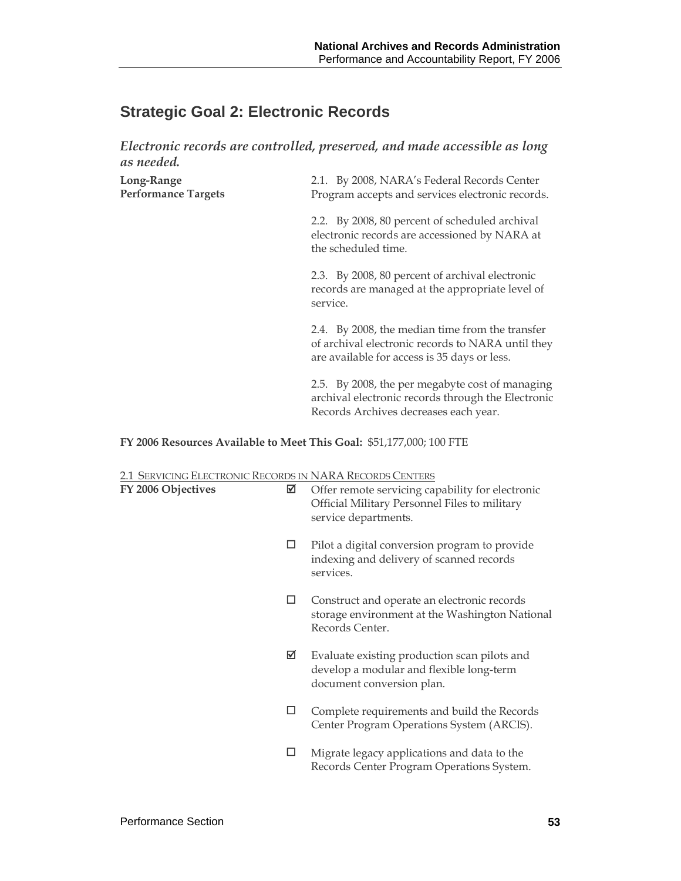# **Strategic Goal 2: Electronic Records**

*Electronic records are controlled, preserved, and made accessible as long as needed.* 

| Long-Range<br><b>Performance Targets</b> | 2.1. By 2008, NARA's Federal Records Center<br>Program accepts and services electronic records.                                                      |
|------------------------------------------|------------------------------------------------------------------------------------------------------------------------------------------------------|
|                                          | 2.2. By 2008, 80 percent of scheduled archival<br>electronic records are accessioned by NARA at<br>the scheduled time.                               |
|                                          | 2.3. By 2008, 80 percent of archival electronic<br>records are managed at the appropriate level of<br>service.                                       |
|                                          | 2.4. By 2008, the median time from the transfer<br>of archival electronic records to NARA until they<br>are available for access is 35 days or less. |
|                                          | 2.5. By 2008, the per megabyte cost of managing                                                                                                      |

archival electronic records through the Electronic Records Archives decreases each year.

#### **FY 2006 Resources Available to Meet This Goal:** \$51,177,000; 100 FTE

#### 2.1 SERVICING ELECTRONIC RECORDS IN NARA RECORDS CENTERS

| FY 2006 Objectives | ☑ | Offer remote servicing capability for electronic<br>Official Military Personnel Files to military<br>service departments. |
|--------------------|---|---------------------------------------------------------------------------------------------------------------------------|
|                    | □ | Pilot a digital conversion program to provide<br>indexing and delivery of scanned records<br>services.                    |
|                    | ப | Construct and operate an electronic records<br>storage environment at the Washington National<br>Records Center.          |
|                    | ⊠ | Evaluate existing production scan pilots and<br>develop a modular and flexible long-term<br>document conversion plan.     |
|                    |   | Complete requirements and build the Records<br>Center Program Operations System (ARCIS).                                  |
|                    |   | Migrate legacy applications and data to the<br>Records Center Program Operations System.                                  |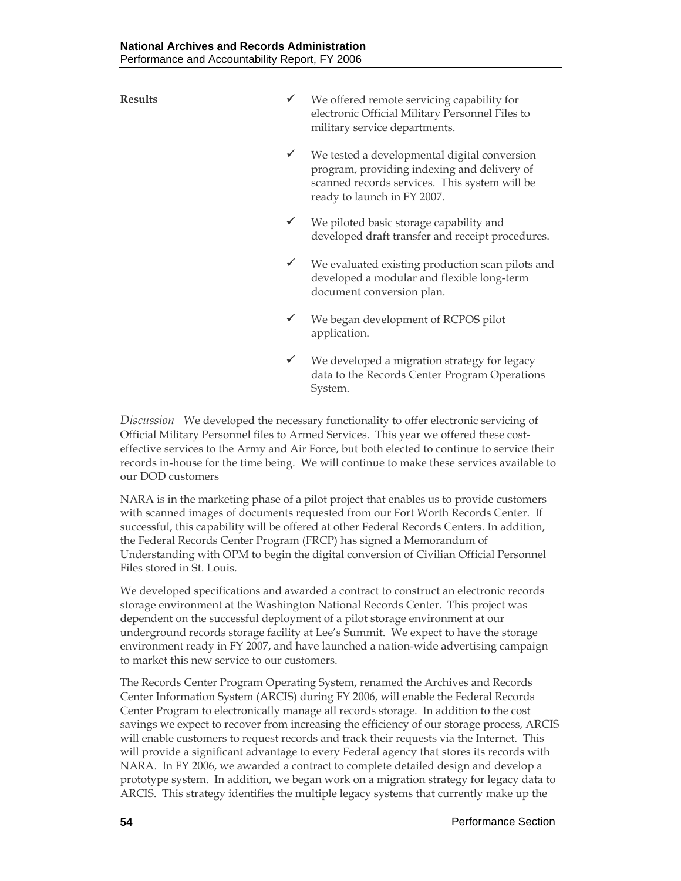- **Results**  $\checkmark$  We offered remote servicing capability for electronic Official Military Personnel Files to military service departments.
	- $\checkmark$  We tested a developmental digital conversion program, providing indexing and delivery of scanned records services. This system will be ready to launch in FY 2007.
	- We piloted basic storage capability and developed draft transfer and receipt procedures.
	- $\checkmark$  We evaluated existing production scan pilots and developed a modular and flexible long-term document conversion plan.
	- $\checkmark$  We began development of RCPOS pilot application.
	- $\checkmark$  We developed a migration strategy for legacy data to the Records Center Program Operations System.

*Discussion* We developed the necessary functionality to offer electronic servicing of Official Military Personnel files to Armed Services. This year we offered these costeffective services to the Army and Air Force, but both elected to continue to service their records in-house for the time being. We will continue to make these services available to our DOD customers

NARA is in the marketing phase of a pilot project that enables us to provide customers with scanned images of documents requested from our Fort Worth Records Center. If successful, this capability will be offered at other Federal Records Centers. In addition, the Federal Records Center Program (FRCP) has signed a Memorandum of Understanding with OPM to begin the digital conversion of Civilian Official Personnel Files stored in St. Louis.

We developed specifications and awarded a contract to construct an electronic records storage environment at the Washington National Records Center. This project was dependent on the successful deployment of a pilot storage environment at our underground records storage facility at Lee's Summit. We expect to have the storage environment ready in FY 2007, and have launched a nation-wide advertising campaign to market this new service to our customers.

The Records Center Program Operating System, renamed the Archives and Records Center Information System (ARCIS) during FY 2006, will enable the Federal Records Center Program to electronically manage all records storage. In addition to the cost savings we expect to recover from increasing the efficiency of our storage process, ARCIS will enable customers to request records and track their requests via the Internet. This will provide a significant advantage to every Federal agency that stores its records with NARA. In FY 2006, we awarded a contract to complete detailed design and develop a prototype system. In addition, we began work on a migration strategy for legacy data to ARCIS. This strategy identifies the multiple legacy systems that currently make up the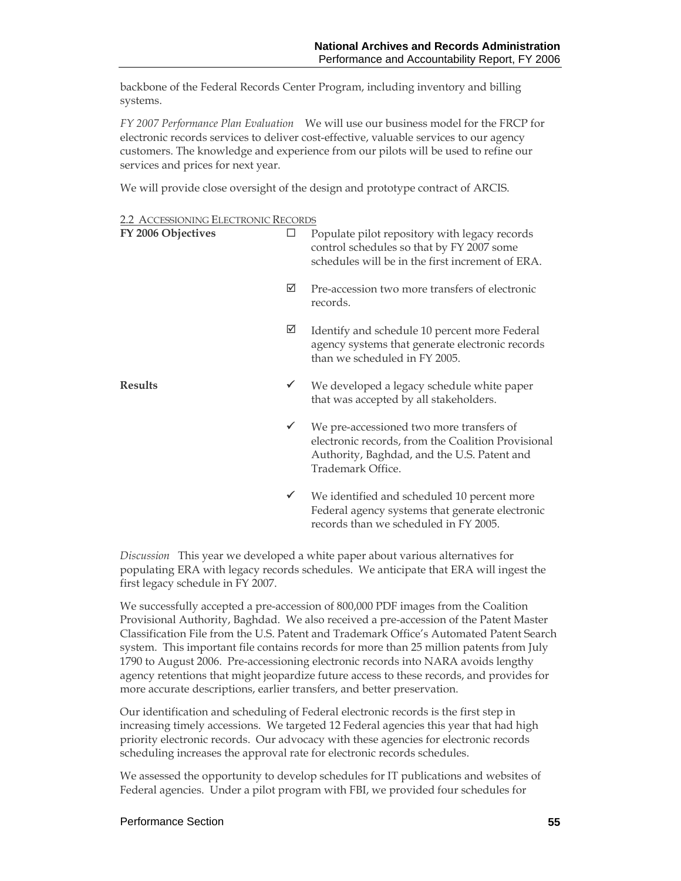backbone of the Federal Records Center Program, including inventory and billing systems.

*FY 2007 Performance Plan Evaluation* We will use our business model for the FRCP for electronic records services to deliver cost-effective, valuable services to our agency customers. The knowledge and experience from our pilots will be used to refine our services and prices for next year.

We will provide close oversight of the design and prototype contract of ARCIS.

| <b>2.2 ACCESSIONING ELECTRONIC RECORDS</b> |
|--------------------------------------------|
|--------------------------------------------|

| FY 2006 Objectives | □            | Populate pilot repository with legacy records<br>control schedules so that by FY 2007 some<br>schedules will be in the first increment of ERA.                     |
|--------------------|--------------|--------------------------------------------------------------------------------------------------------------------------------------------------------------------|
|                    | ☑            | Pre-accession two more transfers of electronic<br>records.                                                                                                         |
|                    | ☑            | Identify and schedule 10 percent more Federal<br>agency systems that generate electronic records<br>than we scheduled in FY 2005.                                  |
| <b>Results</b>     | $\checkmark$ | We developed a legacy schedule white paper<br>that was accepted by all stakeholders.                                                                               |
|                    | $\checkmark$ | We pre-accessioned two more transfers of<br>electronic records, from the Coalition Provisional<br>Authority, Baghdad, and the U.S. Patent and<br>Trademark Office. |
|                    | $\checkmark$ | We identified and scheduled 10 percent more<br>Federal agency systems that generate electronic                                                                     |

*Discussion* This year we developed a white paper about various alternatives for populating ERA with legacy records schedules. We anticipate that ERA will ingest the first legacy schedule in FY 2007.

records than we scheduled in FY 2005.

We successfully accepted a pre-accession of 800,000 PDF images from the Coalition Provisional Authority, Baghdad. We also received a pre-accession of the Patent Master Classification File from the U.S. Patent and Trademark Office's Automated Patent Search system. This important file contains records for more than 25 million patents from July 1790 to August 2006. Pre-accessioning electronic records into NARA avoids lengthy agency retentions that might jeopardize future access to these records, and provides for more accurate descriptions, earlier transfers, and better preservation.

Our identification and scheduling of Federal electronic records is the first step in increasing timely accessions. We targeted 12 Federal agencies this year that had high priority electronic records. Our advocacy with these agencies for electronic records scheduling increases the approval rate for electronic records schedules.

We assessed the opportunity to develop schedules for IT publications and websites of Federal agencies. Under a pilot program with FBI, we provided four schedules for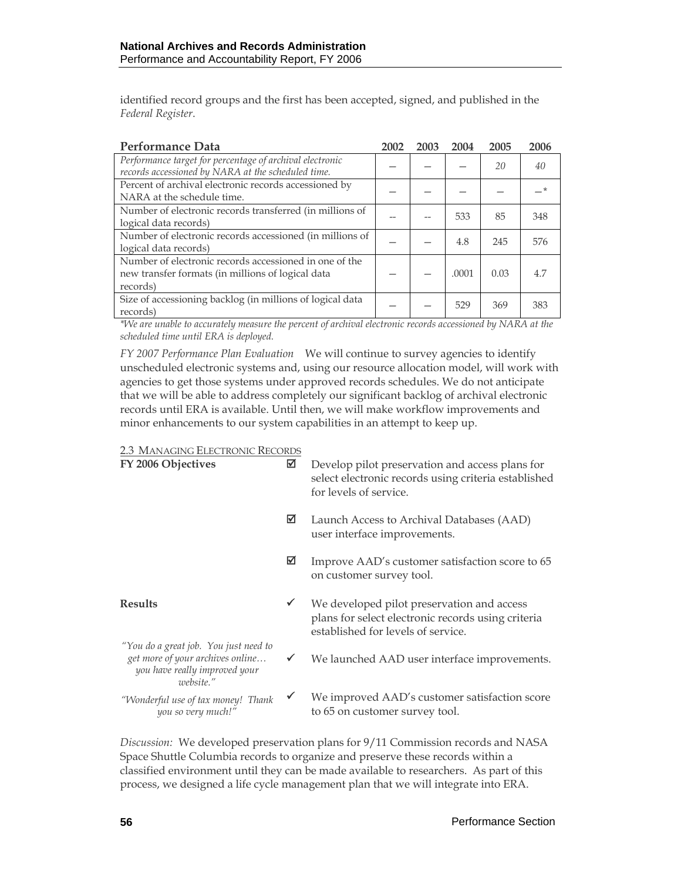identified record groups and the first has been accepted, signed, and published in the *Federal Register*.

| <b>Performance Data</b>                                                                                                 | 2002 | 2003 | 2004  | 2005 | 2006 |
|-------------------------------------------------------------------------------------------------------------------------|------|------|-------|------|------|
| Performance target for percentage of archival electronic<br>records accessioned by NARA at the scheduled time.          |      |      |       | 20   | 40   |
| Percent of archival electronic records accessioned by<br>NARA at the schedule time.                                     |      |      |       |      |      |
| Number of electronic records transferred (in millions of<br>logical data records)                                       |      |      | 533   | 85   | 348  |
| Number of electronic records accessioned (in millions of<br>logical data records)                                       |      |      | 4.8   | 245  | 576  |
| Number of electronic records accessioned in one of the<br>new transfer formats (in millions of logical data<br>records) |      |      | .0001 | 0.03 | 4.7  |
| Size of accessioning backlog (in millions of logical data<br>records)                                                   |      |      | 529   | 369  | 383  |

*\*We are unable to accurately measure the percent of archival electronic records accessioned by NARA at the scheduled time until ERA is deployed.* 

*FY 2007 Performance Plan Evaluation*We will continue to survey agencies to identify unscheduled electronic systems and, using our resource allocation model, will work with agencies to get those systems under approved records schedules. We do not anticipate that we will be able to address completely our significant backlog of archival electronic records until ERA is available. Until then, we will make workflow improvements and minor enhancements to our system capabilities in an attempt to keep up.

2.3 MANAGING ELECTRONIC RECORDS

| FY 2006 Objectives                                                                                                      | ☑ | Develop pilot preservation and access plans for<br>select electronic records using criteria established<br>for levels of service.      |
|-------------------------------------------------------------------------------------------------------------------------|---|----------------------------------------------------------------------------------------------------------------------------------------|
|                                                                                                                         | ⊠ | Launch Access to Archival Databases (AAD)<br>user interface improvements.                                                              |
|                                                                                                                         | ☑ | Improve AAD's customer satisfaction score to 65<br>on customer survey tool.                                                            |
| <b>Results</b>                                                                                                          | ✓ | We developed pilot preservation and access<br>plans for select electronic records using criteria<br>established for levels of service. |
| "You do a great job. You just need to<br>get more of your archives online<br>you have really improved your<br>website." | ✔ | We launched AAD user interface improvements.                                                                                           |
| "Wonderful use of tax money! Thank<br>you so very much!"                                                                | ✔ | We improved AAD's customer satisfaction score<br>to 65 on customer survey tool.                                                        |

*Discussion:* We developed preservation plans for 9/11 Commission records and NASA Space Shuttle Columbia records to organize and preserve these records within a classified environment until they can be made available to researchers. As part of this process, we designed a life cycle management plan that we will integrate into ERA.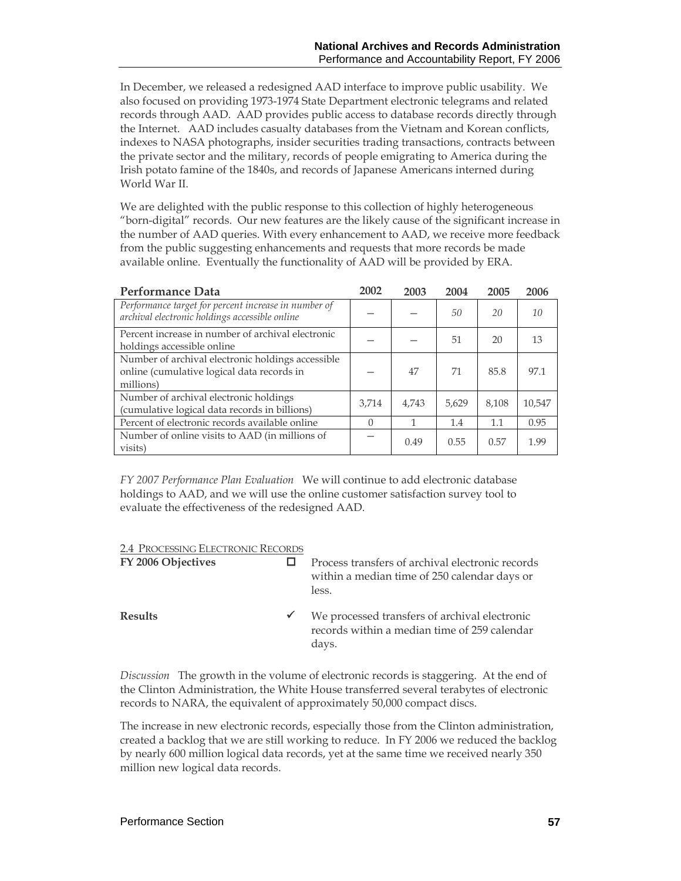In December, we released a redesigned AAD interface to improve public usability. We also focused on providing 1973-1974 State Department electronic telegrams and related records through AAD. AAD provides public access to database records directly through the Internet. AAD includes casualty databases from the Vietnam and Korean conflicts, indexes to NASA photographs, insider securities trading transactions, contracts between the private sector and the military, records of people emigrating to America during the Irish potato famine of the 1840s, and records of Japanese Americans interned during World War II.

We are delighted with the public response to this collection of highly heterogeneous "born-digital" records. Our new features are the likely cause of the significant increase in the number of AAD queries. With every enhancement to AAD, we receive more feedback from the public suggesting enhancements and requests that more records be made available online. Eventually the functionality of AAD will be provided by ERA.

| <b>Performance Data</b>                                                                                      | 2002  | 2003  | 2004  | 2005  | 2006   |
|--------------------------------------------------------------------------------------------------------------|-------|-------|-------|-------|--------|
| Performance target for percent increase in number of<br>archival electronic holdings accessible online       |       |       | 50    | 20    | 10     |
| Percent increase in number of archival electronic<br>holdings accessible online                              |       |       | 51    | 20    | 13     |
| Number of archival electronic holdings accessible<br>online (cumulative logical data records in<br>millions) |       | 47    | 71    | 85.8  | 97.1   |
| Number of archival electronic holdings<br>(cumulative logical data records in billions)                      | 3,714 | 4.743 | 5.629 | 8,108 | 10,547 |
| Percent of electronic records available online                                                               | 0     |       | 1.4   | 1.1   | 0.95   |
| Number of online visits to AAD (in millions of<br>visits)                                                    |       | 0.49  | 0.55  | 0.57  | 1.99   |

*FY 2007 Performance Plan Evaluation* We will continue to add electronic database holdings to AAD, and we will use the online customer satisfaction survey tool to evaluate the effectiveness of the redesigned AAD.

| 2.4 PROCESSING ELECTRONIC RECORDS |
|-----------------------------------|
|-----------------------------------|

| FY 2006 Objectives |              | Process transfers of archival electronic records<br>within a median time of 250 calendar days or<br>less. |
|--------------------|--------------|-----------------------------------------------------------------------------------------------------------|
| <b>Results</b>     | $\checkmark$ | We processed transfers of archival electronic<br>records within a median time of 259 calendar<br>days.    |

*Discussion* The growth in the volume of electronic records is staggering. At the end of the Clinton Administration, the White House transferred several terabytes of electronic records to NARA, the equivalent of approximately 50,000 compact discs.

The increase in new electronic records, especially those from the Clinton administration, created a backlog that we are still working to reduce. In FY 2006 we reduced the backlog by nearly 600 million logical data records, yet at the same time we received nearly 350 million new logical data records.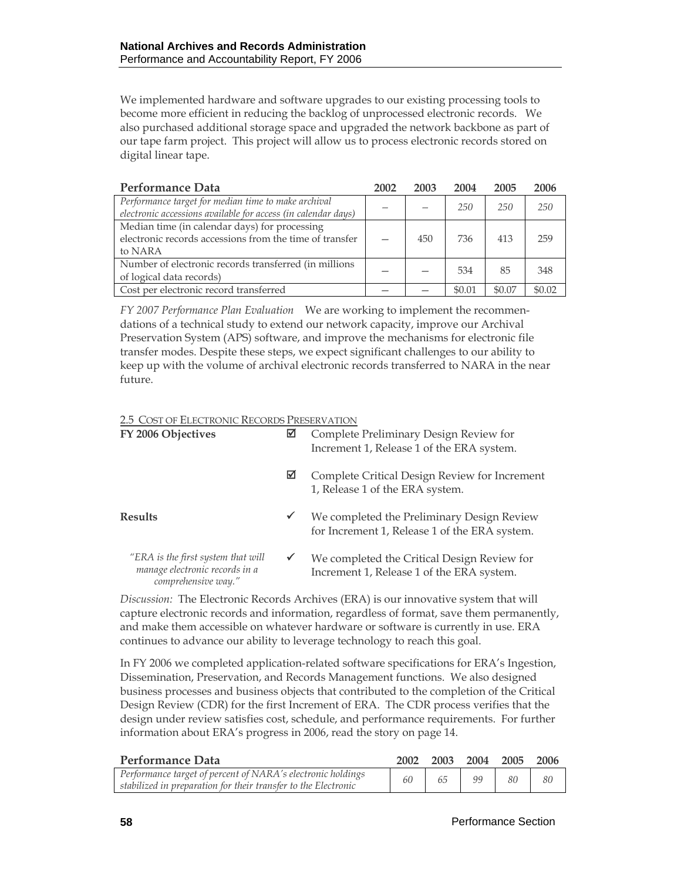We implemented hardware and software upgrades to our existing processing tools to become more efficient in reducing the backlog of unprocessed electronic records. We also purchased additional storage space and upgraded the network backbone as part of our tape farm project. This project will allow us to process electronic records stored on digital linear tape.

| Performance Data                                                                                                     | 2002 | 2003 | 2004   | 2005   | 2006   |
|----------------------------------------------------------------------------------------------------------------------|------|------|--------|--------|--------|
| Performance target for median time to make archival<br>electronic accessions available for access (in calendar days) |      |      | 250    | 250    | 250    |
| Median time (in calendar days) for processing<br>electronic records accessions from the time of transfer<br>to NARA  |      | 450  | 736    | 413    | 259    |
| Number of electronic records transferred (in millions<br>of logical data records)                                    |      |      | 534    | 85     | 348    |
| Cost per electronic record transferred                                                                               |      |      | \$0.01 | \$0.07 | \$0.02 |

*FY 2007 Performance Plan Evaluation*We are working to implement the recommendations of a technical study to extend our network capacity, improve our Archival Preservation System (APS) software, and improve the mechanisms for electronic file transfer modes. Despite these steps, we expect significant challenges to our ability to keep up with the volume of archival electronic records transferred to NARA in the near future.

#### 2.5 COST OF ELECTRONIC RECORDS PRESERVATION

| FY 2006 Objectives                                                                          | ☑            | Complete Preliminary Design Review for<br>Increment 1, Release 1 of the ERA system.         |
|---------------------------------------------------------------------------------------------|--------------|---------------------------------------------------------------------------------------------|
|                                                                                             | ⊠            | Complete Critical Design Review for Increment<br>1, Release 1 of the ERA system.            |
| <b>Results</b>                                                                              | ✔            | We completed the Preliminary Design Review<br>for Increment 1, Release 1 of the ERA system. |
| "ERA is the first system that will<br>manage electronic records in a<br>comprehensive way." | $\checkmark$ | We completed the Critical Design Review for<br>Increment 1, Release 1 of the ERA system.    |

*Discussion:* The Electronic Records Archives (ERA) is our innovative system that will capture electronic records and information, regardless of format, save them permanently, and make them accessible on whatever hardware or software is currently in use. ERA continues to advance our ability to leverage technology to reach this goal.

In FY 2006 we completed application-related software specifications for ERA's Ingestion, Dissemination, Preservation, and Records Management functions. We also designed business processes and business objects that contributed to the completion of the Critical Design Review (CDR) for the first Increment of ERA. The CDR process verifies that the design under review satisfies cost, schedule, and performance requirements. For further information about ERA's progress in 2006, read the story on page 14.

| Performance Data                                                                                                              | 2002 |    | 2003 2004 2005 |    | - 2006 |
|-------------------------------------------------------------------------------------------------------------------------------|------|----|----------------|----|--------|
| Performance target of percent of NARA's electronic holdings<br>stabilized in preparation for their transfer to the Electronic | 60   | 65 | 99             | 80 | 80     |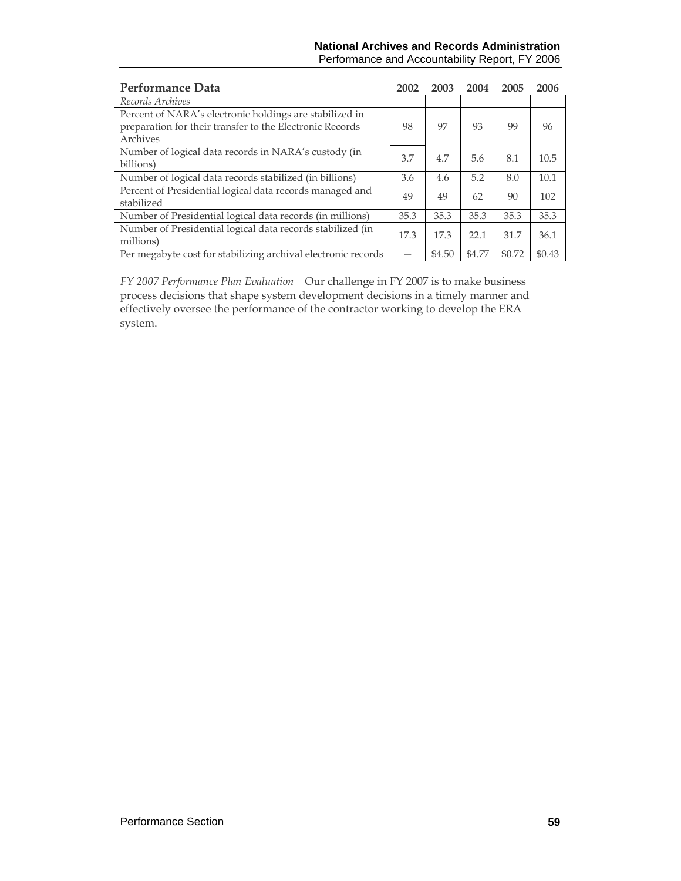#### **National Archives and Records Administration**  Performance and Accountability Report, FY 2006

| Performance Data                                                                                                                | 2002 | 2003   | 2004   | 2005   | 2006   |
|---------------------------------------------------------------------------------------------------------------------------------|------|--------|--------|--------|--------|
| Records Archives                                                                                                                |      |        |        |        |        |
| Percent of NARA's electronic holdings are stabilized in<br>preparation for their transfer to the Electronic Records<br>Archives | 98   | 97     | 93     | 99     | 96     |
| Number of logical data records in NARA's custody (in<br>billions)                                                               | 3.7  | 4.7    | 5.6    | 8.1    | 10.5   |
| Number of logical data records stabilized (in billions)                                                                         | 3.6  | 4.6    | 5.2    | 8.0    | 10.1   |
| Percent of Presidential logical data records managed and<br>stabilized                                                          | 49   | 49     | 62     | 90     | 102    |
| Number of Presidential logical data records (in millions)                                                                       | 35.3 | 35.3   | 35.3   | 35.3   | 35.3   |
| Number of Presidential logical data records stabilized (in<br>millions)                                                         | 17.3 | 17.3   | 22.1   | 31.7   | 36.1   |
| Per megabyte cost for stabilizing archival electronic records                                                                   |      | \$4.50 | \$4.77 | \$0.72 | \$0.43 |

*FY 2007 Performance Plan Evaluation*Our challenge in FY 2007 is to make business process decisions that shape system development decisions in a timely manner and effectively oversee the performance of the contractor working to develop the ERA system.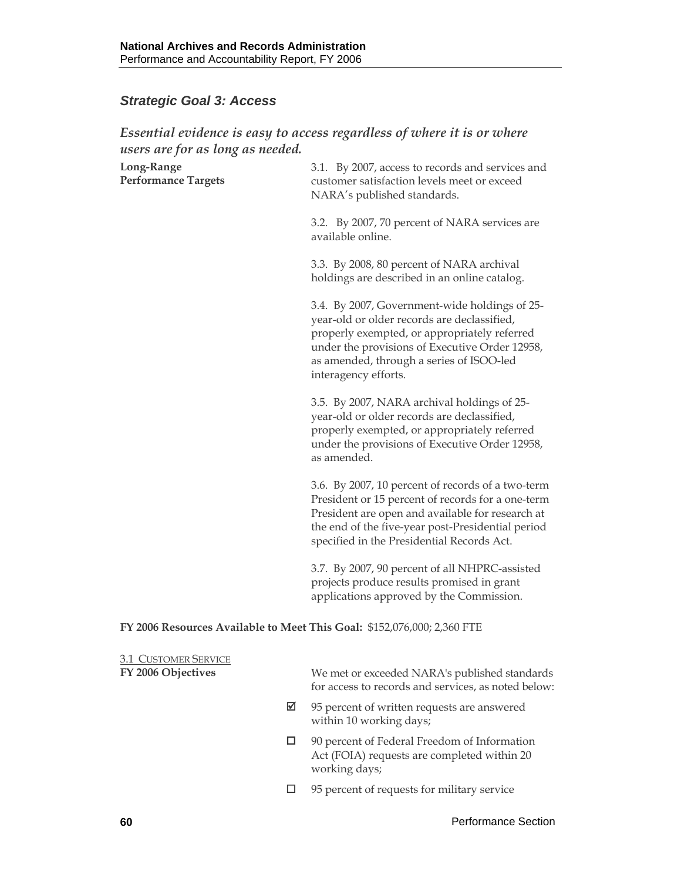# *Strategic Goal 3: Access*

## *Essential evidence is easy to access regardless of where it is or where users are for as long as needed.*

| Long-Range<br><b>Performance Targets</b>                                | 3.1. By 2007, access to records and services and<br>customer satisfaction levels meet or exceed<br>NARA's published standards.                                                                                                                                     |
|-------------------------------------------------------------------------|--------------------------------------------------------------------------------------------------------------------------------------------------------------------------------------------------------------------------------------------------------------------|
|                                                                         | 3.2. By 2007, 70 percent of NARA services are<br>available online.                                                                                                                                                                                                 |
|                                                                         | 3.3. By 2008, 80 percent of NARA archival<br>holdings are described in an online catalog.                                                                                                                                                                          |
|                                                                         | 3.4. By 2007, Government-wide holdings of 25-<br>year-old or older records are declassified,<br>properly exempted, or appropriately referred<br>under the provisions of Executive Order 12958,<br>as amended, through a series of ISOO-led<br>interagency efforts. |
|                                                                         | 3.5. By 2007, NARA archival holdings of 25-<br>year-old or older records are declassified,<br>properly exempted, or appropriately referred<br>under the provisions of Executive Order 12958,<br>as amended.                                                        |
|                                                                         | 3.6. By 2007, 10 percent of records of a two-term<br>President or 15 percent of records for a one-term<br>President are open and available for research at<br>the end of the five-year post-Presidential period<br>specified in the Presidential Records Act.      |
|                                                                         | 3.7. By 2007, 90 percent of all NHPRC-assisted<br>projects produce results promised in grant<br>applications approved by the Commission.                                                                                                                           |
| FY 2006 Resources Available to Meet This Goal: \$152,076,000; 2,360 FTE |                                                                                                                                                                                                                                                                    |
| <b>3.1 CUSTOMER SERVICE</b><br>FY 2006 Objectives                       | We met or exceeded NARA's published standards<br>for access to records and services, as noted below:                                                                                                                                                               |
| ☑                                                                       | 95 percent of written requests are answered<br>within 10 working days;                                                                                                                                                                                             |

- □ 90 percent of Federal Freedom of Information Act (FOIA) requests are completed within 20 working days;
- 95 percent of requests for military service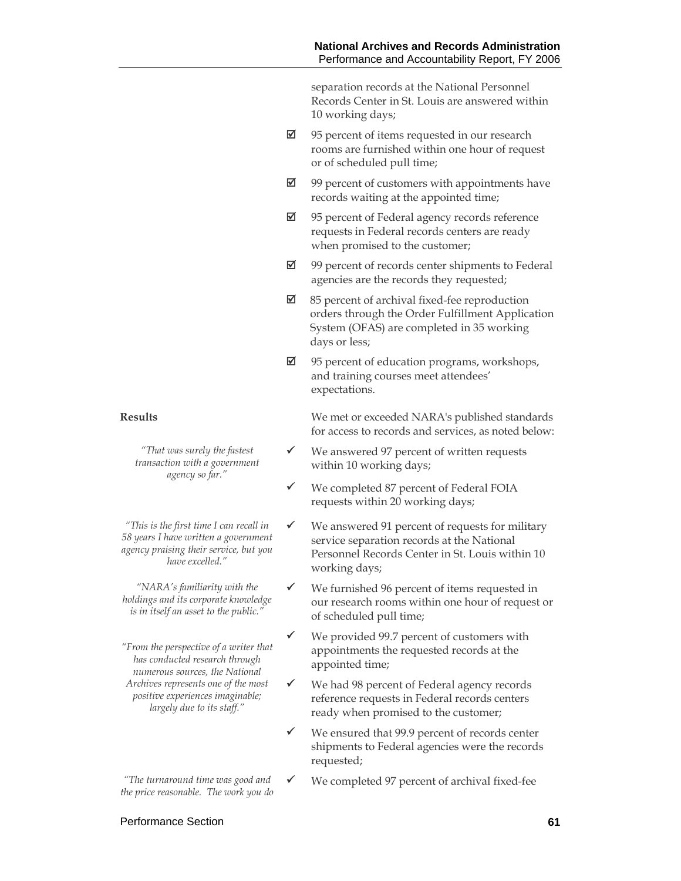separation records at the National Personnel Records Center in St. Louis are answered within 10 working days;

- $\boxtimes$  95 percent of items requested in our research rooms are furnished within one hour of request or of scheduled pull time;
- $\boxtimes$  99 percent of customers with appointments have records waiting at the appointed time;
- $\boxtimes$  95 percent of Federal agency records reference requests in Federal records centers are ready when promised to the customer;
- $\boxtimes$  99 percent of records center shipments to Federal agencies are the records they requested;
- $\boxtimes$  85 percent of archival fixed-fee reproduction orders through the Order Fulfillment Application System (OFAS) are completed in 35 working days or less;
- $\boxtimes$  95 percent of education programs, workshops, and training courses meet attendees' expectations.

**Results** We met or exceeded NARA's published standards for access to records and services, as noted below:

- $\checkmark$  We answered 97 percent of written requests within 10 working days;
- $\checkmark$  We completed 87 percent of Federal FOIA requests within 20 working days;
- $\checkmark$  We answered 91 percent of requests for military service separation records at the National Personnel Records Center in St. Louis within 10 working days;
- $\checkmark$  We furnished 96 percent of items requested in our research rooms within one hour of request or of scheduled pull time;
- $\checkmark$  We provided 99.7 percent of customers with appointments the requested records at the appointed time;
- $\checkmark$  We had 98 percent of Federal agency records reference requests in Federal records centers ready when promised to the customer;
- $\checkmark$  We ensured that 99.9 percent of records center shipments to Federal agencies were the records requested;
- $\checkmark$  We completed 97 percent of archival fixed-fee

*"That was surely the fastest transaction with a government agency so far."*

*"This is the first time I can recall in 58 years I have written a government agency praising their service, but you have excelled."* 

*"NARA's familiarity with the holdings and its corporate knowledge is in itself an asset to the public."* 

*"From the perspective of a writer that has conducted research through numerous sources, the National Archives represents one of the most positive experiences imaginable; largely due to its staff."* 

*"The turnaround time was good and the price reasonable. The work you do*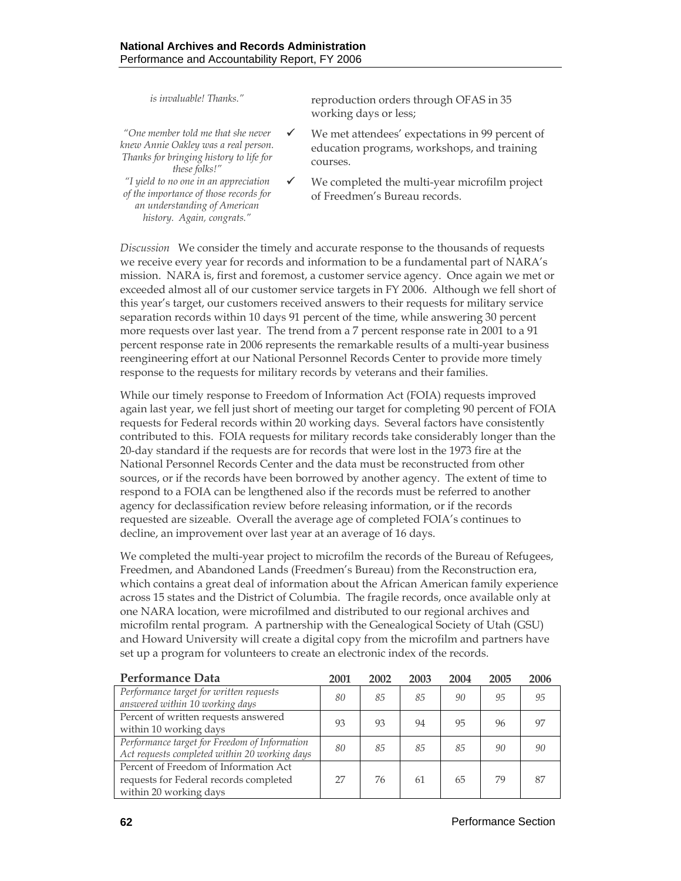*"One member told me that she never knew Annie Oakley was a real person. Thanks for bringing history to life for these folks!" "I yield to no one in an appreciation* 

*of the importance of those records for an understanding of American history. Again, congrats."* 

*is invaluable! Thanks."* reproduction orders through OFAS in 35 working days or less;

- $\checkmark$  We met attendees' expectations in 99 percent of education programs, workshops, and training courses.
- $\checkmark$  We completed the multi-year microfilm project of Freedmen's Bureau records.

*Discussion* We consider the timely and accurate response to the thousands of requests we receive every year for records and information to be a fundamental part of NARA's mission. NARA is, first and foremost, a customer service agency. Once again we met or exceeded almost all of our customer service targets in FY 2006. Although we fell short of this year's target, our customers received answers to their requests for military service separation records within 10 days 91 percent of the time, while answering 30 percent more requests over last year. The trend from a 7 percent response rate in 2001 to a 91 percent response rate in 2006 represents the remarkable results of a multi-year business reengineering effort at our National Personnel Records Center to provide more timely response to the requests for military records by veterans and their families.

While our timely response to Freedom of Information Act (FOIA) requests improved again last year, we fell just short of meeting our target for completing 90 percent of FOIA requests for Federal records within 20 working days. Several factors have consistently contributed to this. FOIA requests for military records take considerably longer than the 20-day standard if the requests are for records that were lost in the 1973 fire at the National Personnel Records Center and the data must be reconstructed from other sources, or if the records have been borrowed by another agency. The extent of time to respond to a FOIA can be lengthened also if the records must be referred to another agency for declassification review before releasing information, or if the records requested are sizeable. Overall the average age of completed FOIA's continues to decline, an improvement over last year at an average of 16 days.

We completed the multi-year project to microfilm the records of the Bureau of Refugees, Freedmen, and Abandoned Lands (Freedmen's Bureau) from the Reconstruction era, which contains a great deal of information about the African American family experience across 15 states and the District of Columbia. The fragile records, once available only at one NARA location, were microfilmed and distributed to our regional archives and microfilm rental program. A partnership with the Genealogical Society of Utah (GSU) and Howard University will create a digital copy from the microfilm and partners have set up a program for volunteers to create an electronic index of the records.

| <b>Performance Data</b>                                                                                   | 2001 | 2002 | 2003 | 2004 | 2005 | 2006 |
|-----------------------------------------------------------------------------------------------------------|------|------|------|------|------|------|
| Performance target for written requests<br>answered within 10 working days                                | 80   | 85   | 85   | 90   | 95   | 95   |
| Percent of written requests answered<br>within 10 working days                                            | 93   | 93   | 94   | 95   | 96   | 97   |
| Performance target for Freedom of Information<br>Act requests completed within 20 working days            | 80   | 85   | 85   | 85   | 90   | 90   |
| Percent of Freedom of Information Act<br>requests for Federal records completed<br>within 20 working days | 27   | 76   | 61   | 65   | 79   | 87   |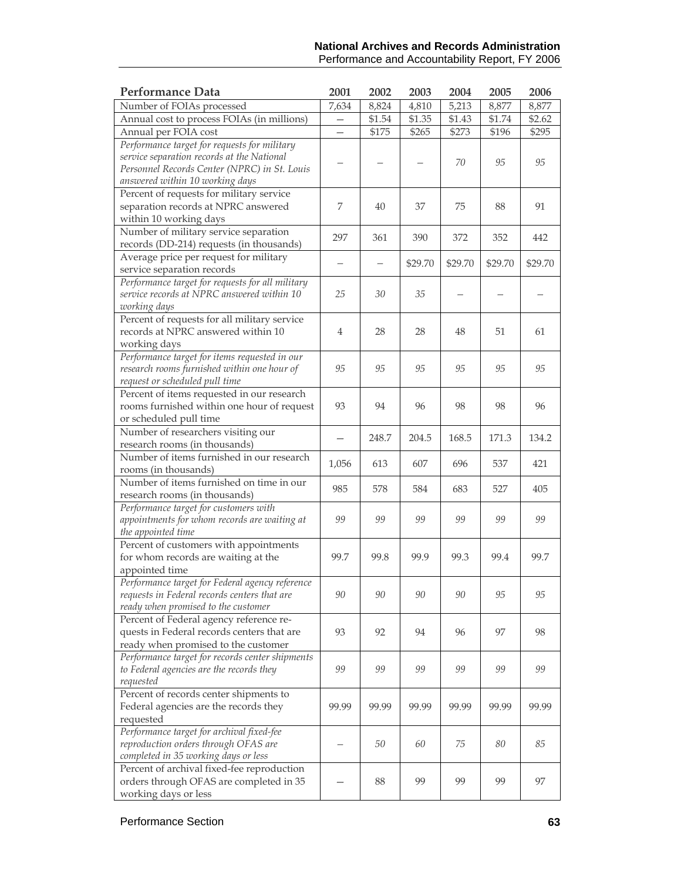#### **National Archives and Records Administration**  Performance and Accountability Report, FY 2006

| Performance Data                                                                               | 2001              | 2002   | 2003    | 2004    | 2005    | 2006    |
|------------------------------------------------------------------------------------------------|-------------------|--------|---------|---------|---------|---------|
| Number of FOIAs processed                                                                      | 7,634             | 8,824  | 4,810   | 5,213   | 8,877   | 8,877   |
| Annual cost to process FOIAs (in millions)                                                     |                   | \$1.54 | \$1.35  | \$1.43  | \$1.74  | \$2.62  |
| Annual per FOIA cost                                                                           | $\qquad \qquad -$ | \$175  | \$265   | \$273   | \$196   | \$295   |
| Performance target for requests for military                                                   |                   |        |         |         |         |         |
| service separation records at the National                                                     |                   |        |         | 70      | 95      | 95      |
| Personnel Records Center (NPRC) in St. Louis                                                   |                   |        |         |         |         |         |
| answered within 10 working days                                                                |                   |        |         |         |         |         |
| Percent of requests for military service                                                       |                   |        |         |         |         |         |
| separation records at NPRC answered                                                            | 7                 | 40     | 37      | 75      | 88      | 91      |
| within 10 working days                                                                         |                   |        |         |         |         |         |
| Number of military service separation                                                          | 297               | 361    | 390     | 372     | 352     | 442     |
| records (DD-214) requests (in thousands)                                                       |                   |        |         |         |         |         |
| Average price per request for military                                                         | —                 |        | \$29.70 | \$29.70 | \$29.70 | \$29.70 |
| service separation records                                                                     |                   |        |         |         |         |         |
| Performance target for requests for all military<br>service records at NPRC answered within 10 | 25                | 30     | 35      |         |         |         |
| working days                                                                                   |                   |        |         |         |         |         |
| Percent of requests for all military service                                                   |                   |        |         |         |         |         |
| records at NPRC answered within 10                                                             | 4                 | 28     | 28      | 48      | 51      | 61      |
| working days                                                                                   |                   |        |         |         |         |         |
| Performance target for items requested in our                                                  |                   |        |         |         |         |         |
| research rooms furnished within one hour of                                                    | 95                | 95     | 95      | 95      | 95      | 95      |
| request or scheduled pull time                                                                 |                   |        |         |         |         |         |
| Percent of items requested in our research                                                     |                   |        |         |         |         |         |
| rooms furnished within one hour of request                                                     | 93                | 94     | 96      | 98      | 98      | 96      |
| or scheduled pull time                                                                         |                   |        |         |         |         |         |
| Number of researchers visiting our                                                             |                   | 248.7  | 204.5   | 168.5   | 171.3   | 134.2   |
| research rooms (in thousands)                                                                  |                   |        |         |         |         |         |
| Number of items furnished in our research                                                      | 1,056             | 613    | 607     | 696     | 537     | 421     |
| rooms (in thousands)                                                                           |                   |        |         |         |         |         |
| Number of items furnished on time in our                                                       | 985               | 578    | 584     | 683     | 527     | 405     |
| research rooms (in thousands)                                                                  |                   |        |         |         |         |         |
| Performance target for customers with                                                          |                   |        |         |         |         |         |
| appointments for whom records are waiting at                                                   | 99                | 99     | 99      | 99      | 99      | 99      |
| the appointed time                                                                             |                   |        |         |         |         |         |
| Percent of customers with appointments                                                         |                   |        |         |         |         |         |
| for whom records are waiting at the                                                            | 99.7              | 99.8   | 99.9    | 99.3    | 99.4    | 99.7    |
| appointed time<br>Performance target for Federal agency reference                              |                   |        |         |         |         |         |
| requests in Federal records centers that are                                                   | 90                | 90     | 90      | 90      | 95      | 95      |
| ready when promised to the customer                                                            |                   |        |         |         |         |         |
| Percent of Federal agency reference re-                                                        |                   |        |         |         |         |         |
| quests in Federal records centers that are                                                     | 93                | 92     | 94      | 96      | 97      | 98      |
| ready when promised to the customer                                                            |                   |        |         |         |         |         |
| Performance target for records center shipments                                                |                   |        |         |         |         |         |
| to Federal agencies are the records they                                                       | 99                | 99     | 99      | 99      | 99      | 99      |
| requested                                                                                      |                   |        |         |         |         |         |
| Percent of records center shipments to                                                         |                   |        |         |         |         |         |
| Federal agencies are the records they                                                          | 99.99             | 99.99  | 99.99   | 99.99   | 99.99   | 99.99   |
| requested                                                                                      |                   |        |         |         |         |         |
| Performance target for archival fixed-fee                                                      |                   |        |         |         |         |         |
| reproduction orders through OFAS are                                                           |                   | 50     | 60      | 75      | 80      | 85      |
| completed in 35 working days or less                                                           |                   |        |         |         |         |         |
| Percent of archival fixed-fee reproduction                                                     |                   |        |         |         |         |         |
| orders through OFAS are completed in 35                                                        |                   | 88     | 99      | 99      | 99      | 97      |
| working days or less                                                                           |                   |        |         |         |         |         |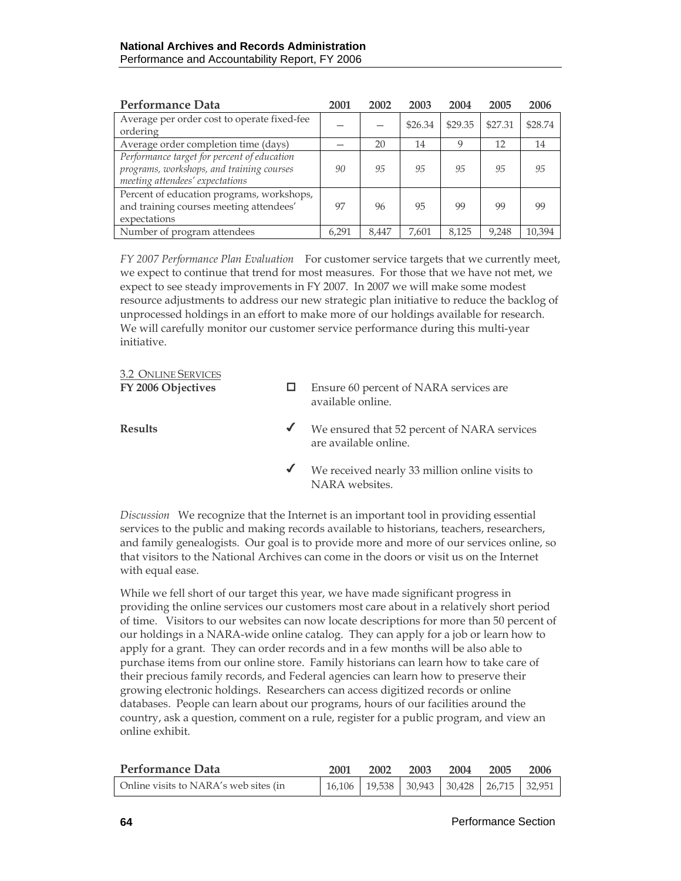| Performance Data                                                                                                            | 2001  | 2002  | 2003    | 2004    | 2005    | 2006    |
|-----------------------------------------------------------------------------------------------------------------------------|-------|-------|---------|---------|---------|---------|
| Average per order cost to operate fixed-fee<br>ordering                                                                     |       |       | \$26.34 | \$29.35 | \$27.31 | \$28.74 |
| Average order completion time (days)                                                                                        |       | 20    | 14      | 9       | 12      | 14      |
| Performance target for percent of education<br>programs, workshops, and training courses<br>meeting attendees' expectations | 90    | 95    | 95      | 95      | 95      | 95      |
| Percent of education programs, workshops,<br>and training courses meeting attendees'<br>expectations                        | 97    | 96    | 95      | 99      | 99      | 99      |
| Number of program attendees                                                                                                 | 6.291 | 8.447 | 7.601   | 8.125   | 9,248   | 10.394  |

*FY 2007 Performance Plan Evaluation*For customer service targets that we currently meet, we expect to continue that trend for most measures. For those that we have not met, we expect to see steady improvements in FY 2007. In 2007 we will make some modest resource adjustments to address our new strategic plan initiative to reduce the backlog of unprocessed holdings in an effort to make more of our holdings available for research. We will carefully monitor our customer service performance during this multi-year initiative.

| <i><b>J.Z UNLINE JERVICES</b></i><br>FY 2006 Objectives |              | Ensure 60 percent of NARA services are<br>available online.          |
|---------------------------------------------------------|--------------|----------------------------------------------------------------------|
| <b>Results</b>                                          |              | We ensured that 52 percent of NARA services<br>are available online. |
|                                                         | $\checkmark$ | We received nearly 33 million online visits to<br>NARA websites.     |

*Discussion* We recognize that the Internet is an important tool in providing essential services to the public and making records available to historians, teachers, researchers, and family genealogists. Our goal is to provide more and more of our services online, so that visitors to the National Archives can come in the doors or visit us on the Internet with equal ease.

While we fell short of our target this year, we have made significant progress in providing the online services our customers most care about in a relatively short period of time. Visitors to our websites can now locate descriptions for more than 50 percent of our holdings in a NARA-wide online catalog. They can apply for a job or learn how to apply for a grant. They can order records and in a few months will be also able to purchase items from our online store. Family historians can learn how to take care of their precious family records, and Federal agencies can learn how to preserve their growing electronic holdings. Researchers can access digitized records or online databases. People can learn about our programs, hours of our facilities around the country, ask a question, comment on a rule, register for a public program, and view an online exhibit.

| Performance Data                      | 2001 | 2002 | 2003 | 2004 | 2005 | 2006                                                |
|---------------------------------------|------|------|------|------|------|-----------------------------------------------------|
| Online visits to NARA's web sites (in |      |      |      |      |      | 16,106   19,538   30,943   30,428   26,715   32,951 |

3.2 ONLINE SERVICES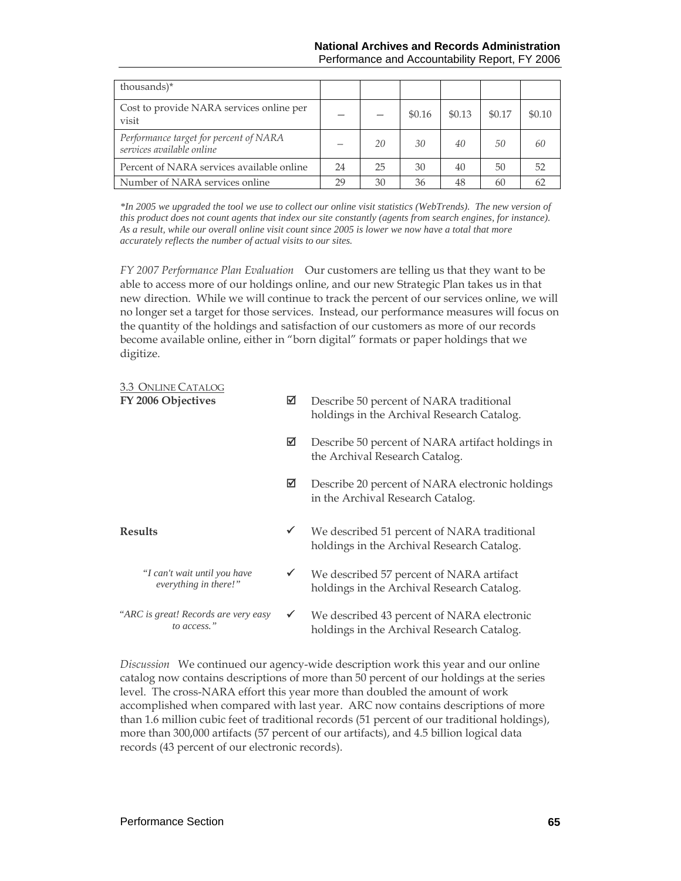| thousands)*                                                         |    |    |        |        |        |        |
|---------------------------------------------------------------------|----|----|--------|--------|--------|--------|
| Cost to provide NARA services online per<br>visit                   |    |    | \$0.16 | \$0.13 | \$0.17 | \$0.10 |
| Performance target for percent of NARA<br>services available online |    | 20 | 30     | 40     | 50     | 60     |
| Percent of NARA services available online                           | 24 | 25 | 30     | 40     | 50     | 52     |
| Number of NARA services online                                      | 29 | 30 | 36     | 48     | 60     | 62     |

*\*In 2005 we upgraded the tool we use to collect our online visit statistics (WebTrends). The new version of this product does not count agents that index our site constantly (agents from search engines, for instance). As a result, while our overall online visit count since 2005 is lower we now have a total that more accurately reflects the number of actual visits to our sites.* 

*FY 2007 Performance Plan Evaluation*Our customers are telling us that they want to be able to access more of our holdings online, and our new Strategic Plan takes us in that new direction. While we will continue to track the percent of our services online, we will no longer set a target for those services. Instead, our performance measures will focus on the quantity of the holdings and satisfaction of our customers as more of our records become available online, either in "born digital" formats or paper holdings that we digitize.

| <b>3.3 ONLINE CATALOG</b><br>FY 2006 Objectives       | ⊠            | Describe 50 percent of NARA traditional<br>holdings in the Archival Research Catalog.     |
|-------------------------------------------------------|--------------|-------------------------------------------------------------------------------------------|
|                                                       | ☑            | Describe 50 percent of NARA artifact holdings in<br>the Archival Research Catalog.        |
|                                                       | ☑            | Describe 20 percent of NARA electronic holdings<br>in the Archival Research Catalog.      |
| <b>Results</b>                                        | $\checkmark$ | We described 51 percent of NARA traditional<br>holdings in the Archival Research Catalog. |
| "I can't wait until you have<br>everything in there!" | $\checkmark$ | We described 57 percent of NARA artifact<br>holdings in the Archival Research Catalog.    |
| "ARC is great! Records are very easy<br>to access."   | $\checkmark$ | We described 43 percent of NARA electronic<br>holdings in the Archival Research Catalog.  |

*Discussion* We continued our agency-wide description work this year and our online catalog now contains descriptions of more than 50 percent of our holdings at the series level. The cross-NARA effort this year more than doubled the amount of work accomplished when compared with last year. ARC now contains descriptions of more than 1.6 million cubic feet of traditional records (51 percent of our traditional holdings), more than 300,000 artifacts (57 percent of our artifacts), and 4.5 billion logical data records (43 percent of our electronic records).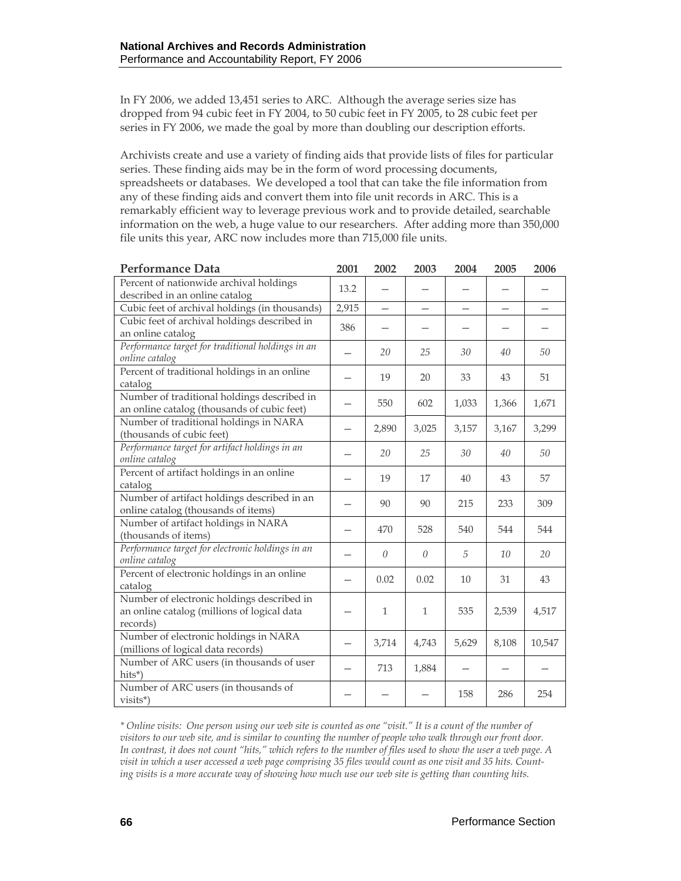In FY 2006, we added 13,451 series to ARC. Although the average series size has dropped from 94 cubic feet in FY 2004, to 50 cubic feet in FY 2005, to 28 cubic feet per series in FY 2006, we made the goal by more than doubling our description efforts.

Archivists create and use a variety of finding aids that provide lists of files for particular series. These finding aids may be in the form of word processing documents, spreadsheets or databases. We developed a tool that can take the file information from any of these finding aids and convert them into file unit records in ARC. This is a remarkably efficient way to leverage previous work and to provide detailed, searchable information on the web, a huge value to our researchers. After adding more than 350,000 file units this year, ARC now includes more than 715,000 file units.

| <b>Performance Data</b>                                                                               | 2001  | 2002                     | 2003                     | 2004                     | 2005                     | 2006   |
|-------------------------------------------------------------------------------------------------------|-------|--------------------------|--------------------------|--------------------------|--------------------------|--------|
| Percent of nationwide archival holdings<br>described in an online catalog                             | 13.2  |                          |                          |                          |                          |        |
| Cubic feet of archival holdings (in thousands)                                                        | 2,915 | $\overline{\phantom{0}}$ | $\overline{\phantom{0}}$ | $\overline{\phantom{0}}$ | $\overline{\phantom{0}}$ |        |
| Cubic feet of archival holdings described in<br>an online catalog                                     | 386   |                          |                          |                          |                          |        |
| Performance target for traditional holdings in an<br>online catalog                                   |       | 20                       | 25                       | 30                       | 40                       | 50     |
| Percent of traditional holdings in an online<br>catalog                                               |       | 19                       | 20                       | 33                       | 43                       | 51     |
| Number of traditional holdings described in<br>an online catalog (thousands of cubic feet)            |       | 550                      | 602                      | 1,033                    | 1,366                    | 1,671  |
| Number of traditional holdings in NARA<br>(thousands of cubic feet)                                   |       | 2,890                    | 3,025                    | 3,157                    | 3,167                    | 3,299  |
| Performance target for artifact holdings in an<br>online catalog                                      |       | 20                       | 25                       | 30                       | 40                       | 50     |
| Percent of artifact holdings in an online<br>catalog                                                  |       | 19                       | 17                       | 40                       | 43                       | 57     |
| Number of artifact holdings described in an<br>online catalog (thousands of items)                    |       | 90                       | 90                       | 215                      | 233                      | 309    |
| Number of artifact holdings in NARA<br>(thousands of items)                                           |       | 470                      | 528                      | 540                      | 544                      | 544    |
| Performance target for electronic holdings in an<br>online catalog                                    |       | $\theta$                 | $\theta$                 | .5                       | 10                       | 20     |
| Percent of electronic holdings in an online<br>catalog                                                |       | 0.02                     | 0.02                     | 10                       | 31                       | 43     |
| Number of electronic holdings described in<br>an online catalog (millions of logical data<br>records) |       | $\mathbf{1}$             | $\mathbf{1}$             | 535                      | 2,539                    | 4,517  |
| Number of electronic holdings in NARA<br>(millions of logical data records)                           |       | 3,714                    | 4,743                    | 5,629                    | 8,108                    | 10,547 |
| Number of ARC users (in thousands of user<br>hits*)                                                   |       | 713                      | 1,884                    |                          |                          |        |
| Number of ARC users (in thousands of<br>visits*)                                                      |       |                          |                          | 158                      | 286                      | 254    |

*\* Online visits: One person using our web site is counted as one "visit." It is a count of the number of visitors to our web site, and is similar to counting the number of people who walk through our front door. In contrast, it does not count "hits," which refers to the number of files used to show the user a web page. A visit in which a user accessed a web page comprising 35 files would count as one visit and 35 hits. Counting visits is a more accurate way of showing how much use our web site is getting than counting hits.*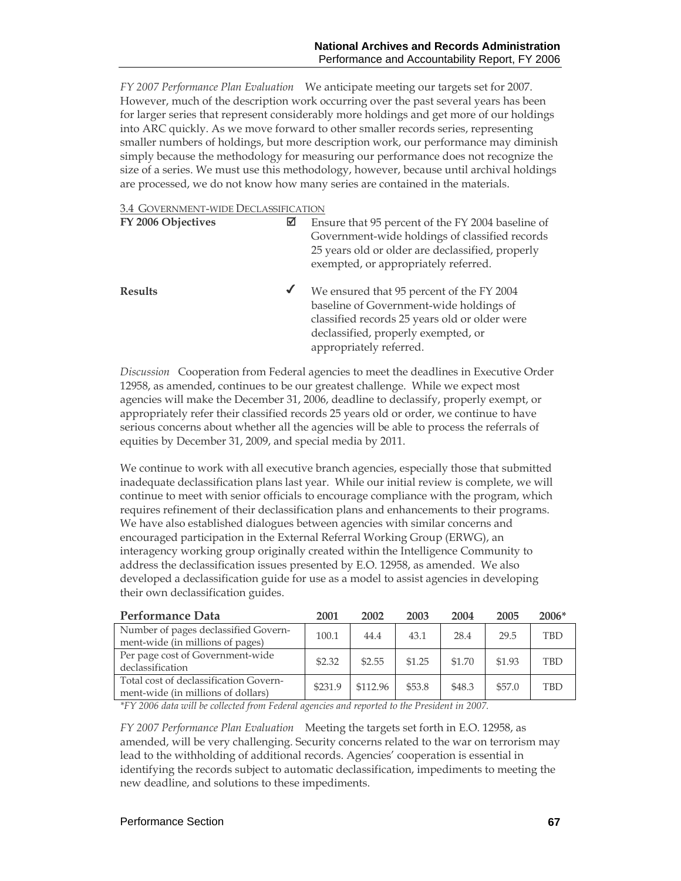*FY 2007 Performance Plan Evaluation*We anticipate meeting our targets set for 2007. However, much of the description work occurring over the past several years has been for larger series that represent considerably more holdings and get more of our holdings into ARC quickly. As we move forward to other smaller records series, representing smaller numbers of holdings, but more description work, our performance may diminish simply because the methodology for measuring our performance does not recognize the size of a series. We must use this methodology, however, because until archival holdings are processed, we do not know how many series are contained in the materials.

#### 3.4 GOVERNMENT-WIDE DECLASSIFICATION

| FY 2006 Objectives | ⊠ | Ensure that 95 percent of the FY 2004 baseline of<br>Government-wide holdings of classified records<br>25 years old or older are declassified, properly<br>exempted, or appropriately referred.         |
|--------------------|---|---------------------------------------------------------------------------------------------------------------------------------------------------------------------------------------------------------|
| <b>Results</b>     | ✔ | We ensured that 95 percent of the FY 2004<br>baseline of Government-wide holdings of<br>classified records 25 years old or older were<br>declassified, properly exempted, or<br>appropriately referred. |

*Discussion* Cooperation from Federal agencies to meet the deadlines in Executive Order 12958, as amended, continues to be our greatest challenge. While we expect most agencies will make the December 31, 2006, deadline to declassify, properly exempt, or appropriately refer their classified records 25 years old or order, we continue to have serious concerns about whether all the agencies will be able to process the referrals of equities by December 31, 2009, and special media by 2011.

We continue to work with all executive branch agencies, especially those that submitted inadequate declassification plans last year. While our initial review is complete, we will continue to meet with senior officials to encourage compliance with the program, which requires refinement of their declassification plans and enhancements to their programs. We have also established dialogues between agencies with similar concerns and encouraged participation in the External Referral Working Group (ERWG), an interagency working group originally created within the Intelligence Community to address the declassification issues presented by E.O. 12958, as amended. We also developed a declassification guide for use as a model to assist agencies in developing their own declassification guides.

| Performance Data                                                             | 2001    | 2002     | 2003   | 2004   | 2005   | $2006*$    |
|------------------------------------------------------------------------------|---------|----------|--------|--------|--------|------------|
| Number of pages declassified Govern-<br>ment-wide (in millions of pages)     | 100.1   | 44.4     | 43.1   | 28.4   | 29.5   | <b>TBD</b> |
| Per page cost of Government-wide<br>declassification                         | \$2.32  | \$2.55   | \$1.25 | \$1.70 | \$1.93 | <b>TBD</b> |
| Total cost of declassification Govern-<br>ment-wide (in millions of dollars) | \$231.9 | \$112.96 | \$53.8 | \$48.3 | \$57.0 | <b>TBD</b> |

*\*FY 2006 data will be collected from Federal agencies and reported to the President in 2007.* 

*FY 2007 Performance Plan Evaluation*Meeting the targets set forth in E.O. 12958, as amended, will be very challenging. Security concerns related to the war on terrorism may lead to the withholding of additional records. Agencies' cooperation is essential in identifying the records subject to automatic declassification, impediments to meeting the new deadline, and solutions to these impediments.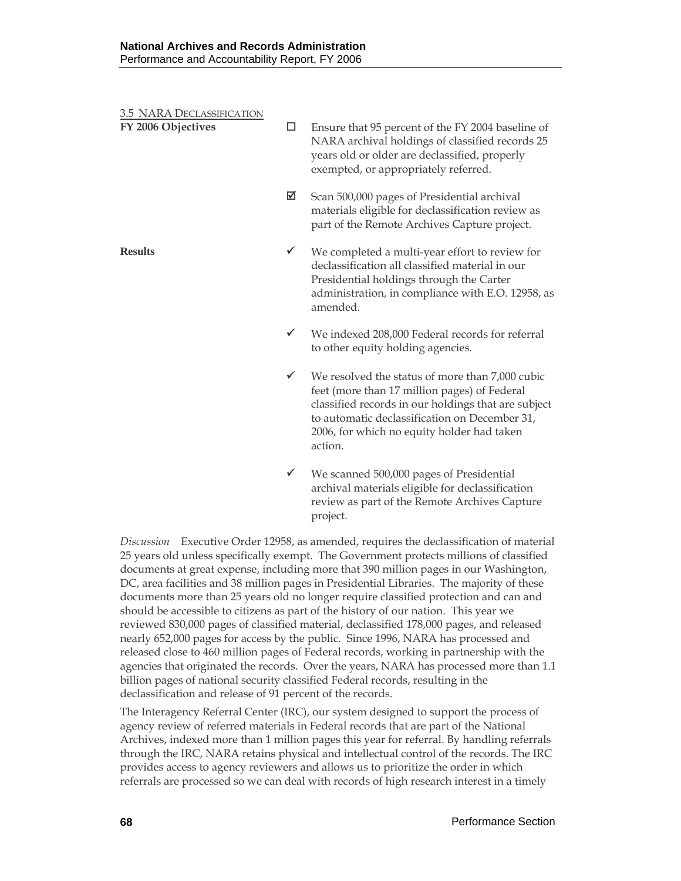| <b>3.5 NARA DECLASSIFICATION</b><br>FY 2006 Objectives | □            | Ensure that 95 percent of the FY 2004 baseline of<br>NARA archival holdings of classified records 25<br>years old or older are declassified, properly<br>exempted, or appropriately referred.                                                                    |
|--------------------------------------------------------|--------------|------------------------------------------------------------------------------------------------------------------------------------------------------------------------------------------------------------------------------------------------------------------|
|                                                        | ☑            | Scan 500,000 pages of Presidential archival<br>materials eligible for declassification review as<br>part of the Remote Archives Capture project.                                                                                                                 |
| <b>Results</b>                                         | $\checkmark$ | We completed a multi-year effort to review for<br>declassification all classified material in our<br>Presidential holdings through the Carter<br>administration, in compliance with E.O. 12958, as<br>amended.                                                   |
|                                                        | $\checkmark$ | We indexed 208,000 Federal records for referral<br>to other equity holding agencies.                                                                                                                                                                             |
|                                                        | $\checkmark$ | We resolved the status of more than 7,000 cubic<br>feet (more than 17 million pages) of Federal<br>classified records in our holdings that are subject<br>to automatic declassification on December 31,<br>2006, for which no equity holder had taken<br>action. |
|                                                        | $\checkmark$ | We scanned 500,000 pages of Presidential<br>archival materials eligible for declassification<br>review as part of the Remote Archives Capture                                                                                                                    |

*Discussion* Executive Order 12958, as amended, requires the declassification of material 25 years old unless specifically exempt. The Government protects millions of classified documents at great expense, including more that 390 million pages in our Washington, DC, area facilities and 38 million pages in Presidential Libraries. The majority of these documents more than 25 years old no longer require classified protection and can and should be accessible to citizens as part of the history of our nation. This year we reviewed 830,000 pages of classified material, declassified 178,000 pages, and released nearly 652,000 pages for access by the public. Since 1996, NARA has processed and released close to 460 million pages of Federal records, working in partnership with the agencies that originated the records. Over the years, NARA has processed more than 1.1 billion pages of national security classified Federal records, resulting in the declassification and release of 91 percent of the records.

project.

The Interagency Referral Center (IRC), our system designed to support the process of agency review of referred materials in Federal records that are part of the National Archives, indexed more than 1 million pages this year for referral. By handling referrals through the IRC, NARA retains physical and intellectual control of the records. The IRC provides access to agency reviewers and allows us to prioritize the order in which referrals are processed so we can deal with records of high research interest in a timely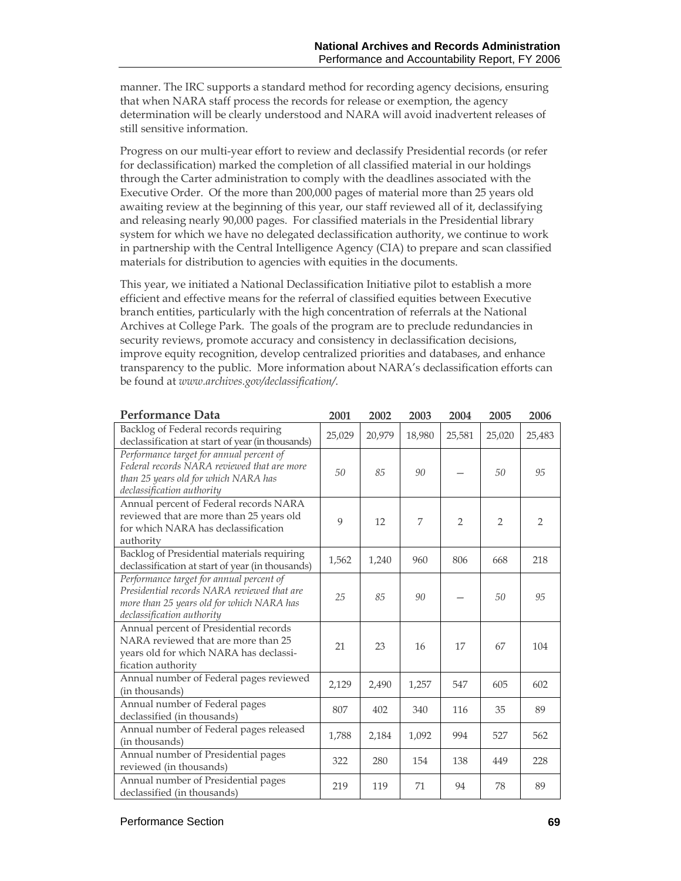manner. The IRC supports a standard method for recording agency decisions, ensuring that when NARA staff process the records for release or exemption, the agency determination will be clearly understood and NARA will avoid inadvertent releases of still sensitive information.

Progress on our multi-year effort to review and declassify Presidential records (or refer for declassification) marked the completion of all classified material in our holdings through the Carter administration to comply with the deadlines associated with the Executive Order. Of the more than 200,000 pages of material more than 25 years old awaiting review at the beginning of this year, our staff reviewed all of it, declassifying and releasing nearly 90,000 pages. For classified materials in the Presidential library system for which we have no delegated declassification authority, we continue to work in partnership with the Central Intelligence Agency (CIA) to prepare and scan classified materials for distribution to agencies with equities in the documents.

This year, we initiated a National Declassification Initiative pilot to establish a more efficient and effective means for the referral of classified equities between Executive branch entities, particularly with the high concentration of referrals at the National Archives at College Park. The goals of the program are to preclude redundancies in security reviews, promote accuracy and consistency in declassification decisions, improve equity recognition, develop centralized priorities and databases, and enhance transparency to the public. More information about NARA's declassification efforts can be found at *www.archives.gov/declassification/*.

| Performance Data                                                                                                                                                   | 2001   | 2002   | 2003   | 2004           | 2005           | 2006           |
|--------------------------------------------------------------------------------------------------------------------------------------------------------------------|--------|--------|--------|----------------|----------------|----------------|
| Backlog of Federal records requiring<br>declassification at start of year (in thousands)                                                                           | 25,029 | 20,979 | 18,980 | 25,581         | 25,020         | 25,483         |
| Performance target for annual percent of<br>Federal records NARA reviewed that are more<br>than 25 years old for which NARA has<br>declassification authority      | 50     | 85     | 90     |                | 50             | 95             |
| Annual percent of Federal records NARA<br>reviewed that are more than 25 years old<br>for which NARA has declassification<br>authority                             | 9      | 12     | 7      | $\overline{2}$ | $\overline{2}$ | $\overline{2}$ |
| Backlog of Presidential materials requiring<br>declassification at start of year (in thousands)                                                                    | 1,562  | 1,240  | 960    | 806            | 668            | 218            |
| Performance target for annual percent of<br>Presidential records NARA reviewed that are<br>more than 25 years old for which NARA has<br>declassification authority | 25     | 85     | 90     |                | 50             | 95             |
| Annual percent of Presidential records<br>NARA reviewed that are more than 25<br>years old for which NARA has declassi-<br>fication authority                      | 21     | 23     | 16     | 17             | 67             | 104            |
| Annual number of Federal pages reviewed<br>(in thousands)                                                                                                          | 2,129  | 2,490  | 1,257  | 547            | 605            | 602            |
| Annual number of Federal pages<br>declassified (in thousands)                                                                                                      | 807    | 402    | 340    | 116            | 35             | 89             |
| Annual number of Federal pages released<br>(in thousands)                                                                                                          | 1,788  | 2,184  | 1,092  | 994            | 527            | 562            |
| Annual number of Presidential pages<br>reviewed (in thousands)                                                                                                     | 322    | 280    | 154    | 138            | 449            | 228            |
| Annual number of Presidential pages<br>declassified (in thousands)                                                                                                 | 219    | 119    | 71     | 94             | 78             | 89             |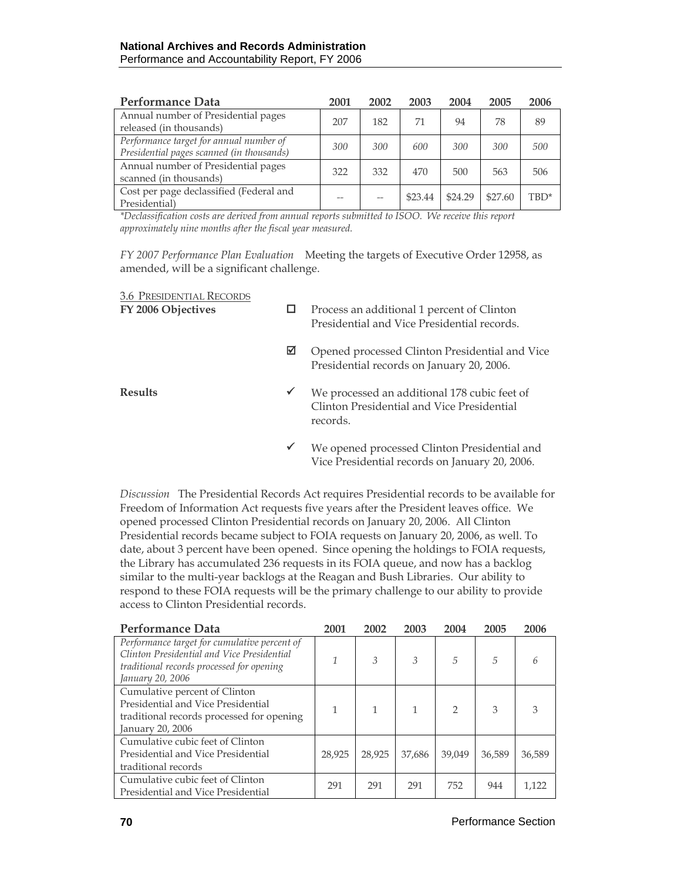| Performance Data                          | 2001 | 2002 | 2003    | 2004    | 2005    | 2006 |
|-------------------------------------------|------|------|---------|---------|---------|------|
| Annual number of Presidential pages       | 207  | 182  | 71      | 94      | 78      | 89   |
| released (in thousands)                   |      |      |         |         |         |      |
| Performance target for annual number of   | 300  | 300  | 600     | 300     | 300     | 500  |
| Presidential pages scanned (in thousands) |      |      |         |         |         |      |
| Annual number of Presidential pages       | 322  | 332  | 470     | 500     | 563     | 506  |
| scanned (in thousands)                    |      |      |         |         |         |      |
| Cost per page declassified (Federal and   |      |      | \$23.44 | \$24.29 | \$27.60 | TBD* |
| Presidential)                             |      |      |         |         |         |      |

*\*Declassification costs are derived from annual reports submitted to ISOO. We receive this report approximately nine months after the fiscal year measured.* 

*FY 2007 Performance Plan Evaluation*Meeting the targets of Executive Order 12958, as amended, will be a significant challenge.

| <b>3.6 PRESIDENTIAL RECORDS</b><br>FY 2006 Objectives | □            | Process an additional 1 percent of Clinton<br>Presidential and Vice Presidential records.              |
|-------------------------------------------------------|--------------|--------------------------------------------------------------------------------------------------------|
|                                                       | ☑            | Opened processed Clinton Presidential and Vice<br>Presidential records on January 20, 2006.            |
| <b>Results</b>                                        | ✔            | We processed an additional 178 cubic feet of<br>Clinton Presidential and Vice Presidential<br>records. |
|                                                       | $\checkmark$ | We opened processed Clinton Presidential and<br>Vice Presidential records on January 20, 2006.         |

*Discussion* The Presidential Records Act requires Presidential records to be available for Freedom of Information Act requests five years after the President leaves office. We opened processed Clinton Presidential records on January 20, 2006. All Clinton Presidential records became subject to FOIA requests on January 20, 2006, as well. To date, about 3 percent have been opened. Since opening the holdings to FOIA requests, the Library has accumulated 236 requests in its FOIA queue, and now has a backlog similar to the multi-year backlogs at the Reagan and Bush Libraries. Our ability to respond to these FOIA requests will be the primary challenge to our ability to provide access to Clinton Presidential records.

| Performance Data                                                                                                                                            | 2001   | 2002   | 2003   | 2004          | 2005   | 2006   |
|-------------------------------------------------------------------------------------------------------------------------------------------------------------|--------|--------|--------|---------------|--------|--------|
| Performance target for cumulative percent of<br>Clinton Presidential and Vice Presidential<br>traditional records processed for opening<br>January 20, 2006 | 1      | 3      | 3      | 5             | 5      | 6      |
| Cumulative percent of Clinton<br>Presidential and Vice Presidential<br>traditional records processed for opening<br>January 20, 2006                        | 1      |        |        | $\mathcal{P}$ | 3      | 3      |
| Cumulative cubic feet of Clinton<br>Presidential and Vice Presidential<br>traditional records                                                               | 28,925 | 28,925 | 37,686 | 39.049        | 36,589 | 36,589 |
| Cumulative cubic feet of Clinton<br>Presidential and Vice Presidential                                                                                      | 291    | 291    | 291    | 752           | 944    | 1,122  |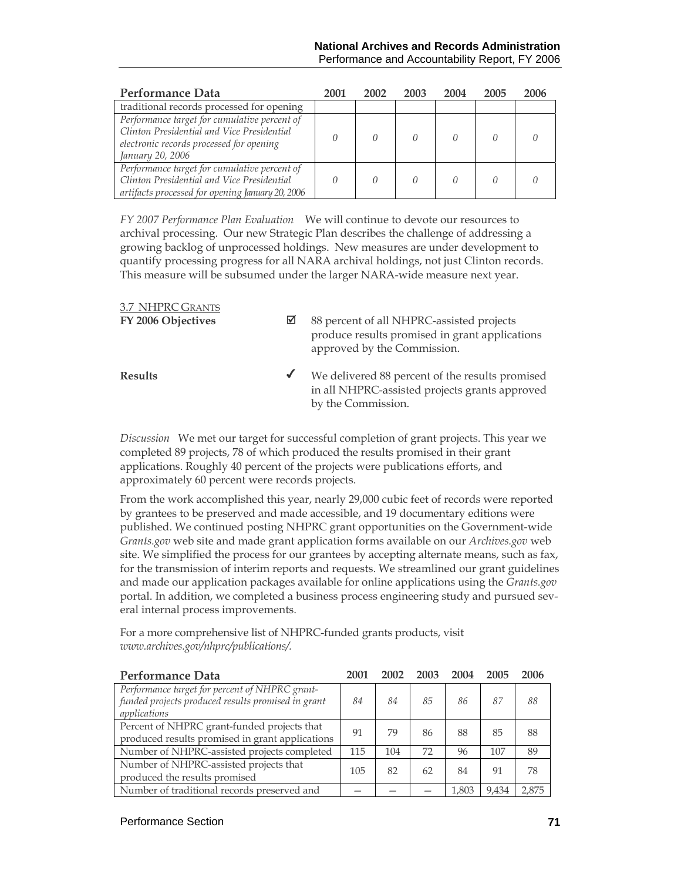| Performance Data                                                                                                                                           | 2001 | 2002 | 2003 | 2004 | 2005 | 2006 |
|------------------------------------------------------------------------------------------------------------------------------------------------------------|------|------|------|------|------|------|
| traditional records processed for opening                                                                                                                  |      |      |      |      |      |      |
| Performance target for cumulative percent of<br>Clinton Presidential and Vice Presidential<br>electronic records processed for opening<br>January 20, 2006 |      |      |      |      |      |      |
| Performance target for cumulative percent of<br>Clinton Presidential and Vice Presidential<br>artifacts processed for opening January 20, 2006             |      |      |      |      |      |      |

*FY 2007 Performance Plan Evaluation*We will continue to devote our resources to archival processing. Our new Strategic Plan describes the challenge of addressing a growing backlog of unprocessed holdings. New measures are under development to quantify processing progress for all NARA archival holdings, not just Clinton records. This measure will be subsumed under the larger NARA-wide measure next year.

| 3.7 NHPRC GRANTS<br>FY 2006 Objectives | ⊠ | 88 percent of all NHPRC-assisted projects<br>produce results promised in grant applications<br>approved by the Commission. |
|----------------------------------------|---|----------------------------------------------------------------------------------------------------------------------------|
| <b>Results</b>                         |   | We delivered 88 percent of the results promised<br>in all NHPRC-assisted projects grants approved<br>by the Commission.    |

*Discussion* We met our target for successful completion of grant projects. This year we completed 89 projects, 78 of which produced the results promised in their grant applications. Roughly 40 percent of the projects were publications efforts, and approximately 60 percent were records projects.

From the work accomplished this year, nearly 29,000 cubic feet of records were reported by grantees to be preserved and made accessible, and 19 documentary editions were published. We continued posting NHPRC grant opportunities on the Government-wide *Grants.gov* web site and made grant application forms available on our *Archives.gov* web site. We simplified the process for our grantees by accepting alternate means, such as fax, for the transmission of interim reports and requests. We streamlined our grant guidelines and made our application packages available for online applications using the *Grants.gov* portal. In addition, we completed a business process engineering study and pursued several internal process improvements.

For a more comprehensive list of NHPRC-funded grants products, visit *www.archives.gov/nhprc/publications/.* 

| <b>Performance Data</b>                                                                                              | 2001 | 2002 | 2003 | 2004  | 2005  | 2006  |
|----------------------------------------------------------------------------------------------------------------------|------|------|------|-------|-------|-------|
| Performance target for percent of NHPRC grant-<br>funded projects produced results promised in grant<br>applications | 84   | 84   | 85   | 86    | 87    | 88    |
| Percent of NHPRC grant-funded projects that<br>produced results promised in grant applications                       | 91   | 79   | 86   | 88    | 85    | 88    |
| Number of NHPRC-assisted projects completed                                                                          | 115  | 104  | 72   | 96    | 107   | 89    |
| Number of NHPRC-assisted projects that<br>produced the results promised                                              | 105  | 82   | 62   | 84    | 91    | 78    |
| Number of traditional records preserved and                                                                          |      |      |      | 1,803 | 9,434 | 2.875 |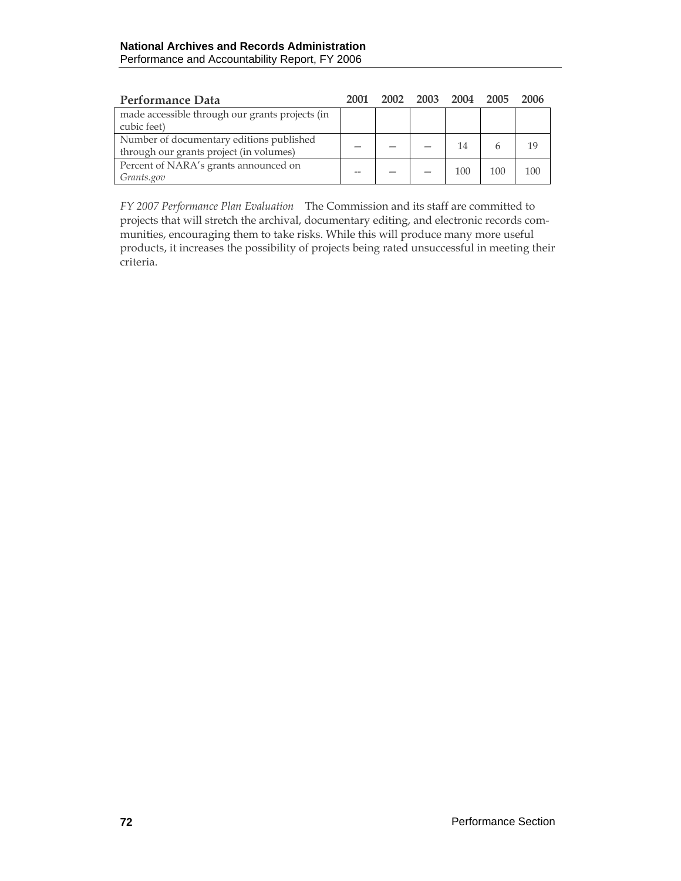| Performance Data                                | 2001 |  |     | 2002 2003 2004 2005 | 2006 |
|-------------------------------------------------|------|--|-----|---------------------|------|
| made accessible through our grants projects (in |      |  |     |                     |      |
| cubic feet)                                     |      |  |     |                     |      |
| Number of documentary editions published        |      |  | 14  |                     | 19   |
| through our grants project (in volumes)         |      |  |     |                     |      |
| Percent of NARA's grants announced on           |      |  | 100 | 100                 | 100  |
| Grants.gov                                      |      |  |     |                     |      |

*FY 2007 Performance Plan Evaluation*The Commission and its staff are committed to projects that will stretch the archival, documentary editing, and electronic records communities, encouraging them to take risks. While this will produce many more useful products, it increases the possibility of projects being rated unsuccessful in meeting their criteria.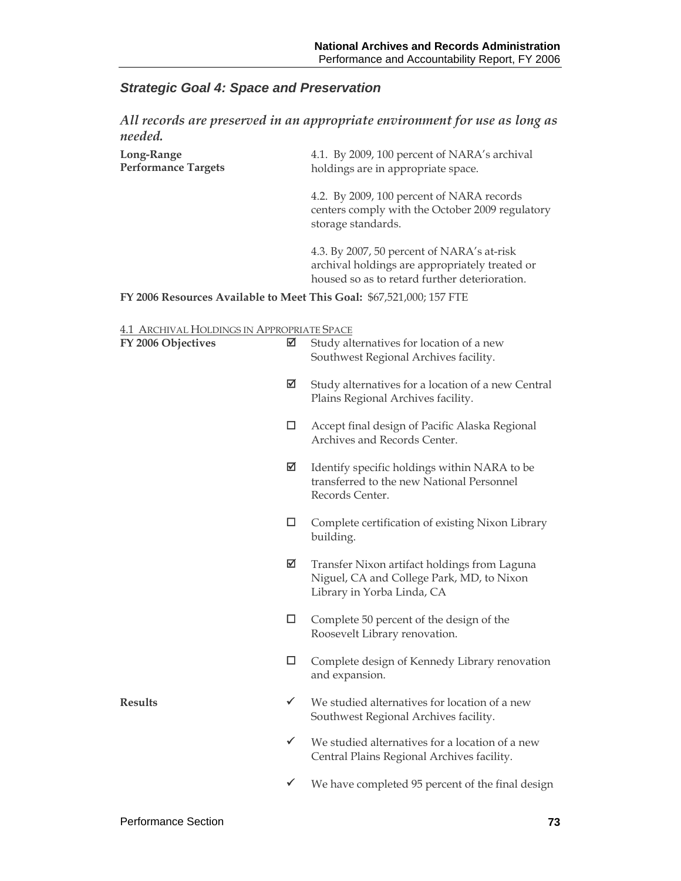# *Strategic Goal 4: Space and Preservation*

|                            | All records are preserved in an appropriate environment for use as long as |
|----------------------------|----------------------------------------------------------------------------|
| needed.                    |                                                                            |
| Long-Range                 | 4.1. By 2009, 100 percent of NARA's archival                               |
| <b>Performance Targets</b> | holdings are in appropriate space.                                         |
|                            |                                                                            |

4.2. By 2009, 100 percent of NARA records centers comply with the October 2009 regulatory storage standards.

4.3. By 2007, 50 percent of NARA's at-risk archival holdings are appropriately treated or housed so as to retard further deterioration.

**FY 2006 Resources Available to Meet This Goal:** \$67,521,000; 157 FTE

#### 4.1 ARCHIVAL HOLDINGS IN APPROPRIATE SPACE

| FY 2006 Objectives | ☑            | Study alternatives for location of a new<br>Southwest Regional Archives facility.                                       |
|--------------------|--------------|-------------------------------------------------------------------------------------------------------------------------|
|                    | ☑            | Study alternatives for a location of a new Central<br>Plains Regional Archives facility.                                |
|                    | □            | Accept final design of Pacific Alaska Regional<br>Archives and Records Center.                                          |
|                    | ☑            | Identify specific holdings within NARA to be<br>transferred to the new National Personnel<br>Records Center.            |
|                    | □            | Complete certification of existing Nixon Library<br>building.                                                           |
|                    | ☑            | Transfer Nixon artifact holdings from Laguna<br>Niguel, CA and College Park, MD, to Nixon<br>Library in Yorba Linda, CA |
|                    | □            | Complete 50 percent of the design of the<br>Roosevelt Library renovation.                                               |
|                    | □            | Complete design of Kennedy Library renovation<br>and expansion.                                                         |
| <b>Results</b>     | ✓            | We studied alternatives for location of a new<br>Southwest Regional Archives facility.                                  |
|                    | $\checkmark$ | We studied alternatives for a location of a new<br>Central Plains Regional Archives facility.                           |
|                    | $\checkmark$ | We have completed 95 percent of the final design                                                                        |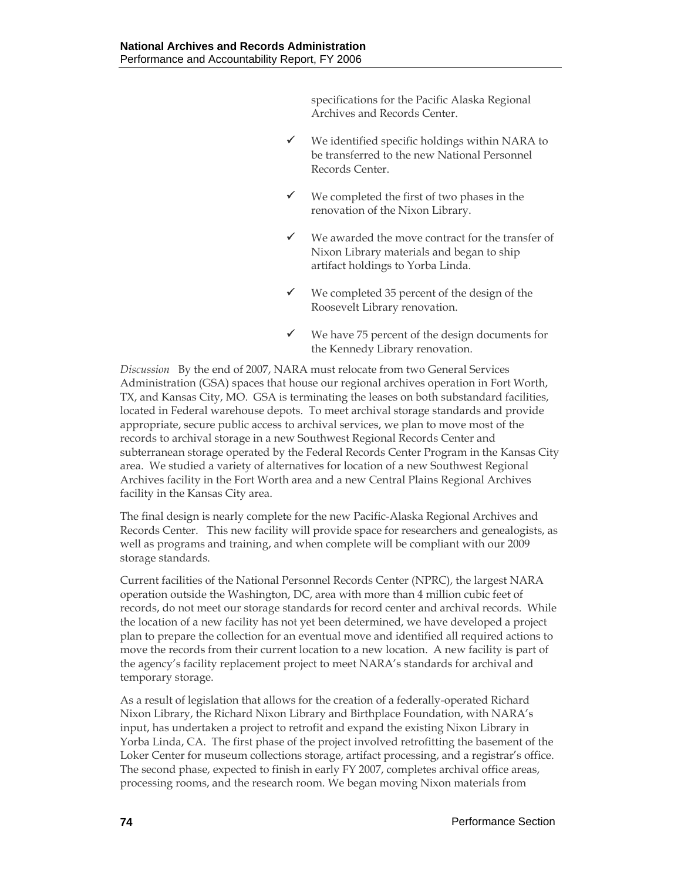specifications for the Pacific Alaska Regional Archives and Records Center.

- $\checkmark$  We identified specific holdings within NARA to be transferred to the new National Personnel Records Center.
- $\checkmark$  We completed the first of two phases in the renovation of the Nixon Library.
- $\checkmark$  We awarded the move contract for the transfer of Nixon Library materials and began to ship artifact holdings to Yorba Linda.
- $\checkmark$  We completed 35 percent of the design of the Roosevelt Library renovation.
- We have 75 percent of the design documents for the Kennedy Library renovation.

*Discussion* By the end of 2007, NARA must relocate from two General Services Administration (GSA) spaces that house our regional archives operation in Fort Worth, TX, and Kansas City, MO. GSA is terminating the leases on both substandard facilities, located in Federal warehouse depots. To meet archival storage standards and provide appropriate, secure public access to archival services, we plan to move most of the records to archival storage in a new Southwest Regional Records Center and subterranean storage operated by the Federal Records Center Program in the Kansas City area. We studied a variety of alternatives for location of a new Southwest Regional Archives facility in the Fort Worth area and a new Central Plains Regional Archives facility in the Kansas City area.

The final design is nearly complete for the new Pacific-Alaska Regional Archives and Records Center. This new facility will provide space for researchers and genealogists, as well as programs and training, and when complete will be compliant with our 2009 storage standards.

Current facilities of the National Personnel Records Center (NPRC), the largest NARA operation outside the Washington, DC, area with more than 4 million cubic feet of records, do not meet our storage standards for record center and archival records. While the location of a new facility has not yet been determined, we have developed a project plan to prepare the collection for an eventual move and identified all required actions to move the records from their current location to a new location. A new facility is part of the agency's facility replacement project to meet NARA's standards for archival and temporary storage.

As a result of legislation that allows for the creation of a federally-operated Richard Nixon Library, the Richard Nixon Library and Birthplace Foundation, with NARA's input, has undertaken a project to retrofit and expand the existing Nixon Library in Yorba Linda, CA. The first phase of the project involved retrofitting the basement of the Loker Center for museum collections storage, artifact processing, and a registrar's office. The second phase, expected to finish in early FY 2007, completes archival office areas, processing rooms, and the research room. We began moving Nixon materials from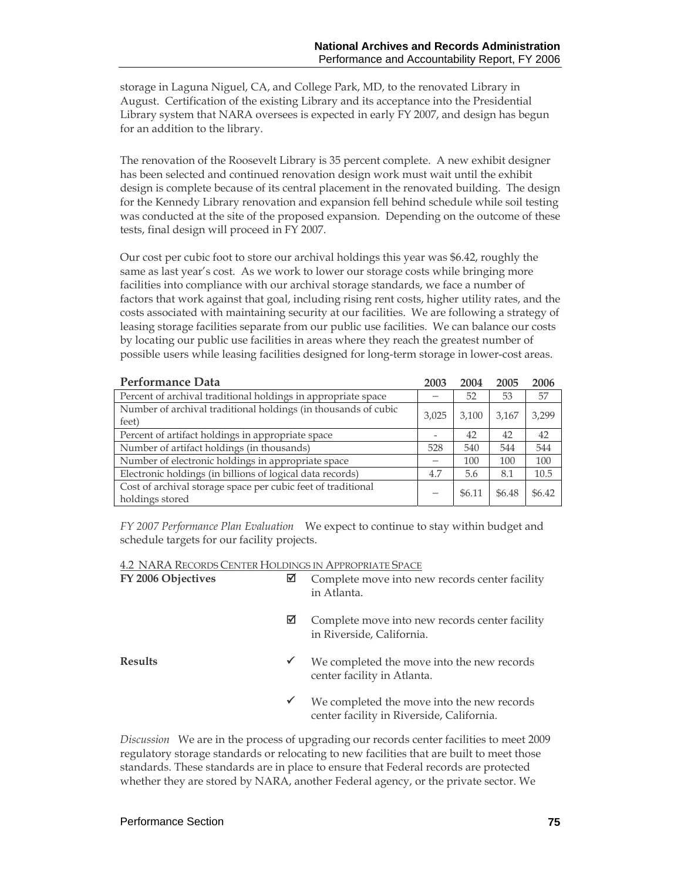storage in Laguna Niguel, CA, and College Park, MD, to the renovated Library in August. Certification of the existing Library and its acceptance into the Presidential Library system that NARA oversees is expected in early FY 2007, and design has begun for an addition to the library.

The renovation of the Roosevelt Library is 35 percent complete. A new exhibit designer has been selected and continued renovation design work must wait until the exhibit design is complete because of its central placement in the renovated building. The design for the Kennedy Library renovation and expansion fell behind schedule while soil testing was conducted at the site of the proposed expansion. Depending on the outcome of these tests, final design will proceed in FY 2007.

Our cost per cubic foot to store our archival holdings this year was \$6.42, roughly the same as last year's cost. As we work to lower our storage costs while bringing more facilities into compliance with our archival storage standards, we face a number of factors that work against that goal, including rising rent costs, higher utility rates, and the costs associated with maintaining security at our facilities. We are following a strategy of leasing storage facilities separate from our public use facilities. We can balance our costs by locating our public use facilities in areas where they reach the greatest number of possible users while leasing facilities designed for long-term storage in lower-cost areas.

| <b>Performance Data</b>                                                         | 2003  | 2004   | 2005   | 2006   |
|---------------------------------------------------------------------------------|-------|--------|--------|--------|
| Percent of archival traditional holdings in appropriate space                   |       | 52     | 53     | 57     |
| Number of archival traditional holdings (in thousands of cubic<br>feet)         | 3.025 | 3.100  | 3.167  | 3,299  |
| Percent of artifact holdings in appropriate space                               |       | 42     | 42     | 42     |
| Number of artifact holdings (in thousands)                                      | 528   | 540    | 544    | 544    |
| Number of electronic holdings in appropriate space                              |       | 100    | 100    | 100    |
| Electronic holdings (in billions of logical data records)                       | 4.7   | 5.6    | 8.1    | 10.5   |
| Cost of archival storage space per cubic feet of traditional<br>holdings stored |       | \$6.11 | \$6.48 | \$6.42 |

*FY 2007 Performance Plan Evaluation*We expect to continue to stay within budget and schedule targets for our facility projects.

| FY 2006 Objectives | ⊠            | Complete move into new records center facility<br>in Atlanta.                           |
|--------------------|--------------|-----------------------------------------------------------------------------------------|
|                    | ⊠            | Complete move into new records center facility<br>in Riverside, California.             |
| <b>Results</b>     | $\checkmark$ | We completed the move into the new records<br>center facility in Atlanta.               |
|                    | $\checkmark$ | We completed the move into the new records<br>center facility in Riverside, California. |

*Discussion* We are in the process of upgrading our records center facilities to meet 2009 regulatory storage standards or relocating to new facilities that are built to meet those standards. These standards are in place to ensure that Federal records are protected whether they are stored by NARA, another Federal agency, or the private sector. We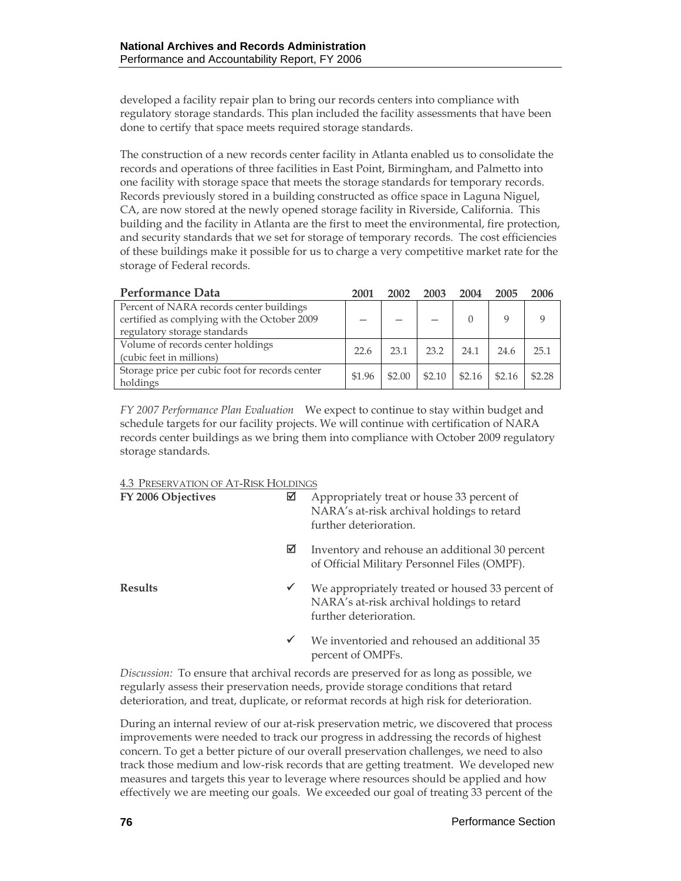developed a facility repair plan to bring our records centers into compliance with regulatory storage standards. This plan included the facility assessments that have been done to certify that space meets required storage standards.

The construction of a new records center facility in Atlanta enabled us to consolidate the records and operations of three facilities in East Point, Birmingham, and Palmetto into one facility with storage space that meets the storage standards for temporary records. Records previously stored in a building constructed as office space in Laguna Niguel, CA, are now stored at the newly opened storage facility in Riverside, California. This building and the facility in Atlanta are the first to meet the environmental, fire protection, and security standards that we set for storage of temporary records. The cost efficiencies of these buildings make it possible for us to charge a very competitive market rate for the storage of Federal records.

| Performance Data                                                                         | 2001   | 2002   | 2003   | 2004   | 2005   | 2006   |
|------------------------------------------------------------------------------------------|--------|--------|--------|--------|--------|--------|
| Percent of NARA records center buildings<br>certified as complying with the October 2009 |        |        |        |        |        |        |
| regulatory storage standards                                                             |        |        |        |        |        |        |
| Volume of records center holdings                                                        | 22.6   | 23.1   | 23.2   | 24.1   | 24.6   | 25.1   |
| (cubic feet in millions)                                                                 |        |        |        |        |        |        |
| Storage price per cubic foot for records center<br>holdings                              | \$1.96 | \$2.00 | \$2.10 | \$2.16 | \$2.16 | \$2.28 |

*FY 2007 Performance Plan Evaluation*We expect to continue to stay within budget and schedule targets for our facility projects. We will continue with certification of NARA records center buildings as we bring them into compliance with October 2009 regulatory storage standards.

#### 4.3 PRESERVATION OF AT-RISK HOLDINGS

| FY 2006 Objectives | ⊠            | Appropriately treat or house 33 percent of<br>NARA's at-risk archival holdings to retard<br>further deterioration.       |
|--------------------|--------------|--------------------------------------------------------------------------------------------------------------------------|
|                    | ⊠            | Inventory and rehouse an additional 30 percent<br>of Official Military Personnel Files (OMPF).                           |
| <b>Results</b>     | ✔            | We appropriately treated or housed 33 percent of<br>NARA's at-risk archival holdings to retard<br>further deterioration. |
|                    | $\checkmark$ | We inventoried and rehoused an additional 35                                                                             |

*Discussion:* To ensure that archival records are preserved for as long as possible, we regularly assess their preservation needs, provide storage conditions that retard deterioration, and treat, duplicate, or reformat records at high risk for deterioration.

percent of OMPFs.

During an internal review of our at-risk preservation metric, we discovered that process improvements were needed to track our progress in addressing the records of highest concern. To get a better picture of our overall preservation challenges, we need to also track those medium and low-risk records that are getting treatment. We developed new measures and targets this year to leverage where resources should be applied and how effectively we are meeting our goals. We exceeded our goal of treating 33 percent of the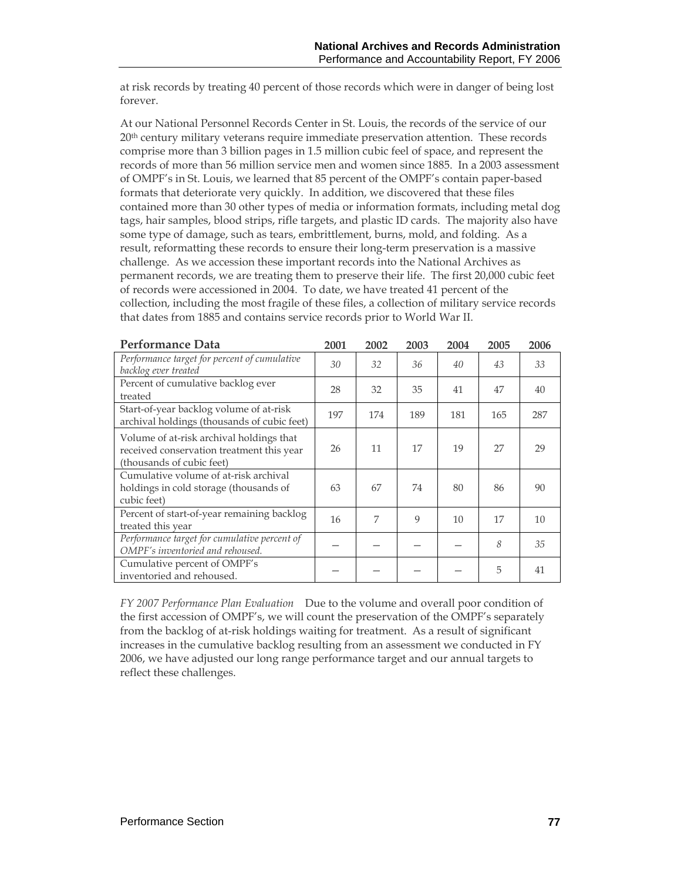at risk records by treating 40 percent of those records which were in danger of being lost forever.

At our National Personnel Records Center in St. Louis, the records of the service of our 20th century military veterans require immediate preservation attention. These records comprise more than 3 billion pages in 1.5 million cubic feel of space, and represent the records of more than 56 million service men and women since 1885. In a 2003 assessment of OMPF's in St. Louis, we learned that 85 percent of the OMPF's contain paper-based formats that deteriorate very quickly. In addition, we discovered that these files contained more than 30 other types of media or information formats, including metal dog tags, hair samples, blood strips, rifle targets, and plastic ID cards. The majority also have some type of damage, such as tears, embrittlement, burns, mold, and folding. As a result, reformatting these records to ensure their long-term preservation is a massive challenge. As we accession these important records into the National Archives as permanent records, we are treating them to preserve their life. The first 20,000 cubic feet of records were accessioned in 2004. To date, we have treated 41 percent of the collection, including the most fragile of these files, a collection of military service records that dates from 1885 and contains service records prior to World War II.

| <b>Performance Data</b>                                                                                            | 2001 | 2002 | 2003 | 2004 | 2005 | 2006 |
|--------------------------------------------------------------------------------------------------------------------|------|------|------|------|------|------|
| Performance target for percent of cumulative<br>backlog ever treated                                               | 30   | 32   | 36   | 40   | 43   | 33   |
| Percent of cumulative backlog ever<br>treated                                                                      | 28   | 32   | 35   | 41   | 47   | 40   |
| Start-of-year backlog volume of at-risk<br>archival holdings (thousands of cubic feet)                             | 197  | 174  | 189  | 181  | 165  | 287  |
| Volume of at-risk archival holdings that<br>received conservation treatment this year<br>(thousands of cubic feet) | 26   | 11   | 17   | 19   | 27   | 29   |
| Cumulative volume of at-risk archival<br>holdings in cold storage (thousands of<br>cubic feet)                     | 63   | 67   | 74   | 80   | 86   | 90   |
| Percent of start-of-year remaining backlog<br>treated this year                                                    | 16   | 7    | 9    | 10   | 17   | 10   |
| Performance target for cumulative percent of<br>OMPF's inventoried and rehoused.                                   |      |      |      |      | 8    | 35   |
| Cumulative percent of OMPF's<br>inventoried and rehoused.                                                          |      |      |      |      | 5    | 41   |

*FY 2007 Performance Plan Evaluation*Due to the volume and overall poor condition of the first accession of OMPF's, we will count the preservation of the OMPF's separately from the backlog of at-risk holdings waiting for treatment. As a result of significant increases in the cumulative backlog resulting from an assessment we conducted in FY 2006, we have adjusted our long range performance target and our annual targets to reflect these challenges.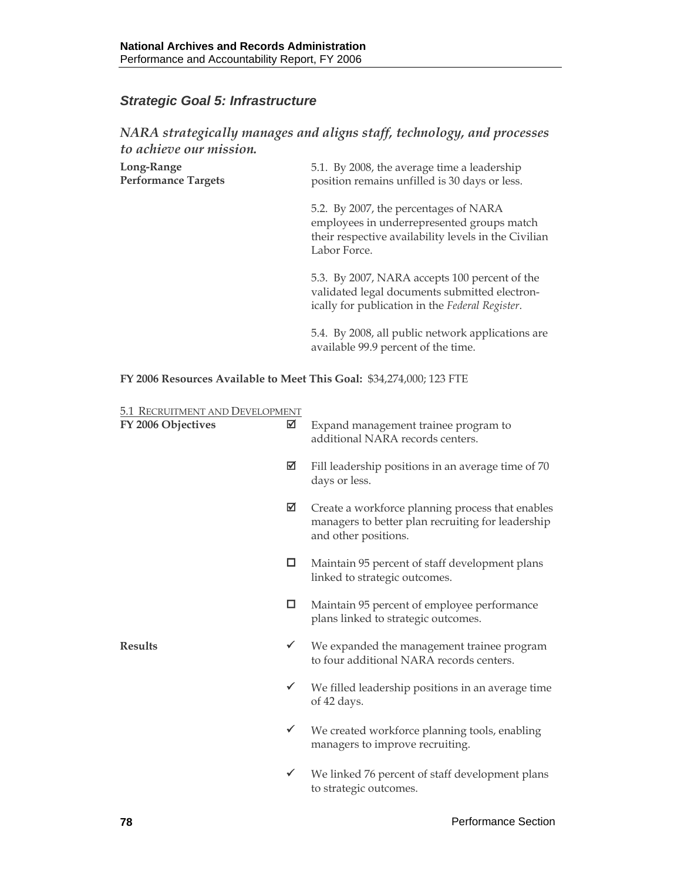## *Strategic Goal 5: Infrastructure*

#### *NARA strategically manages and aligns staff, technology, and processes to achieve our mission.*

| Long-Range                 | 5.1. By 2008, the average time a leadership   |
|----------------------------|-----------------------------------------------|
| <b>Performance Targets</b> | position remains unfilled is 30 days or less. |

5.2. By 2007, the percentages of NARA employees in underrepresented groups match their respective availability levels in the Civilian Labor Force.

5.3. By 2007, NARA accepts 100 percent of the validated legal documents submitted electronically for publication in the *Federal Register*.

5.4. By 2008, all public network applications are available 99.9 percent of the time.

**FY 2006 Resources Available to Meet This Goal:** \$34,274,000; 123 FTE

| 5.1 RECRUITMENT AND DEVELOPMENT |              |                                                                                                                               |
|---------------------------------|--------------|-------------------------------------------------------------------------------------------------------------------------------|
| FY 2006 Objectives              | ☑            | Expand management trainee program to<br>additional NARA records centers.                                                      |
|                                 | ⊠            | Fill leadership positions in an average time of 70<br>days or less.                                                           |
|                                 | ☑            | Create a workforce planning process that enables<br>managers to better plan recruiting for leadership<br>and other positions. |
|                                 | □            | Maintain 95 percent of staff development plans<br>linked to strategic outcomes.                                               |
|                                 | □            | Maintain 95 percent of employee performance<br>plans linked to strategic outcomes.                                            |
| <b>Results</b>                  | $\checkmark$ | We expanded the management trainee program<br>to four additional NARA records centers.                                        |
|                                 | $\checkmark$ | We filled leadership positions in an average time<br>of 42 days.                                                              |
|                                 | $\checkmark$ | We created workforce planning tools, enabling<br>managers to improve recruiting.                                              |
|                                 | ✔            | We linked 76 percent of staff development plans<br>to strategic outcomes.                                                     |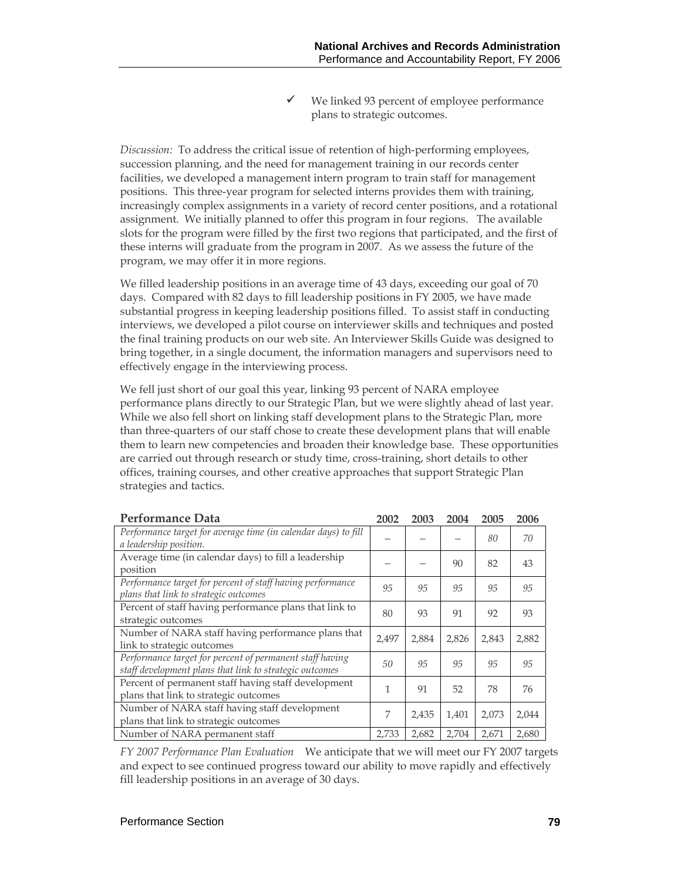We linked 93 percent of employee performance plans to strategic outcomes.

*Discussion:* To address the critical issue of retention of high-performing employees, succession planning, and the need for management training in our records center facilities, we developed a management intern program to train staff for management positions. This three-year program for selected interns provides them with training, increasingly complex assignments in a variety of record center positions, and a rotational assignment. We initially planned to offer this program in four regions. The available slots for the program were filled by the first two regions that participated, and the first of these interns will graduate from the program in 2007. As we assess the future of the program, we may offer it in more regions.

We filled leadership positions in an average time of 43 days, exceeding our goal of 70 days. Compared with 82 days to fill leadership positions in FY 2005, we have made substantial progress in keeping leadership positions filled. To assist staff in conducting interviews, we developed a pilot course on interviewer skills and techniques and posted the final training products on our web site. An Interviewer Skills Guide was designed to bring together, in a single document, the information managers and supervisors need to effectively engage in the interviewing process.

We fell just short of our goal this year, linking 93 percent of NARA employee performance plans directly to our Strategic Plan, but we were slightly ahead of last year. While we also fell short on linking staff development plans to the Strategic Plan, more than three-quarters of our staff chose to create these development plans that will enable them to learn new competencies and broaden their knowledge base. These opportunities are carried out through research or study time, cross-training, short details to other offices, training courses, and other creative approaches that support Strategic Plan strategies and tactics.

| Performance Data                                                                                                    | 2002  | 2003  | 2004  | 2005  | 2006  |
|---------------------------------------------------------------------------------------------------------------------|-------|-------|-------|-------|-------|
| Performance target for average time (in calendar days) to fill<br>a leadership position.                            |       |       |       | 80    | 70    |
| Average time (in calendar days) to fill a leadership<br>position                                                    |       |       | 90    | 82    | 43    |
| Performance target for percent of staff having performance<br>plans that link to strategic outcomes                 | 95    | 95    | 95    | 95    | 95    |
| Percent of staff having performance plans that link to<br>strategic outcomes                                        | 80    | 93    | 91    | 92    | 93    |
| Number of NARA staff having performance plans that<br>link to strategic outcomes                                    | 2.497 | 2,884 | 2,826 | 2,843 | 2,882 |
| Performance target for percent of permanent staff having<br>staff development plans that link to strategic outcomes | 50    | 95    | 95    | 95    | 95    |
| Percent of permanent staff having staff development<br>plans that link to strategic outcomes                        | 1     | 91    | 52    | 78    | 76    |
| Number of NARA staff having staff development<br>plans that link to strategic outcomes                              | 7     | 2,435 | 1,401 | 2,073 | 2,044 |
| Number of NARA permanent staff                                                                                      | 2,733 | 2,682 | 2,704 | 2,671 | 2,680 |

*FY 2007 Performance Plan Evaluation*We anticipate that we will meet our FY 2007 targets and expect to see continued progress toward our ability to move rapidly and effectively fill leadership positions in an average of 30 days.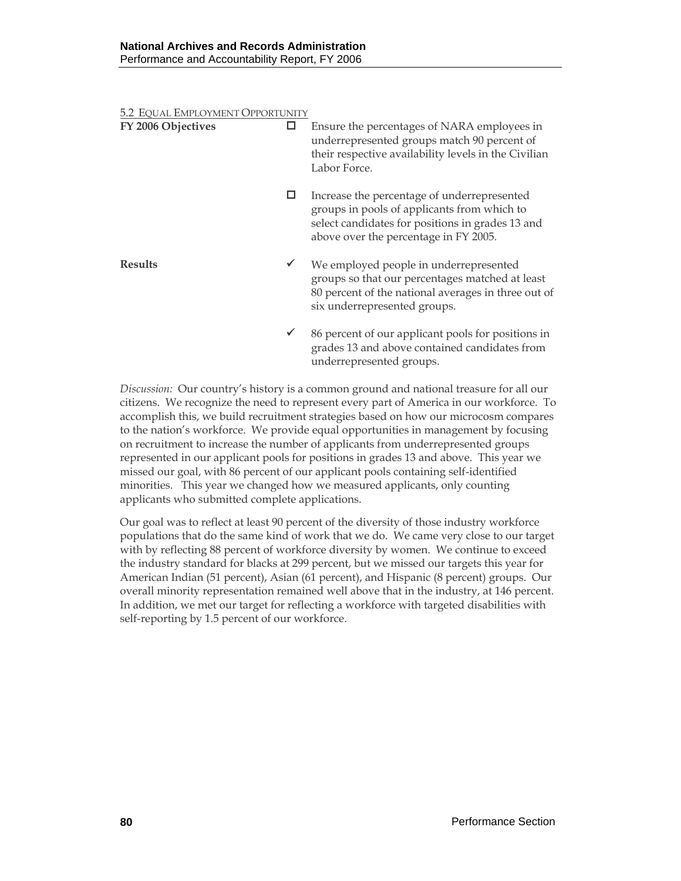| 5.2 EQUAL EMPLOYMENT OPPORTUNITY |              |                                                                                                                                                                                         |
|----------------------------------|--------------|-----------------------------------------------------------------------------------------------------------------------------------------------------------------------------------------|
| FY 2006 Objectives               | □            | Ensure the percentages of NARA employees in<br>underrepresented groups match 90 percent of<br>their respective availability levels in the Civilian<br>Labor Force.                      |
|                                  | □            | Increase the percentage of underrepresented<br>groups in pools of applicants from which to<br>select candidates for positions in grades 13 and<br>above over the percentage in FY 2005. |
| <b>Results</b>                   | $\checkmark$ | We employed people in underrepresented<br>groups so that our percentages matched at least<br>80 percent of the national averages in three out of<br>six underrepresented groups.        |
|                                  | $\checkmark$ | 86 percent of our applicant pools for positions in<br>grades 13 and above contained candidates from<br>underrepresented groups.                                                         |

*Discussion:* Our country's history is a common ground and national treasure for all our citizens. We recognize the need to represent every part of America in our workforce. To accomplish this, we build recruitment strategies based on how our microcosm compares to the nation's workforce. We provide equal opportunities in management by focusing on recruitment to increase the number of applicants from underrepresented groups represented in our applicant pools for positions in grades 13 and above. This year we missed our goal, with 86 percent of our applicant pools containing self-identified minorities. This year we changed how we measured applicants, only counting applicants who submitted complete applications.

Our goal was to reflect at least 90 percent of the diversity of those industry workforce populations that do the same kind of work that we do. We came very close to our target with by reflecting 88 percent of workforce diversity by women. We continue to exceed the industry standard for blacks at 299 percent, but we missed our targets this year for American Indian (51 percent), Asian (61 percent), and Hispanic (8 percent) groups. Our overall minority representation remained well above that in the industry, at 146 percent. In addition, we met our target for reflecting a workforce with targeted disabilities with self-reporting by 1.5 percent of our workforce.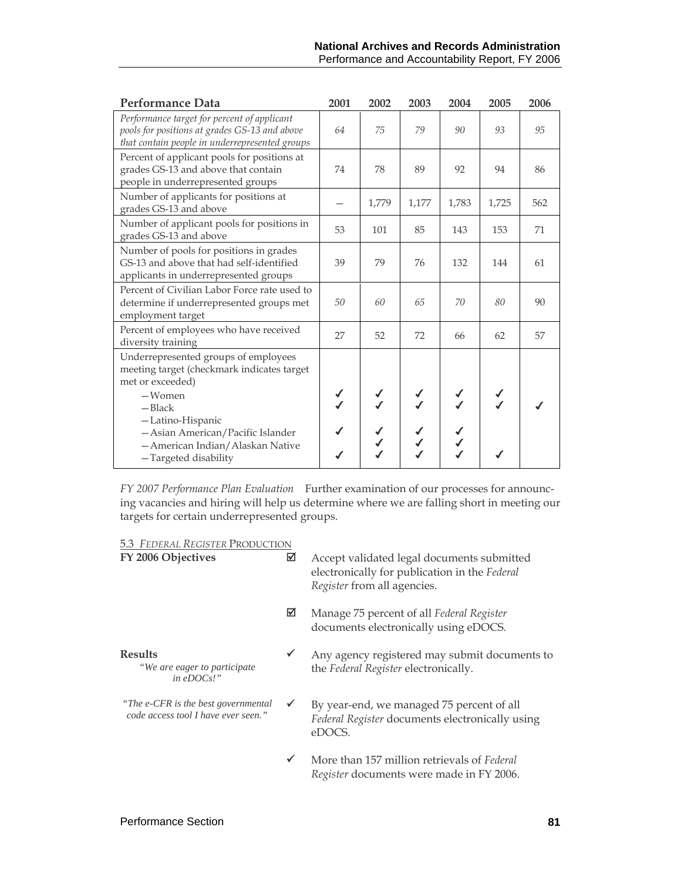| Performance Data                                                                                                                                                                                                             | 2001         | 2002         | 2003  | 2004  | 2005          | 2006 |
|------------------------------------------------------------------------------------------------------------------------------------------------------------------------------------------------------------------------------|--------------|--------------|-------|-------|---------------|------|
| Performance target for percent of applicant<br>pools for positions at grades GS-13 and above<br>that contain people in underrepresented groups                                                                               | 64           | 75           | 79    | 90    | 93            | 95   |
| Percent of applicant pools for positions at<br>grades GS-13 and above that contain<br>people in underrepresented groups                                                                                                      | 74           | 78           | 89    | 92    | 94            | 86   |
| Number of applicants for positions at<br>grades GS-13 and above                                                                                                                                                              |              | 1,779        | 1,177 | 1,783 | 1,725         | 562  |
| Number of applicant pools for positions in<br>grades GS-13 and above                                                                                                                                                         | 53           | 101          | 85    | 143   | 153           | 71   |
| Number of pools for positions in grades<br>GS-13 and above that had self-identified<br>applicants in underrepresented groups                                                                                                 | 39           | 79           | 76    | 132   | 144           | 61   |
| Percent of Civilian Labor Force rate used to<br>determine if underrepresented groups met<br>employment target                                                                                                                | 50           | 60           | 65    | 70    | 80            | 90   |
| Percent of employees who have received<br>diversity training                                                                                                                                                                 | 27           | 52           | 72    | 66    | 62            | 57   |
| Underrepresented groups of employees<br>meeting target (checkmark indicates target<br>met or exceeded)<br>$-Women$<br>$-$ Black<br>-Latino-Hispanic<br>- Asian American/Pacific Islander<br>- American Indian/Alaskan Native | $\checkmark$ | $\checkmark$ |       |       | $\frac{1}{2}$ |      |
| -Targeted disability                                                                                                                                                                                                         |              |              |       |       |               |      |

*FY 2007 Performance Plan Evaluation* Further examination of our processes for announcing vacancies and hiring will help us determine where we are falling short in meeting our targets for certain underrepresented groups.

5.3 *FEDERAL REGISTER* PRODUCTION

| FY 2006 Objectives                                                          | ☑            | Accept validated legal documents submitted<br>electronically for publication in the Federal<br>Register from all agencies. |
|-----------------------------------------------------------------------------|--------------|----------------------------------------------------------------------------------------------------------------------------|
|                                                                             | ⊠            | Manage 75 percent of all Federal Register<br>documents electronically using eDOCS.                                         |
| <b>Results</b><br>"We are eager to participate<br>in $\mathit{eDOCs}$ !"    | $\checkmark$ | Any agency registered may submit documents to<br>the Federal Register electronically.                                      |
| "The e-CFR is the best governmental"<br>code access tool I have ever seen." | $\checkmark$ | By year-end, we managed 75 percent of all<br>Federal Register documents electronically using<br>eDOCS.                     |
|                                                                             | $\checkmark$ | More than 157 million retrievals of Federal<br>Register documents were made in FY 2006.                                    |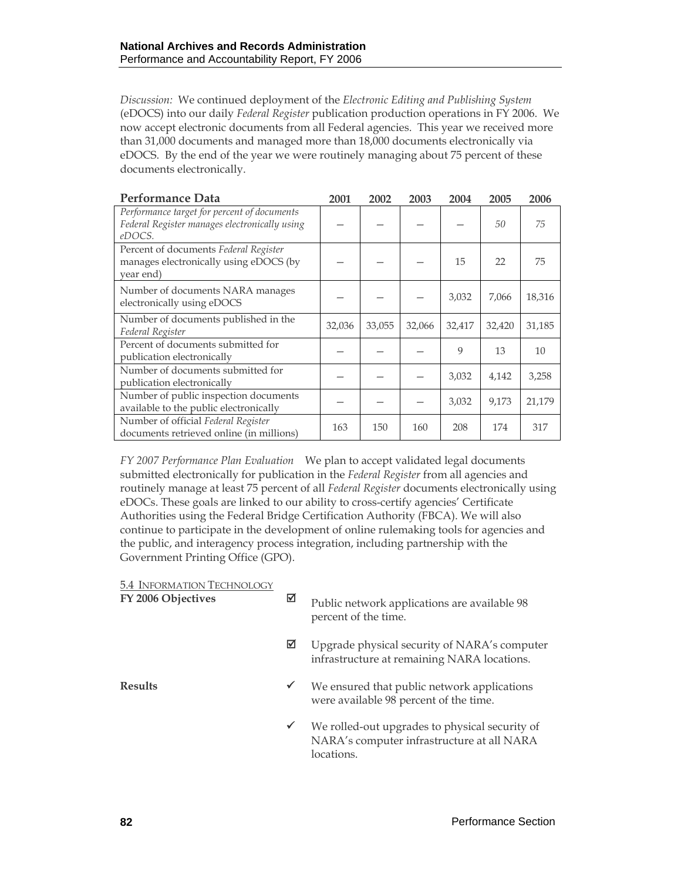*Discussion:* We continued deployment of the *Electronic Editing and Publishing System* (eDOCS) into our daily *Federal Register* publication production operations in FY 2006. We now accept electronic documents from all Federal agencies. This year we received more than 31,000 documents and managed more than 18,000 documents electronically via eDOCS. By the end of the year we were routinely managing about 75 percent of these documents electronically.

| <b>Performance Data</b>                                                                                | 2001   | 2002   | 2003   | 2004   | 2005   | 2006   |
|--------------------------------------------------------------------------------------------------------|--------|--------|--------|--------|--------|--------|
| Performance target for percent of documents<br>Federal Register manages electronically using<br>eDOCS. |        |        |        |        | 50     | 75     |
| Percent of documents Federal Register<br>manages electronically using eDOCS (by<br>year end)           |        |        |        | 15     | 22     | 75     |
| Number of documents NARA manages<br>electronically using eDOCS                                         |        |        |        | 3,032  | 7,066  | 18,316 |
| Number of documents published in the<br>Federal Register                                               | 32,036 | 33,055 | 32,066 | 32,417 | 32,420 | 31,185 |
| Percent of documents submitted for<br>publication electronically                                       |        |        |        | 9      | 13     | 10     |
| Number of documents submitted for<br>publication electronically                                        |        |        |        | 3,032  | 4,142  | 3,258  |
| Number of public inspection documents<br>available to the public electronically                        |        |        |        | 3,032  | 9,173  | 21,179 |
| Number of official Federal Register<br>documents retrieved online (in millions)                        | 163    | 150    | 160    | 208    | 174    | 317    |

*FY 2007 Performance Plan Evaluation*We plan to accept validated legal documents submitted electronically for publication in the *Federal Register* from all agencies and routinely manage at least 75 percent of all *Federal Register* documents electronically using eDOCs. These goals are linked to our ability to cross-certify agencies' Certificate Authorities using the Federal Bridge Certification Authority (FBCA). We will also continue to participate in the development of online rulemaking tools for agencies and the public, and interagency process integration, including partnership with the Government Printing Office (GPO).

#### 5.4 INFORMATION TECHNOLOGY

| FY 2006 Objectives | ☑            | Public network applications are available 98<br>percent of the time.                                       |
|--------------------|--------------|------------------------------------------------------------------------------------------------------------|
|                    | ⊠            | Upgrade physical security of NARA's computer<br>infrastructure at remaining NARA locations.                |
| Results            | $\checkmark$ | We ensured that public network applications<br>were available 98 percent of the time.                      |
|                    | $\checkmark$ | We rolled-out upgrades to physical security of<br>NARA's computer infrastructure at all NARA<br>locations. |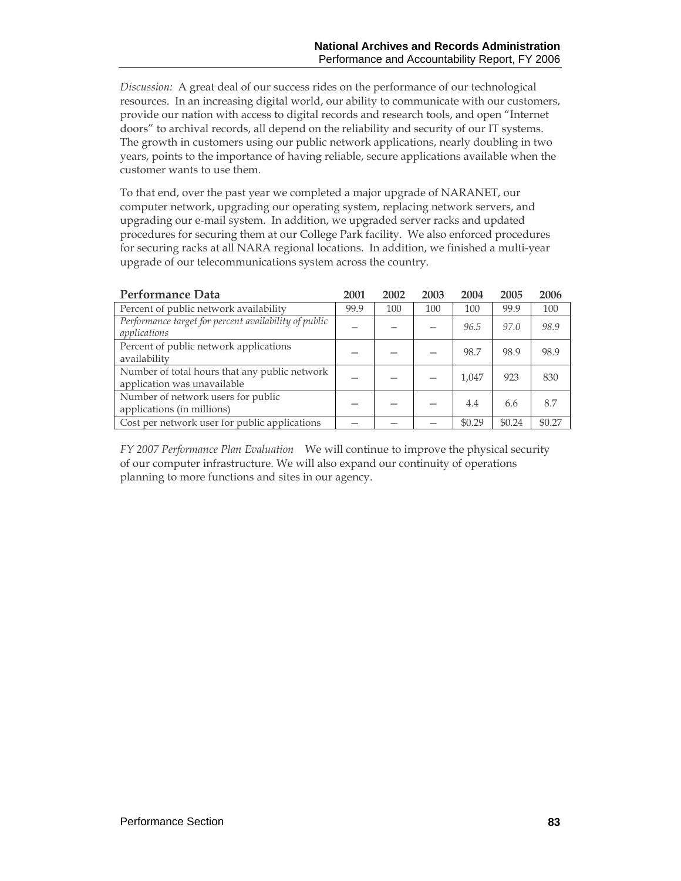*Discussion:* A great deal of our success rides on the performance of our technological resources. In an increasing digital world, our ability to communicate with our customers, provide our nation with access to digital records and research tools, and open "Internet doors" to archival records, all depend on the reliability and security of our IT systems. The growth in customers using our public network applications, nearly doubling in two years, points to the importance of having reliable, secure applications available when the customer wants to use them.

To that end, over the past year we completed a major upgrade of NARANET, our computer network, upgrading our operating system, replacing network servers, and upgrading our e-mail system. In addition, we upgraded server racks and updated procedures for securing them at our College Park facility. We also enforced procedures for securing racks at all NARA regional locations. In addition, we finished a multi-year upgrade of our telecommunications system across the country.

| <b>Performance Data</b>                                                      | 2001 | 2002 | 2003 | 2004   | 2005   | 2006   |
|------------------------------------------------------------------------------|------|------|------|--------|--------|--------|
| Percent of public network availability                                       | 99.9 | 100  | 100  | 100    | 99.9   | 100    |
| Performance target for percent availability of public<br>applications        |      |      |      | 96.5   | 97.0   | 98.9   |
| Percent of public network applications<br>availability                       |      |      |      | 98.7   | 98.9   | 98.9   |
| Number of total hours that any public network<br>application was unavailable |      |      |      | 1,047  | 923    | 830    |
| Number of network users for public<br>applications (in millions)             |      |      |      | 4.4    | 6.6    | 8.7    |
| Cost per network user for public applications                                |      |      |      | \$0.29 | \$0.24 | \$0.27 |

*FY 2007 Performance Plan Evaluation*We will continue to improve the physical security of our computer infrastructure. We will also expand our continuity of operations planning to more functions and sites in our agency.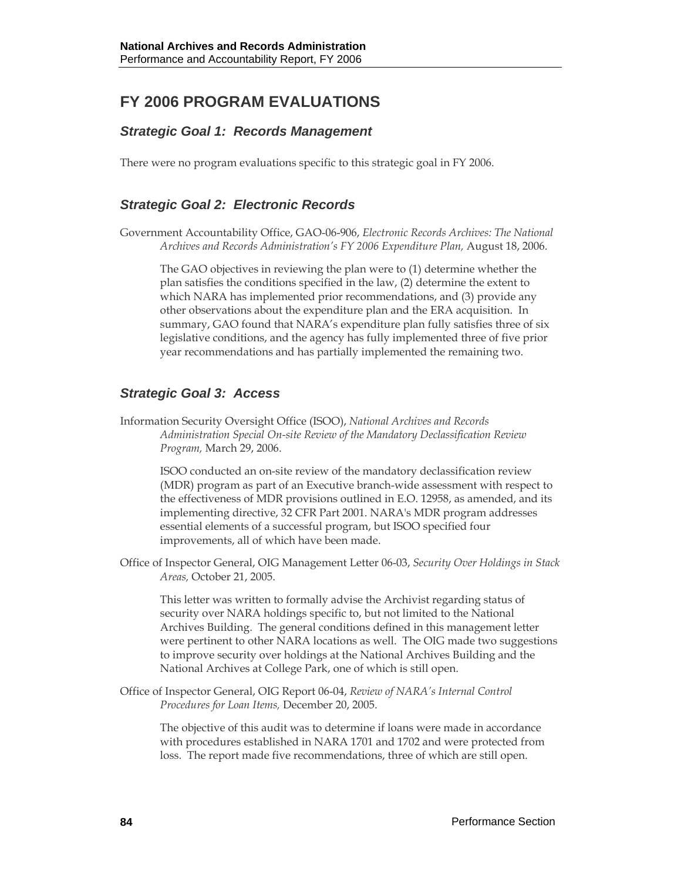# **FY 2006 PROGRAM EVALUATIONS**

## *Strategic Goal 1: Records Management*

There were no program evaluations specific to this strategic goal in FY 2006.

## *Strategic Goal 2: Electronic Records*

Government Accountability Office, GAO-06-906, *Electronic Records Archives: The National Archives and Records Administration's FY 2006 Expenditure Plan,* August 18, 2006.

The GAO objectives in reviewing the plan were to (1) determine whether the plan satisfies the conditions specified in the law, (2) determine the extent to which NARA has implemented prior recommendations, and (3) provide any other observations about the expenditure plan and the ERA acquisition. In summary, GAO found that NARA's expenditure plan fully satisfies three of six legislative conditions, and the agency has fully implemented three of five prior year recommendations and has partially implemented the remaining two.

## *Strategic Goal 3: Access*

Information Security Oversight Office (ISOO), *National Archives and Records Administration Special On-site Review of the Mandatory Declassification Review Program,* March 29, 2006.

ISOO conducted an on-site review of the mandatory declassification review (MDR) program as part of an Executive branch-wide assessment with respect to the effectiveness of MDR provisions outlined in E.O. 12958, as amended, and its implementing directive, 32 CFR Part 2001. NARA's MDR program addresses essential elements of a successful program, but ISOO specified four improvements, all of which have been made.

Office of Inspector General, OIG Management Letter 06-03, *Security Over Holdings in Stack Areas,* October 21, 2005.

This letter was written to formally advise the Archivist regarding status of security over NARA holdings specific to, but not limited to the National Archives Building. The general conditions defined in this management letter were pertinent to other NARA locations as well. The OIG made two suggestions to improve security over holdings at the National Archives Building and the National Archives at College Park, one of which is still open.

Office of Inspector General, OIG Report 06-04, *Review of NARA's Internal Control Procedures for Loan Items,* December 20, 2005.

The objective of this audit was to determine if loans were made in accordance with procedures established in NARA 1701 and 1702 and were protected from loss. The report made five recommendations, three of which are still open.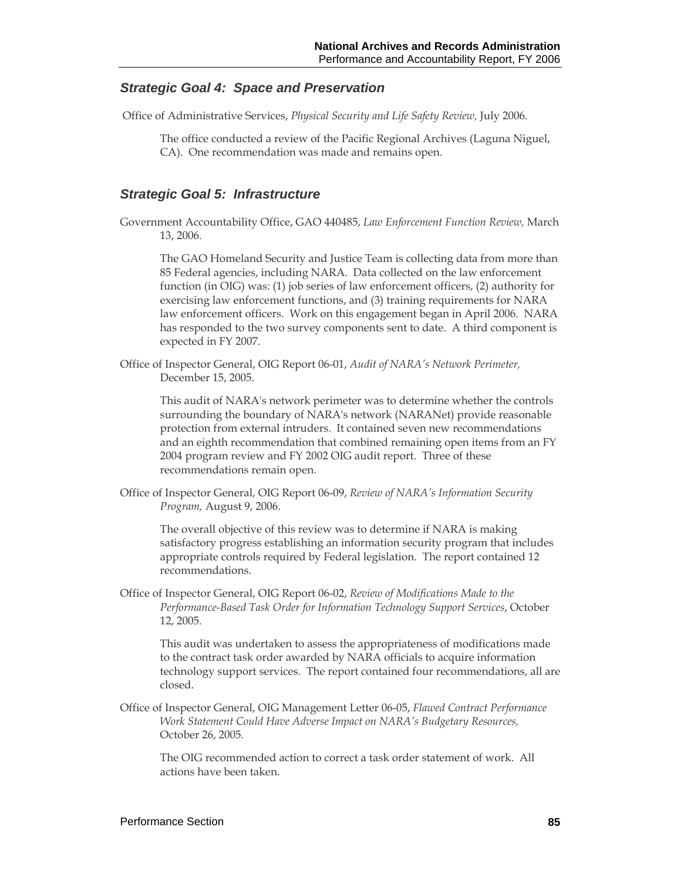#### *Strategic Goal 4: Space and Preservation*

Office of Administrative Services, *Physical Security and Life Safety Review,* July 2006.

The office conducted a review of the Pacific Regional Archives (Laguna Niguel,

CA). One recommendation was made and remains open.

#### *Strategic Goal 5: Infrastructure*

Government Accountability Office, GAO 440485, *Law Enforcement Function Review,* March 13, 2006.

The GAO Homeland Security and Justice Team is collecting data from more than 85 Federal agencies, including NARA. Data collected on the law enforcement function (in OIG) was: (1) job series of law enforcement officers, (2) authority for exercising law enforcement functions, and (3) training requirements for NARA law enforcement officers. Work on this engagement began in April 2006. NARA has responded to the two survey components sent to date. A third component is expected in FY 2007.

Office of Inspector General, OIG Report 06-01, *Audit of NARA's Network Perimeter,* December 15, 2005.

This audit of NARA's network perimeter was to determine whether the controls surrounding the boundary of NARA's network (NARANet) provide reasonable protection from external intruders. It contained seven new recommendations and an eighth recommendation that combined remaining open items from an FY 2004 program review and FY 2002 OIG audit report. Three of these recommendations remain open.

Office of Inspector General, OIG Report 06-09, *Review of NARA's Information Security Program,* August 9, 2006.

The overall objective of this review was to determine if NARA is making satisfactory progress establishing an information security program that includes appropriate controls required by Federal legislation. The report contained 12 recommendations.

Office of Inspector General, OIG Report 06-02, *Review of Modifications Made to the Performance-Based Task Order for Information Technology Support Services*, October 12, 2005.

This audit was undertaken to assess the appropriateness of modifications made to the contract task order awarded by NARA officials to acquire information technology support services. The report contained four recommendations, all are closed.

Office of Inspector General, OIG Management Letter 06-05, *Flawed Contract Performance Work Statement Could Have Adverse Impact on NARA's Budgetary Resources,*  October 26, 2005.

The OIG recommended action to correct a task order statement of work. All actions have been taken.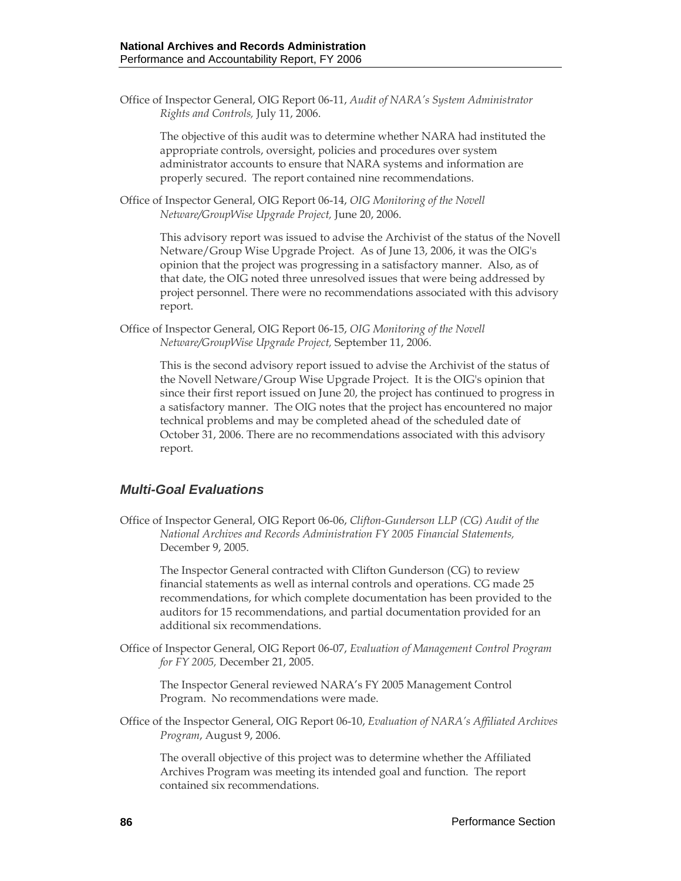Office of Inspector General, OIG Report 06-11, *Audit of NARA's System Administrator Rights and Controls,* July 11, 2006.

The objective of this audit was to determine whether NARA had instituted the appropriate controls, oversight, policies and procedures over system administrator accounts to ensure that NARA systems and information are properly secured. The report contained nine recommendations.

Office of Inspector General, OIG Report 06-14, *OIG Monitoring of the Novell Netware/GroupWise Upgrade Project,* June 20, 2006.

> This advisory report was issued to advise the Archivist of the status of the Novell Netware/Group Wise Upgrade Project. As of June 13, 2006, it was the OIG's opinion that the project was progressing in a satisfactory manner. Also, as of that date, the OIG noted three unresolved issues that were being addressed by project personnel. There were no recommendations associated with this advisory report.

Office of Inspector General, OIG Report 06-15, *OIG Monitoring of the Novell Netware/GroupWise Upgrade Project,* September 11, 2006.

> This is the second advisory report issued to advise the Archivist of the status of the Novell Netware/Group Wise Upgrade Project. It is the OIG's opinion that since their first report issued on June 20, the project has continued to progress in a satisfactory manner. The OIG notes that the project has encountered no major technical problems and may be completed ahead of the scheduled date of October 31, 2006. There are no recommendations associated with this advisory report.

## *Multi-Goal Evaluations*

Office of Inspector General, OIG Report 06-06, *Clifton-Gunderson LLP (CG) Audit of the National Archives and Records Administration FY 2005 Financial Statements,*  December 9, 2005.

The Inspector General contracted with Clifton Gunderson (CG) to review financial statements as well as internal controls and operations. CG made 25 recommendations, for which complete documentation has been provided to the auditors for 15 recommendations, and partial documentation provided for an additional six recommendations.

Office of Inspector General, OIG Report 06-07, *Evaluation of Management Control Program for FY 2005,* December 21, 2005.

The Inspector General reviewed NARA's FY 2005 Management Control Program. No recommendations were made.

Office of the Inspector General, OIG Report 06-10, *Evaluation of NARA's Affiliated Archives Program*, August 9, 2006.

The overall objective of this project was to determine whether the Affiliated Archives Program was meeting its intended goal and function. The report contained six recommendations.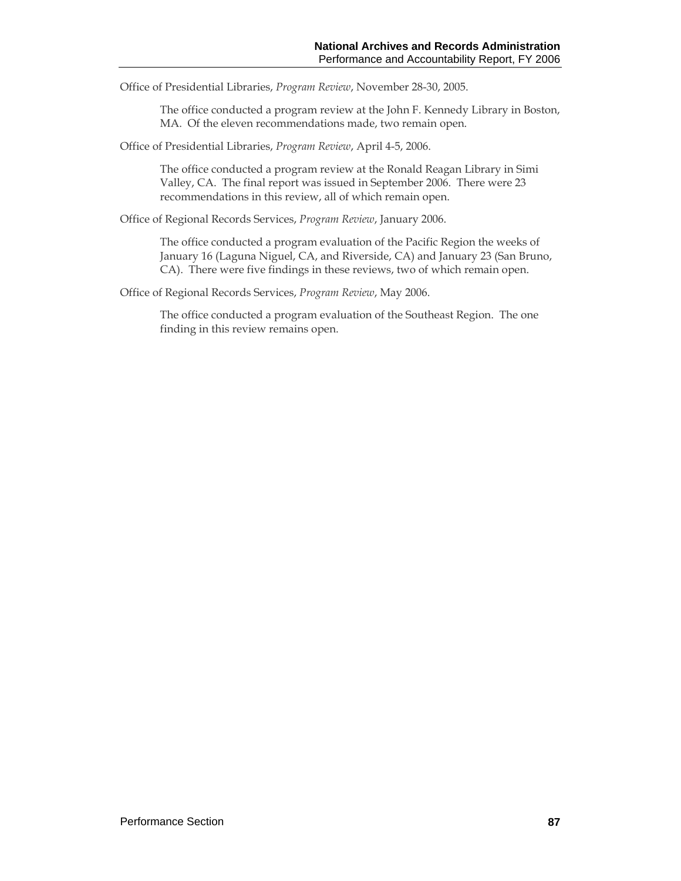Office of Presidential Libraries, *Program Review*, November 28-30, 2005.

The office conducted a program review at the John F. Kennedy Library in Boston, MA. Of the eleven recommendations made, two remain open.

Office of Presidential Libraries, *Program Review*, April 4-5, 2006.

The office conducted a program review at the Ronald Reagan Library in Simi Valley, CA. The final report was issued in September 2006. There were 23 recommendations in this review, all of which remain open.

Office of Regional Records Services, *Program Review*, January 2006.

The office conducted a program evaluation of the Pacific Region the weeks of January 16 (Laguna Niguel, CA, and Riverside, CA) and January 23 (San Bruno, CA). There were five findings in these reviews, two of which remain open.

Office of Regional Records Services, *Program Review*, May 2006.

The office conducted a program evaluation of the Southeast Region. The one finding in this review remains open.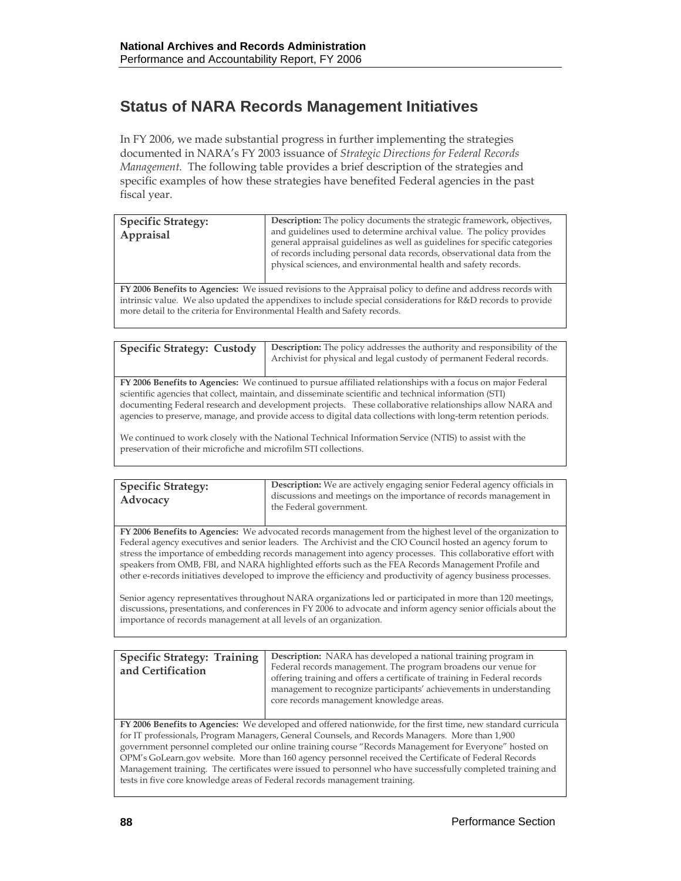# **Status of NARA Records Management Initiatives**

In FY 2006, we made substantial progress in further implementing the strategies documented in NARA's FY 2003 issuance of *Strategic Directions for Federal Records Management.* The following table provides a brief description of the strategies and specific examples of how these strategies have benefited Federal agencies in the past fiscal year.

| <b>Specific Strategy:</b><br>Appraisal | <b>Description:</b> The policy documents the strategic framework, objectives,<br>and guidelines used to determine archival value. The policy provides<br>general appraisal guidelines as well as guidelines for specific categories<br>of records including personal data records, observational data from the<br>physical sciences, and environmental health and safety records. |
|----------------------------------------|-----------------------------------------------------------------------------------------------------------------------------------------------------------------------------------------------------------------------------------------------------------------------------------------------------------------------------------------------------------------------------------|
|----------------------------------------|-----------------------------------------------------------------------------------------------------------------------------------------------------------------------------------------------------------------------------------------------------------------------------------------------------------------------------------------------------------------------------------|

**FY 2006 Benefits to Agencies:** We issued revisions to the Appraisal policy to define and address records with intrinsic value. We also updated the appendixes to include special considerations for R&D records to provide more detail to the criteria for Environmental Health and Safety records.

| <b>Specific Strategy: Custody</b> | <b>Description:</b> The policy addresses the authority and responsibility of the<br>Archivist for physical and legal custody of permanent Federal records.                                                                            |
|-----------------------------------|---------------------------------------------------------------------------------------------------------------------------------------------------------------------------------------------------------------------------------------|
|                                   | FY 2006 Benefits to Agencies: We continued to pursue affiliated relationships with a focus on major Federal<br>الاستحصار المارا والمستحقق والمتحاولة والمتحاولة والمستحقق والمستحقق والمستحيل والمستحيل والمستحيل والمستحيل والمستحيل |

scientific agencies that collect, maintain, and disseminate scientific and technical information (STI) documenting Federal research and development projects. These collaborative relationships allow NARA and agencies to preserve, manage, and provide access to digital data collections with long-term retention periods.

We continued to work closely with the National Technical Information Service (NTIS) to assist with the preservation of their microfiche and microfilm STI collections.

| <b>Specific Strategy:</b><br>Advocacy | <b>Description:</b> We are actively engaging senior Federal agency officials in<br>discussions and meetings on the importance of records management in<br>the Federal government. |
|---------------------------------------|-----------------------------------------------------------------------------------------------------------------------------------------------------------------------------------|
|                                       |                                                                                                                                                                                   |

**FY 2006 Benefits to Agencies:** We advocated records management from the highest level of the organization to Federal agency executives and senior leaders. The Archivist and the CIO Council hosted an agency forum to stress the importance of embedding records management into agency processes. This collaborative effort with speakers from OMB, FBI, and NARA highlighted efforts such as the FEA Records Management Profile and other e-records initiatives developed to improve the efficiency and productivity of agency business processes.

Senior agency representatives throughout NARA organizations led or participated in more than 120 meetings, discussions, presentations, and conferences in FY 2006 to advocate and inform agency senior officials about the importance of records management at all levels of an organization.

| <b>Specific Strategy: Training</b><br>and Certification                                                       | <b>Description:</b> NARA has developed a national training program in<br>Federal records management. The program broadens our venue for<br>offering training and offers a certificate of training in Federal records<br>management to recognize participants' achievements in understanding<br>core records management knowledge areas. |  |  |  |
|---------------------------------------------------------------------------------------------------------------|-----------------------------------------------------------------------------------------------------------------------------------------------------------------------------------------------------------------------------------------------------------------------------------------------------------------------------------------|--|--|--|
| FY 2006 Benefits to Agencies: We developed and offered nationwide, for the first time, new standard curricula |                                                                                                                                                                                                                                                                                                                                         |  |  |  |
|                                                                                                               | for IT professionals, Program Managers, General Counsels, and Records Managers. More than 1,900                                                                                                                                                                                                                                         |  |  |  |
| government personnel completed our online training course "Records Management for Everyone" hosted on         |                                                                                                                                                                                                                                                                                                                                         |  |  |  |
| OPM's GoLearn.gov website. More than 160 agency personnel received the Certificate of Federal Records         |                                                                                                                                                                                                                                                                                                                                         |  |  |  |
| Management training. The certificates were issued to personnel who have successfully completed training and   |                                                                                                                                                                                                                                                                                                                                         |  |  |  |
| tests in five core knowledge areas of Federal records management training.                                    |                                                                                                                                                                                                                                                                                                                                         |  |  |  |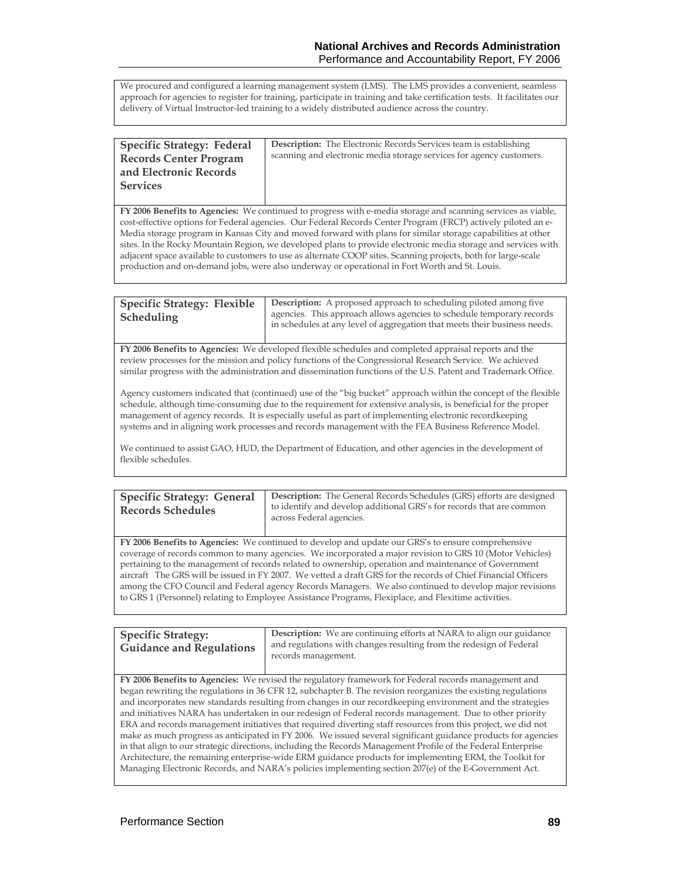We procured and configured a learning management system (LMS). The LMS provides a convenient, seamless approach for agencies to register for training, participate in training and take certification tests. It facilitates our delivery of Virtual Instructor-led training to a widely distributed audience across the country.

| <b>Specific Strategy: Federal</b> | <b>Description:</b> The Electronic Records Services team is establishing |
|-----------------------------------|--------------------------------------------------------------------------|
| <b>Records Center Program</b>     | scanning and electronic media storage services for agency customers.     |
| and Electronic Records            |                                                                          |
| <b>Services</b>                   |                                                                          |
|                                   |                                                                          |

**FY 2006 Benefits to Agencies:** We continued to progress with e-media storage and scanning services as viable, cost-effective options for Federal agencies. Our Federal Records Center Program (FRCP) actively piloted an e-Media storage program in Kansas City and moved forward with plans for similar storage capabilities at other sites. In the Rocky Mountain Region, we developed plans to provide electronic media storage and services with adjacent space available to customers to use as alternate COOP sites. Scanning projects, both for large-scale production and on-demand jobs, were also underway or operational in Fort Worth and St. Louis.

| <b>Specific Strategy: Flexible</b> | <b>Description:</b> A proposed approach to scheduling piloted among five                                                                           |
|------------------------------------|----------------------------------------------------------------------------------------------------------------------------------------------------|
| Scheduling                         | agencies. This approach allows agencies to schedule temporary records<br>in schedules at any level of aggregation that meets their business needs. |

**FY 2006 Benefits to Agencies:** We developed flexible schedules and completed appraisal reports and the review processes for the mission and policy functions of the Congressional Research Service. We achieved similar progress with the administration and dissemination functions of the U.S. Patent and Trademark Office.

Agency customers indicated that (continued) use of the "big bucket" approach within the concept of the flexible schedule, although time-consuming due to the requirement for extensive analysis, is beneficial for the proper management of agency records. It is especially useful as part of implementing electronic recordkeeping systems and in aligning work processes and records management with the FEA Business Reference Model.

We continued to assist GAO, HUD, the Department of Education, and other agencies in the development of flexible schedules.

| <b>Specific Strategy: General</b> | <b>Description:</b> The General Records Schedules (GRS) efforts are designed                     |
|-----------------------------------|--------------------------------------------------------------------------------------------------|
| <b>Records Schedules</b>          | to identify and develop additional GRS's for records that are common<br>across Federal agencies. |
|                                   |                                                                                                  |

**FY 2006 Benefits to Agencies:** We continued to develop and update our GRS's to ensure comprehensive coverage of records common to many agencies. We incorporated a major revision to GRS 10 (Motor Vehicles) pertaining to the management of records related to ownership, operation and maintenance of Government aircraft The GRS will be issued in FY 2007. We vetted a draft GRS for the records of Chief Financial Officers among the CFO Council and Federal agency Records Managers. We also continued to develop major revisions to GRS 1 (Personnel) relating to Employee Assistance Programs, Flexiplace, and Flexitime activities.

| <b>Specific Strategy:</b><br><b>Guidance and Regulations</b> | <b>Description:</b> We are continuing efforts at NARA to align our guidance<br>and regulations with changes resulting from the redesign of Federal<br>records management. |
|--------------------------------------------------------------|---------------------------------------------------------------------------------------------------------------------------------------------------------------------------|

**FY 2006 Benefits to Agencies:** We revised the regulatory framework for Federal records management and began rewriting the regulations in 36 CFR 12, subchapter B. The revision reorganizes the existing regulations and incorporates new standards resulting from changes in our recordkeeping environment and the strategies and initiatives NARA has undertaken in our redesign of Federal records management. Due to other priority ERA and records management initiatives that required diverting staff resources from this project, we did not make as much progress as anticipated in FY 2006. We issued several significant guidance products for agencies in that align to our strategic directions, including the Records Management Profile of the Federal Enterprise Architecture, the remaining enterprise-wide ERM guidance products for implementing ERM, the Toolkit for Managing Electronic Records, and NARA's policies implementing section 207(e) of the E-Government Act.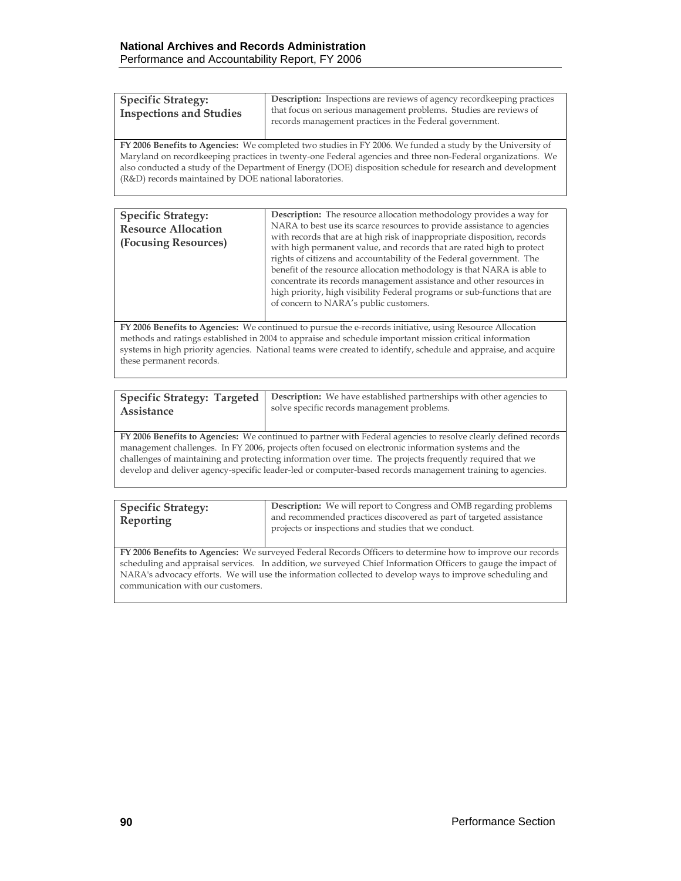| <b>Description:</b> Inspections are reviews of agency record keeping practices<br><b>Specific Strategy:</b><br>that focus on serious management problems. Studies are reviews of<br><b>Inspections and Studies</b><br>records management practices in the Federal government. |  |
|-------------------------------------------------------------------------------------------------------------------------------------------------------------------------------------------------------------------------------------------------------------------------------|--|
|-------------------------------------------------------------------------------------------------------------------------------------------------------------------------------------------------------------------------------------------------------------------------------|--|

**FY 2006 Benefits to Agencies:** We completed two studies in FY 2006. We funded a study by the University of Maryland on recordkeeping practices in twenty-one Federal agencies and three non-Federal organizations. We also conducted a study of the Department of Energy (DOE) disposition schedule for research and development (R&D) records maintained by DOE national laboratories.

| <b>Specific Strategy:</b>                          | <b>Description:</b> The resource allocation methodology provides a way for                                                                                                                                                                                                                                                                                                     |  |  |  |  |
|----------------------------------------------------|--------------------------------------------------------------------------------------------------------------------------------------------------------------------------------------------------------------------------------------------------------------------------------------------------------------------------------------------------------------------------------|--|--|--|--|
| <b>Resource Allocation</b><br>(Focusing Resources) | NARA to best use its scarce resources to provide assistance to agencies<br>with records that are at high risk of inappropriate disposition, records<br>with high permanent value, and records that are rated high to protect<br>rights of citizens and accountability of the Federal government. The<br>benefit of the resource allocation methodology is that NARA is able to |  |  |  |  |
|                                                    | concentrate its records management assistance and other resources in<br>high priority, high visibility Federal programs or sub-functions that are<br>of concern to NARA's public customers.                                                                                                                                                                                    |  |  |  |  |

**FY 2006 Benefits to Agencies:** We continued to pursue the e-records initiative, using Resource Allocation methods and ratings established in 2004 to appraise and schedule important mission critical information systems in high priority agencies. National teams were created to identify, schedule and appraise, and acquire these permanent records.

| Assistance | Specific Strategy: Targeted   Description: We have established partnerships with other agencies to<br>solve specific records management problems. |
|------------|---------------------------------------------------------------------------------------------------------------------------------------------------|
|            |                                                                                                                                                   |

**FY 2006 Benefits to Agencies:** We continued to partner with Federal agencies to resolve clearly defined records management challenges. In FY 2006, projects often focused on electronic information systems and the challenges of maintaining and protecting information over time. The projects frequently required that we develop and deliver agency-specific leader-led or computer-based records management training to agencies.

| <b>Specific Strategy:</b><br><b>Reporting</b>                                                                                                                                                                                                                                                                                                                                | <b>Description:</b> We will report to Congress and OMB regarding problems<br>and recommended practices discovered as part of targeted assistance<br>projects or inspections and studies that we conduct. |  |
|------------------------------------------------------------------------------------------------------------------------------------------------------------------------------------------------------------------------------------------------------------------------------------------------------------------------------------------------------------------------------|----------------------------------------------------------------------------------------------------------------------------------------------------------------------------------------------------------|--|
| FY 2006 Benefits to Agencies: We surveyed Federal Records Officers to determine how to improve our records<br>scheduling and appraisal services. In addition, we surveyed Chief Information Officers to gauge the impact of<br>NARA's advocacy efforts. We will use the information collected to develop ways to improve scheduling and<br>communication with our customers. |                                                                                                                                                                                                          |  |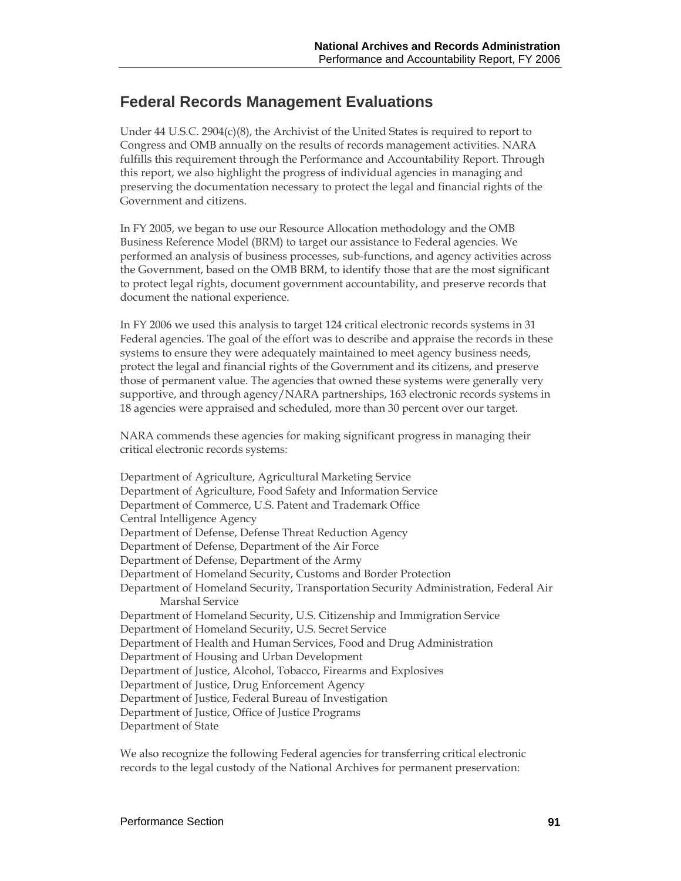# **Federal Records Management Evaluations**

Under 44 U.S.C. 2904(c)(8), the Archivist of the United States is required to report to Congress and OMB annually on the results of records management activities. NARA fulfills this requirement through the Performance and Accountability Report. Through this report, we also highlight the progress of individual agencies in managing and preserving the documentation necessary to protect the legal and financial rights of the Government and citizens.

In FY 2005, we began to use our Resource Allocation methodology and the OMB Business Reference Model (BRM) to target our assistance to Federal agencies. We performed an analysis of business processes, sub-functions, and agency activities across the Government, based on the OMB BRM, to identify those that are the most significant to protect legal rights, document government accountability, and preserve records that document the national experience.

In FY 2006 we used this analysis to target 124 critical electronic records systems in 31 Federal agencies. The goal of the effort was to describe and appraise the records in these systems to ensure they were adequately maintained to meet agency business needs, protect the legal and financial rights of the Government and its citizens, and preserve those of permanent value. The agencies that owned these systems were generally very supportive, and through agency/NARA partnerships, 163 electronic records systems in 18 agencies were appraised and scheduled, more than 30 percent over our target.

NARA commends these agencies for making significant progress in managing their critical electronic records systems:

Department of Agriculture, Agricultural Marketing Service Department of Agriculture, Food Safety and Information Service Department of Commerce, U.S. Patent and Trademark Office Central Intelligence Agency Department of Defense, Defense Threat Reduction Agency Department of Defense, Department of the Air Force Department of Defense, Department of the Army Department of Homeland Security, Customs and Border Protection Department of Homeland Security, Transportation Security Administration, Federal Air Marshal Service Department of Homeland Security, U.S. Citizenship and Immigration Service Department of Homeland Security, U.S. Secret Service Department of Health and Human Services, Food and Drug Administration Department of Housing and Urban Development Department of Justice, Alcohol, Tobacco, Firearms and Explosives Department of Justice, Drug Enforcement Agency Department of Justice, Federal Bureau of Investigation Department of Justice, Office of Justice Programs Department of State

We also recognize the following Federal agencies for transferring critical electronic records to the legal custody of the National Archives for permanent preservation: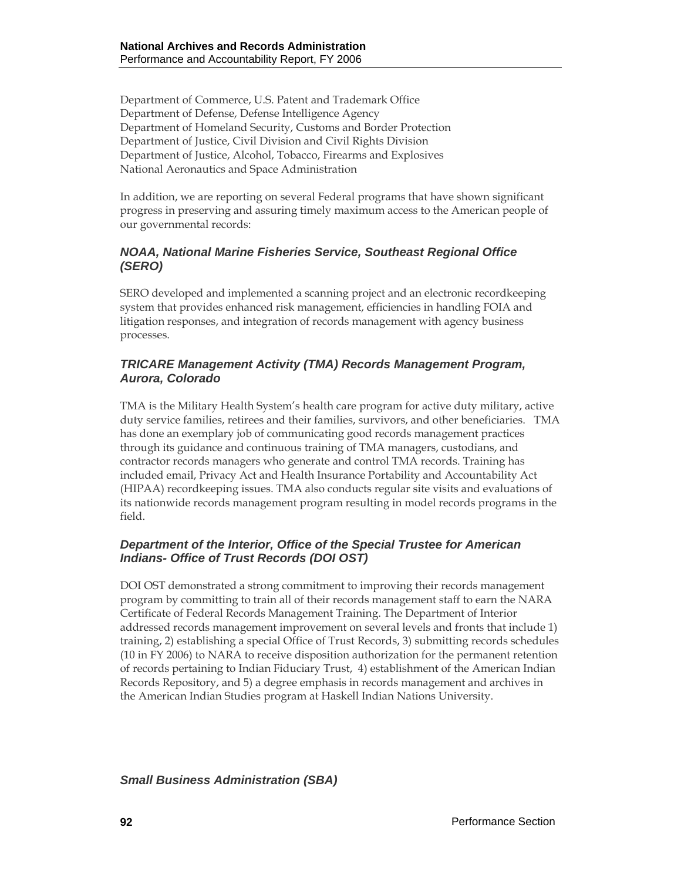Department of Commerce, U.S. Patent and Trademark Office Department of Defense, Defense Intelligence Agency Department of Homeland Security, Customs and Border Protection Department of Justice, Civil Division and Civil Rights Division Department of Justice, Alcohol, Tobacco, Firearms and Explosives National Aeronautics and Space Administration

In addition, we are reporting on several Federal programs that have shown significant progress in preserving and assuring timely maximum access to the American people of our governmental records:

## *NOAA, National Marine Fisheries Service, Southeast Regional Office (SERO)*

SERO developed and implemented a scanning project and an electronic recordkeeping system that provides enhanced risk management, efficiencies in handling FOIA and litigation responses, and integration of records management with agency business processes.

#### *TRICARE Management Activity (TMA) Records Management Program, Aurora, Colorado*

TMA is the Military Health System's health care program for active duty military, active duty service families, retirees and their families, survivors, and other beneficiaries. TMA has done an exemplary job of communicating good records management practices through its guidance and continuous training of TMA managers, custodians, and contractor records managers who generate and control TMA records. Training has included email, Privacy Act and Health Insurance Portability and Accountability Act (HIPAA) recordkeeping issues. TMA also conducts regular site visits and evaluations of its nationwide records management program resulting in model records programs in the field.

## *Department of the Interior, Office of the Special Trustee for American Indians- Office of Trust Records (DOI OST)*

DOI OST demonstrated a strong commitment to improving their records management program by committing to train all of their records management staff to earn the NARA Certificate of Federal Records Management Training. The Department of Interior addressed records management improvement on several levels and fronts that include 1) training, 2) establishing a special Office of Trust Records, 3) submitting records schedules (10 in FY 2006) to NARA to receive disposition authorization for the permanent retention of records pertaining to Indian Fiduciary Trust, 4) establishment of the American Indian Records Repository, and 5) a degree emphasis in records management and archives in the American Indian Studies program at Haskell Indian Nations University.

*Small Business Administration (SBA)*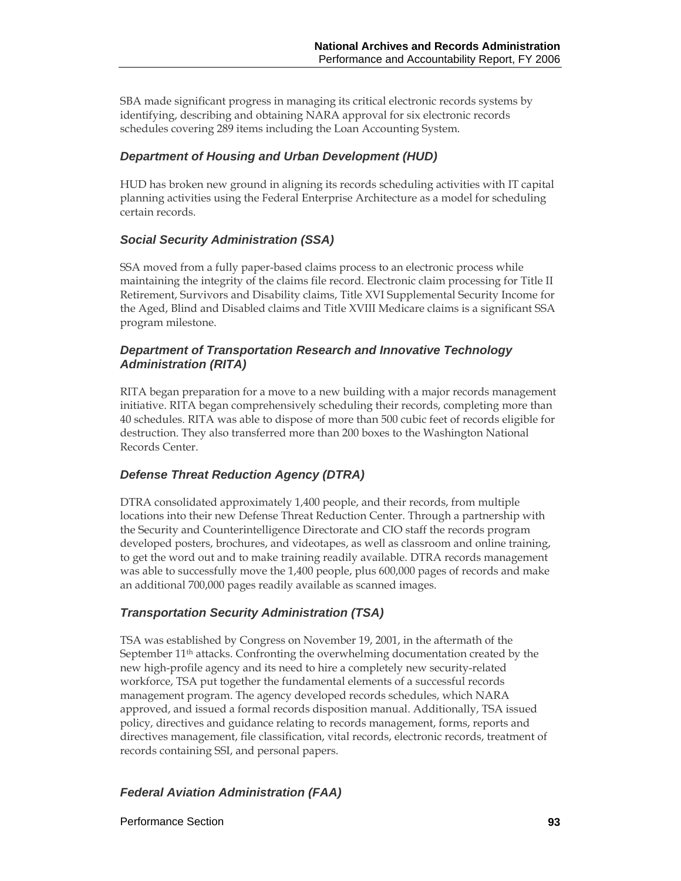SBA made significant progress in managing its critical electronic records systems by identifying, describing and obtaining NARA approval for six electronic records schedules covering 289 items including the Loan Accounting System.

#### *Department of Housing and Urban Development (HUD)*

HUD has broken new ground in aligning its records scheduling activities with IT capital planning activities using the Federal Enterprise Architecture as a model for scheduling certain records.

#### *Social Security Administration (SSA)*

SSA moved from a fully paper-based claims process to an electronic process while maintaining the integrity of the claims file record. Electronic claim processing for Title II Retirement, Survivors and Disability claims, Title XVI Supplemental Security Income for the Aged, Blind and Disabled claims and Title XVIII Medicare claims is a significant SSA program milestone.

#### *Department of Transportation Research and Innovative Technology Administration (RITA)*

RITA began preparation for a move to a new building with a major records management initiative. RITA began comprehensively scheduling their records, completing more than 40 schedules. RITA was able to dispose of more than 500 cubic feet of records eligible for destruction. They also transferred more than 200 boxes to the Washington National Records Center.

## *Defense Threat Reduction Agency (DTRA)*

DTRA consolidated approximately 1,400 people, and their records, from multiple locations into their new Defense Threat Reduction Center. Through a partnership with the Security and Counterintelligence Directorate and CIO staff the records program developed posters, brochures, and videotapes, as well as classroom and online training, to get the word out and to make training readily available. DTRA records management was able to successfully move the 1,400 people, plus 600,000 pages of records and make an additional 700,000 pages readily available as scanned images.

#### *Transportation Security Administration (TSA)*

TSA was established by Congress on November 19, 2001, in the aftermath of the September 11th attacks. Confronting the overwhelming documentation created by the new high-profile agency and its need to hire a completely new security-related workforce, TSA put together the fundamental elements of a successful records management program. The agency developed records schedules, which NARA approved, and issued a formal records disposition manual. Additionally, TSA issued policy, directives and guidance relating to records management, forms, reports and directives management, file classification, vital records, electronic records, treatment of records containing SSI, and personal papers.

## *Federal Aviation Administration (FAA)*

Performance Section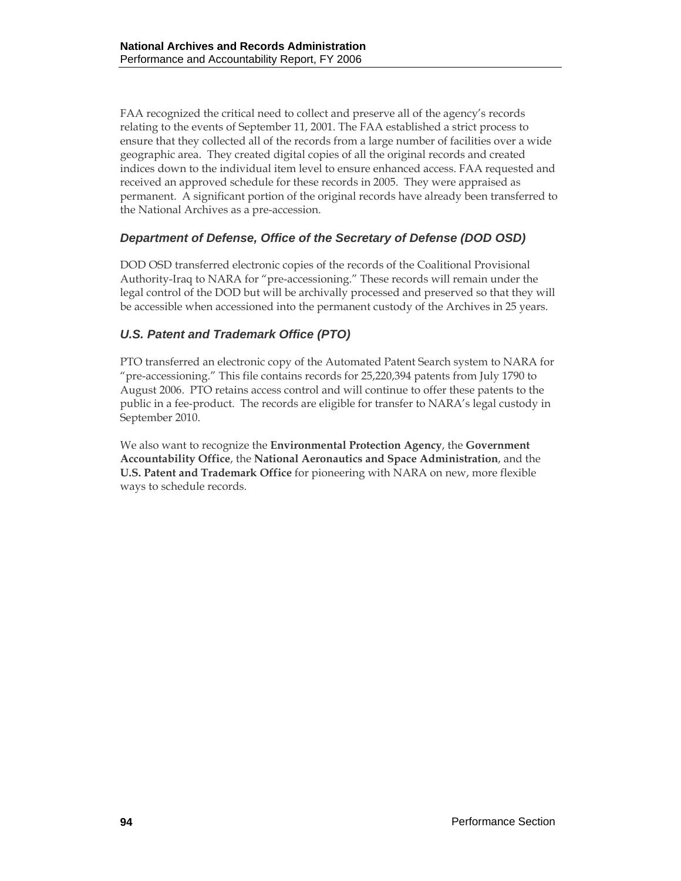FAA recognized the critical need to collect and preserve all of the agency's records relating to the events of September 11, 2001. The FAA established a strict process to ensure that they collected all of the records from a large number of facilities over a wide geographic area. They created digital copies of all the original records and created indices down to the individual item level to ensure enhanced access. FAA requested and received an approved schedule for these records in 2005. They were appraised as permanent. A significant portion of the original records have already been transferred to the National Archives as a pre-accession.

## *Department of Defense, Office of the Secretary of Defense (DOD OSD)*

DOD OSD transferred electronic copies of the records of the Coalitional Provisional Authority-Iraq to NARA for "pre-accessioning." These records will remain under the legal control of the DOD but will be archivally processed and preserved so that they will be accessible when accessioned into the permanent custody of the Archives in 25 years.

## *U.S. Patent and Trademark Office (PTO)*

PTO transferred an electronic copy of the Automated Patent Search system to NARA for "pre-accessioning." This file contains records for 25,220,394 patents from July 1790 to August 2006. PTO retains access control and will continue to offer these patents to the public in a fee-product. The records are eligible for transfer to NARA's legal custody in September 2010.

We also want to recognize the **Environmental Protection Agency**, the **Government Accountability Office**, the **National Aeronautics and Space Administration**, and the **U.S. Patent and Trademark Office** for pioneering with NARA on new, more flexible ways to schedule records.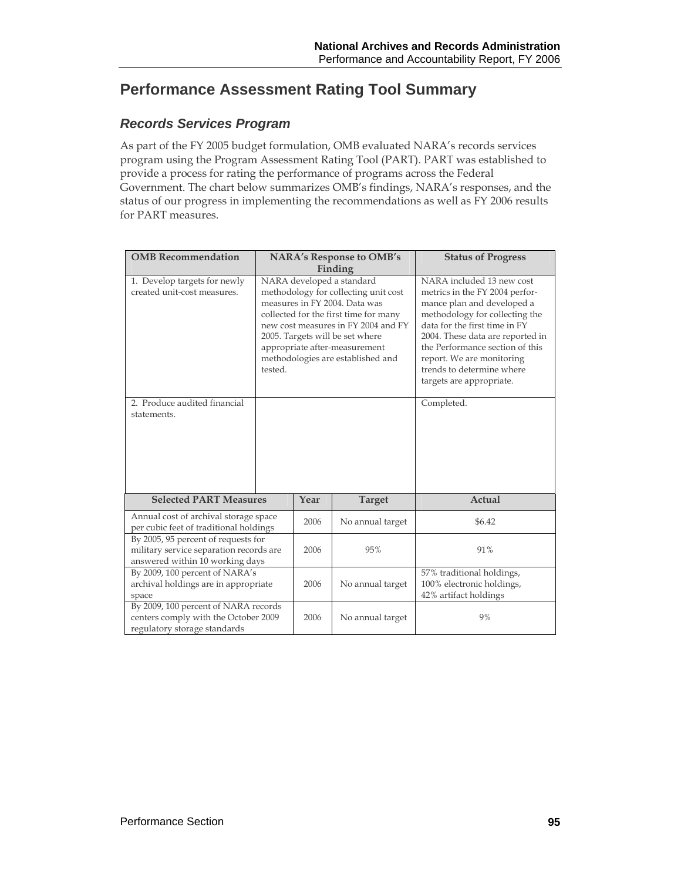# **Performance Assessment Rating Tool Summary**

## *Records Services Program*

As part of the FY 2005 budget formulation, OMB evaluated NARA's records services program using the Program Assessment Rating Tool (PART). PART was established to provide a process for rating the performance of programs across the Federal Government. The chart below summarizes OMB's findings, NARA's responses, and the status of our progress in implementing the recommendations as well as FY 2006 results for PART measures.

| <b>OMB</b> Recommendation                                                                                         | <b>NARA's Response to OMB's</b> |      |                                                                                                                                                                                                                                                                                             | <b>Status of Progress</b>                                                                                                                                                                                                                                                                                                               |
|-------------------------------------------------------------------------------------------------------------------|---------------------------------|------|---------------------------------------------------------------------------------------------------------------------------------------------------------------------------------------------------------------------------------------------------------------------------------------------|-----------------------------------------------------------------------------------------------------------------------------------------------------------------------------------------------------------------------------------------------------------------------------------------------------------------------------------------|
|                                                                                                                   |                                 |      | Finding                                                                                                                                                                                                                                                                                     |                                                                                                                                                                                                                                                                                                                                         |
| 1. Develop targets for newly<br>created unit-cost measures.<br>2. Produce audited financial<br>statements.        | tested.                         |      | NARA developed a standard<br>methodology for collecting unit cost<br>measures in FY 2004. Data was<br>collected for the first time for many<br>new cost measures in FY 2004 and FY<br>2005. Targets will be set where<br>appropriate after-measurement<br>methodologies are established and | NARA included 13 new cost<br>metrics in the FY 2004 perfor-<br>mance plan and developed a<br>methodology for collecting the<br>data for the first time in FY<br>2004. These data are reported in<br>the Performance section of this<br>report. We are monitoring<br>trends to determine where<br>targets are appropriate.<br>Completed. |
| <b>Selected PART Measures</b>                                                                                     |                                 | Year | <b>Target</b>                                                                                                                                                                                                                                                                               | <b>Actual</b>                                                                                                                                                                                                                                                                                                                           |
| Annual cost of archival storage space<br>per cubic feet of traditional holdings                                   |                                 | 2006 | No annual target                                                                                                                                                                                                                                                                            | \$6.42                                                                                                                                                                                                                                                                                                                                  |
| By 2005, 95 percent of requests for<br>military service separation records are<br>answered within 10 working days |                                 | 2006 | 95%                                                                                                                                                                                                                                                                                         | 91%                                                                                                                                                                                                                                                                                                                                     |
| By 2009, 100 percent of NARA's<br>archival holdings are in appropriate<br>space                                   |                                 | 2006 | No annual target                                                                                                                                                                                                                                                                            | 57% traditional holdings,<br>100% electronic holdings,<br>42% artifact holdings                                                                                                                                                                                                                                                         |
| By 2009, 100 percent of NARA records<br>centers comply with the October 2009<br>regulatory storage standards      |                                 | 2006 | No annual target                                                                                                                                                                                                                                                                            | 9%                                                                                                                                                                                                                                                                                                                                      |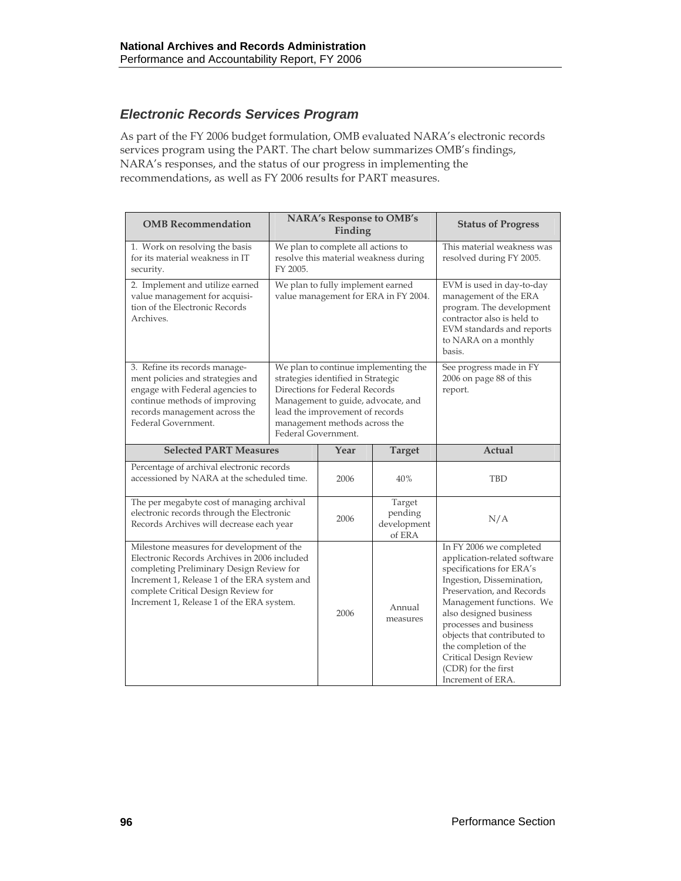# *Electronic Records Services Program*

As part of the FY 2006 budget formulation, OMB evaluated NARA's electronic records services program using the PART. The chart below summarizes OMB's findings, NARA's responses, and the status of our progress in implementing the recommendations, as well as FY 2006 results for PART measures.

| <b>OMB</b> Recommendation                                                                                                                                                                                                                                                 | <b>NARA's Response to OMB's</b><br>Finding                                                                                                                                                                                                    |      |                                            | <b>Status of Progress</b>                                                                                                                                                                                                                                                                                                                                   |
|---------------------------------------------------------------------------------------------------------------------------------------------------------------------------------------------------------------------------------------------------------------------------|-----------------------------------------------------------------------------------------------------------------------------------------------------------------------------------------------------------------------------------------------|------|--------------------------------------------|-------------------------------------------------------------------------------------------------------------------------------------------------------------------------------------------------------------------------------------------------------------------------------------------------------------------------------------------------------------|
| 1. Work on resolving the basis<br>for its material weakness in IT<br>security.                                                                                                                                                                                            | We plan to complete all actions to<br>resolve this material weakness during<br>FY 2005.                                                                                                                                                       |      |                                            | This material weakness was<br>resolved during FY 2005.                                                                                                                                                                                                                                                                                                      |
| 2. Implement and utilize earned<br>value management for acquisi-<br>tion of the Electronic Records<br>Archives.                                                                                                                                                           | We plan to fully implement earned<br>value management for ERA in FY 2004.                                                                                                                                                                     |      |                                            | EVM is used in day-to-day<br>management of the ERA<br>program. The development<br>contractor also is held to<br>EVM standards and reports<br>to NARA on a monthly<br>basis.                                                                                                                                                                                 |
| 3. Refine its records manage-<br>ment policies and strategies and<br>engage with Federal agencies to<br>continue methods of improving<br>records management across the<br>Federal Government.                                                                             | We plan to continue implementing the<br>strategies identified in Strategic<br>Directions for Federal Records<br>Management to guide, advocate, and<br>lead the improvement of records<br>management methods across the<br>Federal Government. |      |                                            | See progress made in FY<br>2006 on page 88 of this<br>report.                                                                                                                                                                                                                                                                                               |
| <b>Selected PART Measures</b>                                                                                                                                                                                                                                             |                                                                                                                                                                                                                                               | Year | <b>Target</b>                              | Actual                                                                                                                                                                                                                                                                                                                                                      |
| Percentage of archival electronic records<br>accessioned by NARA at the scheduled time.                                                                                                                                                                                   |                                                                                                                                                                                                                                               | 2006 | 40%                                        | <b>TBD</b>                                                                                                                                                                                                                                                                                                                                                  |
| The per megabyte cost of managing archival<br>electronic records through the Electronic<br>Records Archives will decrease each year                                                                                                                                       |                                                                                                                                                                                                                                               | 2006 | Target<br>pending<br>development<br>of ERA | N/A                                                                                                                                                                                                                                                                                                                                                         |
| Milestone measures for development of the<br>Electronic Records Archives in 2006 included<br>completing Preliminary Design Review for<br>Increment 1, Release 1 of the ERA system and<br>complete Critical Design Review for<br>Increment 1, Release 1 of the ERA system. |                                                                                                                                                                                                                                               | 2006 | Annual<br>measures                         | In FY 2006 we completed<br>application-related software<br>specifications for ERA's<br>Ingestion, Dissemination,<br>Preservation, and Records<br>Management functions. We<br>also designed business<br>processes and business<br>objects that contributed to<br>the completion of the<br>Critical Design Review<br>(CDR) for the first<br>Increment of ERA. |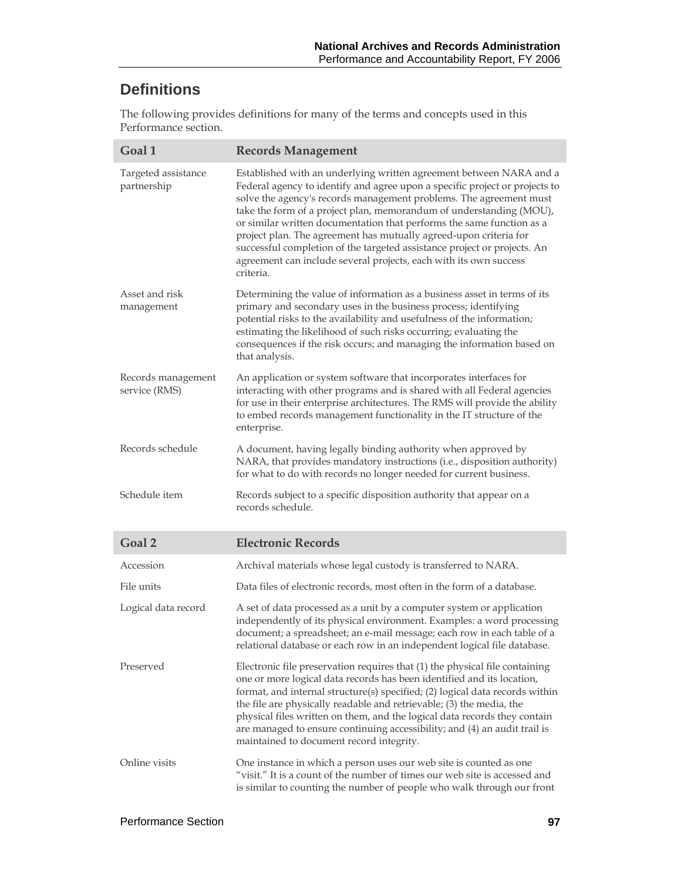# **Definitions**

The following provides definitions for many of the terms and concepts used in this Performance section.

| Goal 1                              | <b>Records Management</b>                                                                                                                                                                                                                                                                                                                                                                                                                                                                                                                                                                                   |
|-------------------------------------|-------------------------------------------------------------------------------------------------------------------------------------------------------------------------------------------------------------------------------------------------------------------------------------------------------------------------------------------------------------------------------------------------------------------------------------------------------------------------------------------------------------------------------------------------------------------------------------------------------------|
| Targeted assistance<br>partnership  | Established with an underlying written agreement between NARA and a<br>Federal agency to identify and agree upon a specific project or projects to<br>solve the agency's records management problems. The agreement must<br>take the form of a project plan, memorandum of understanding (MOU),<br>or similar written documentation that performs the same function as a<br>project plan. The agreement has mutually agreed-upon criteria for<br>successful completion of the targeted assistance project or projects. An<br>agreement can include several projects, each with its own success<br>criteria. |
| Asset and risk<br>management        | Determining the value of information as a business asset in terms of its<br>primary and secondary uses in the business process; identifying<br>potential risks to the availability and usefulness of the information;<br>estimating the likelihood of such risks occurring; evaluating the<br>consequences if the risk occurs; and managing the information based on<br>that analysis.                                                                                                                                                                                                                      |
| Records management<br>service (RMS) | An application or system software that incorporates interfaces for<br>interacting with other programs and is shared with all Federal agencies<br>for use in their enterprise architectures. The RMS will provide the ability<br>to embed records management functionality in the IT structure of the<br>enterprise.                                                                                                                                                                                                                                                                                         |
| Records schedule                    | A document, having legally binding authority when approved by<br>NARA, that provides mandatory instructions (i.e., disposition authority)<br>for what to do with records no longer needed for current business.                                                                                                                                                                                                                                                                                                                                                                                             |
| Schedule item                       | Records subject to a specific disposition authority that appear on a<br>records schedule.                                                                                                                                                                                                                                                                                                                                                                                                                                                                                                                   |
| Goal <sub>2</sub>                   | <b>Electronic Records</b>                                                                                                                                                                                                                                                                                                                                                                                                                                                                                                                                                                                   |
| Accession                           | Archival materials whose legal custody is transferred to NARA.                                                                                                                                                                                                                                                                                                                                                                                                                                                                                                                                              |
| File units                          | Data files of electronic records, most often in the form of a database.                                                                                                                                                                                                                                                                                                                                                                                                                                                                                                                                     |
| Logical data record                 | A set of data processed as a unit by a computer system or application<br>independently of its physical environment. Examples: a word processing<br>document; a spreadsheet; an e-mail message; each row in each table of a<br>relational database or each row in an independent logical file database.                                                                                                                                                                                                                                                                                                      |
| Preserved                           | Electronic file preservation requires that (1) the physical file containing<br>one or more logical data records has been identified and its location,<br>format, and internal structure(s) specified; (2) logical data records within<br>the file are physically readable and retrievable; (3) the media, the<br>physical files written on them, and the logical data records they contain<br>are managed to ensure continuing accessibility; and (4) an audit trail is<br>maintained to document record integrity.                                                                                         |
| Online visits                       | One instance in which a person uses our web site is counted as one<br>"visit." It is a count of the number of times our web site is accessed and<br>is similar to counting the number of people who walk through our front                                                                                                                                                                                                                                                                                                                                                                                  |

I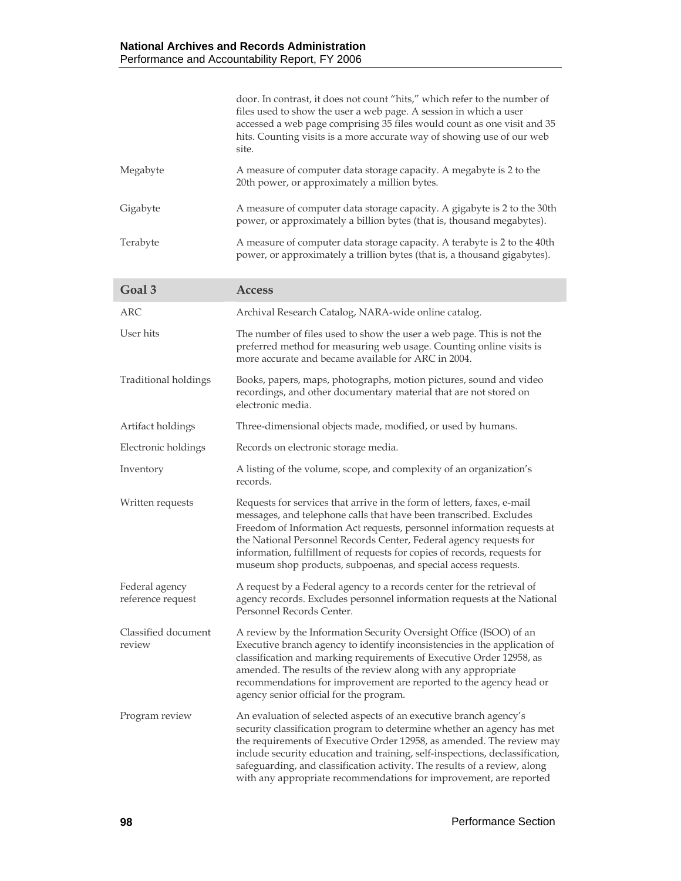|                                     | door. In contrast, it does not count "hits," which refer to the number of<br>files used to show the user a web page. A session in which a user<br>accessed a web page comprising 35 files would count as one visit and 35<br>hits. Counting visits is a more accurate way of showing use of our web<br>site.                                                                                                                                            |
|-------------------------------------|---------------------------------------------------------------------------------------------------------------------------------------------------------------------------------------------------------------------------------------------------------------------------------------------------------------------------------------------------------------------------------------------------------------------------------------------------------|
| Megabyte                            | A measure of computer data storage capacity. A megabyte is 2 to the<br>20th power, or approximately a million bytes.                                                                                                                                                                                                                                                                                                                                    |
| Gigabyte                            | A measure of computer data storage capacity. A gigabyte is 2 to the 30th<br>power, or approximately a billion bytes (that is, thousand megabytes).                                                                                                                                                                                                                                                                                                      |
| Terabyte                            | A measure of computer data storage capacity. A terabyte is 2 to the 40th<br>power, or approximately a trillion bytes (that is, a thousand gigabytes).                                                                                                                                                                                                                                                                                                   |
| Goal <sub>3</sub>                   | <b>Access</b>                                                                                                                                                                                                                                                                                                                                                                                                                                           |
| <b>ARC</b>                          | Archival Research Catalog, NARA-wide online catalog.                                                                                                                                                                                                                                                                                                                                                                                                    |
| User hits                           | The number of files used to show the user a web page. This is not the<br>preferred method for measuring web usage. Counting online visits is<br>more accurate and became available for ARC in 2004.                                                                                                                                                                                                                                                     |
| <b>Traditional holdings</b>         | Books, papers, maps, photographs, motion pictures, sound and video<br>recordings, and other documentary material that are not stored on<br>electronic media.                                                                                                                                                                                                                                                                                            |
| Artifact holdings                   | Three-dimensional objects made, modified, or used by humans.                                                                                                                                                                                                                                                                                                                                                                                            |
| Electronic holdings                 | Records on electronic storage media.                                                                                                                                                                                                                                                                                                                                                                                                                    |
| Inventory                           | A listing of the volume, scope, and complexity of an organization's<br>records.                                                                                                                                                                                                                                                                                                                                                                         |
| Written requests                    | Requests for services that arrive in the form of letters, faxes, e-mail<br>messages, and telephone calls that have been transcribed. Excludes<br>Freedom of Information Act requests, personnel information requests at<br>the National Personnel Records Center, Federal agency requests for<br>information, fulfillment of requests for copies of records, requests for<br>museum shop products, subpoenas, and special access requests.              |
| Federal agency<br>reference request | A request by a Federal agency to a records center for the retrieval of<br>agency records. Excludes personnel information requests at the National<br>Personnel Records Center.                                                                                                                                                                                                                                                                          |
| Classified document<br>review       | A review by the Information Security Oversight Office (ISOO) of an<br>Executive branch agency to identify inconsistencies in the application of<br>classification and marking requirements of Executive Order 12958, as<br>amended. The results of the review along with any appropriate<br>recommendations for improvement are reported to the agency head or<br>agency senior official for the program.                                               |
| Program review                      | An evaluation of selected aspects of an executive branch agency's<br>security classification program to determine whether an agency has met<br>the requirements of Executive Order 12958, as amended. The review may<br>include security education and training, self-inspections, declassification,<br>safeguarding, and classification activity. The results of a review, along<br>with any appropriate recommendations for improvement, are reported |